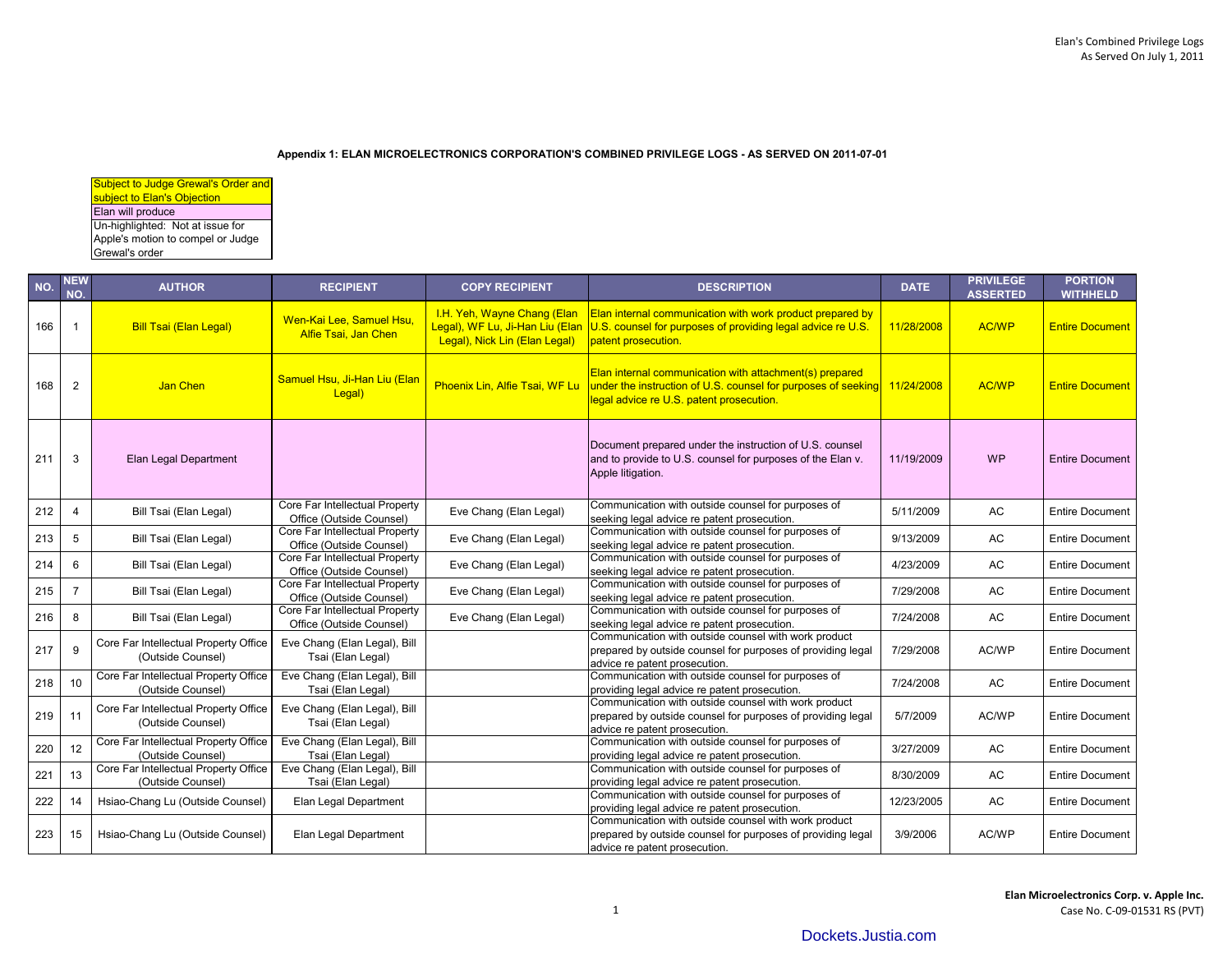## **Appendix 1: ELAN MICROELECTRONICS CORPORATION'S COMBINED PRIVILEGE LOGS - AS SERVED ON 2011-07-01**

| <b>Subject to Judge Grewal's Order and</b> |
|--------------------------------------------|
| subject to Elan's Objection                |
| Elan will produce                          |
| Un-highlighted: Not at issue for           |
| Apple's motion to compel or Judge          |
| Grewal's order                             |

| NO. | <b>NEW</b><br>NO. | <b>AUTHOR</b>                                              | <b>RECIPIENT</b>                                           | <b>COPY RECIPIENT</b>                                                                           | <b>DESCRIPTION</b>                                                                                                                                                   | <b>DATE</b> | <b>PRIVILEGE</b><br><b>ASSERTED</b> | <b>PORTION</b><br><b>WITHHELD</b> |
|-----|-------------------|------------------------------------------------------------|------------------------------------------------------------|-------------------------------------------------------------------------------------------------|----------------------------------------------------------------------------------------------------------------------------------------------------------------------|-------------|-------------------------------------|-----------------------------------|
| 166 |                   | <b>Bill Tsai (Elan Legal)</b>                              | Wen-Kai Lee, Samuel Hsu.<br>Alfie Tsai, Jan Chen           | I.H. Yeh, Wayne Chang (Elan<br>Legal), WF Lu, Ji-Han Liu (Elan<br>Legal), Nick Lin (Elan Legal) | Elan internal communication with work product prepared by<br>U.S. counsel for purposes of providing legal advice re U.S.<br>patent prosecution.                      | 11/28/2008  | <b>AC/WP</b>                        | <b>Entire Document</b>            |
| 168 | $\overline{2}$    | Jan Chen                                                   | Samuel Hsu, Ji-Han Liu (Elan<br>Legal)                     | Phoenix Lin, Alfie Tsai, WF Lu                                                                  | Elan internal communication with attachment(s) prepared<br>under the instruction of U.S. counsel for purposes of seeking<br>legal advice re U.S. patent prosecution. | 11/24/2008  | AC/WP                               | <b>Entire Document</b>            |
| 211 | 3                 | Elan Legal Department                                      |                                                            |                                                                                                 | Document prepared under the instruction of U.S. counsel<br>and to provide to U.S. counsel for purposes of the Elan v.<br>Apple litigation.                           | 11/19/2009  | <b>WP</b>                           | <b>Entire Document</b>            |
| 212 | $\overline{4}$    | Bill Tsai (Elan Legal)                                     | Core Far Intellectual Property<br>Office (Outside Counsel) | Eve Chang (Elan Legal)                                                                          | Communication with outside counsel for purposes of<br>seeking legal advice re patent prosecution.                                                                    | 5/11/2009   | AC                                  | <b>Entire Document</b>            |
| 213 | 5                 | Bill Tsai (Elan Legal)                                     | Core Far Intellectual Property<br>Office (Outside Counsel) | Eve Chang (Elan Legal)                                                                          | Communication with outside counsel for purposes of<br>seeking legal advice re patent prosecution.                                                                    | 9/13/2009   | AC                                  | <b>Entire Document</b>            |
| 214 | 6                 | Bill Tsai (Elan Legal)                                     | Core Far Intellectual Property<br>Office (Outside Counsel) | Eve Chang (Elan Legal)                                                                          | Communication with outside counsel for purposes of<br>seeking legal advice re patent prosecution.                                                                    | 4/23/2009   | AC                                  | <b>Entire Document</b>            |
| 215 | $\overline{7}$    | Bill Tsai (Elan Legal)                                     | Core Far Intellectual Property<br>Office (Outside Counsel) | Eve Chang (Elan Legal)                                                                          | Communication with outside counsel for purposes of<br>seeking legal advice re patent prosecution.                                                                    | 7/29/2008   | AC                                  | <b>Entire Document</b>            |
| 216 | 8                 | Bill Tsai (Elan Legal)                                     | Core Far Intellectual Property<br>Office (Outside Counsel) | Eve Chang (Elan Legal)                                                                          | Communication with outside counsel for purposes of<br>seeking legal advice re patent prosecution.                                                                    | 7/24/2008   | AC                                  | <b>Entire Document</b>            |
| 217 | 9                 | Core Far Intellectual Property Office<br>(Outside Counsel) | Eve Chang (Elan Legal), Bill<br>Tsai (Elan Legal)          |                                                                                                 | Communication with outside counsel with work product<br>prepared by outside counsel for purposes of providing legal<br>advice re patent prosecution.                 | 7/29/2008   | AC/WP                               | <b>Entire Document</b>            |
| 218 | 10                | Core Far Intellectual Property Office<br>(Outside Counsel) | Eve Chang (Elan Legal), Bill<br>Tsai (Elan Legal)          |                                                                                                 | Communication with outside counsel for purposes of<br>providing legal advice re patent prosecution.                                                                  | 7/24/2008   | AC                                  | <b>Entire Document</b>            |
| 219 | 11                | Core Far Intellectual Property Office<br>(Outside Counsel) | Eve Chang (Elan Legal), Bill<br>Tsai (Elan Legal)          |                                                                                                 | Communication with outside counsel with work product<br>prepared by outside counsel for purposes of providing legal<br>advice re patent prosecution.                 | 5/7/2009    | AC/WP                               | <b>Entire Document</b>            |
| 220 | 12                | Core Far Intellectual Property Office<br>(Outside Counsel) | Eve Chang (Elan Legal), Bill<br>Tsai (Elan Legal)          |                                                                                                 | Communication with outside counsel for purposes of<br>providing legal advice re patent prosecution.                                                                  | 3/27/2009   | AC                                  | <b>Entire Document</b>            |
| 221 | 13                | Core Far Intellectual Property Office<br>(Outside Counsel) | Eve Chang (Elan Legal), Bill<br>Tsai (Elan Legal)          |                                                                                                 | Communication with outside counsel for purposes of<br>providing legal advice re patent prosecution.                                                                  | 8/30/2009   | AC                                  | <b>Entire Document</b>            |
| 222 | 14                | Hsiao-Chang Lu (Outside Counsel)                           | Elan Legal Department                                      |                                                                                                 | Communication with outside counsel for purposes of<br>providing legal advice re patent prosecution.                                                                  | 12/23/2005  | AC                                  | <b>Entire Document</b>            |
| 223 | 15                | Hsiao-Chang Lu (Outside Counsel)                           | Elan Legal Department                                      |                                                                                                 | Communication with outside counsel with work product<br>prepared by outside counsel for purposes of providing legal<br>advice re patent prosecution.                 | 3/9/2006    | AC/WP                               | <b>Entire Document</b>            |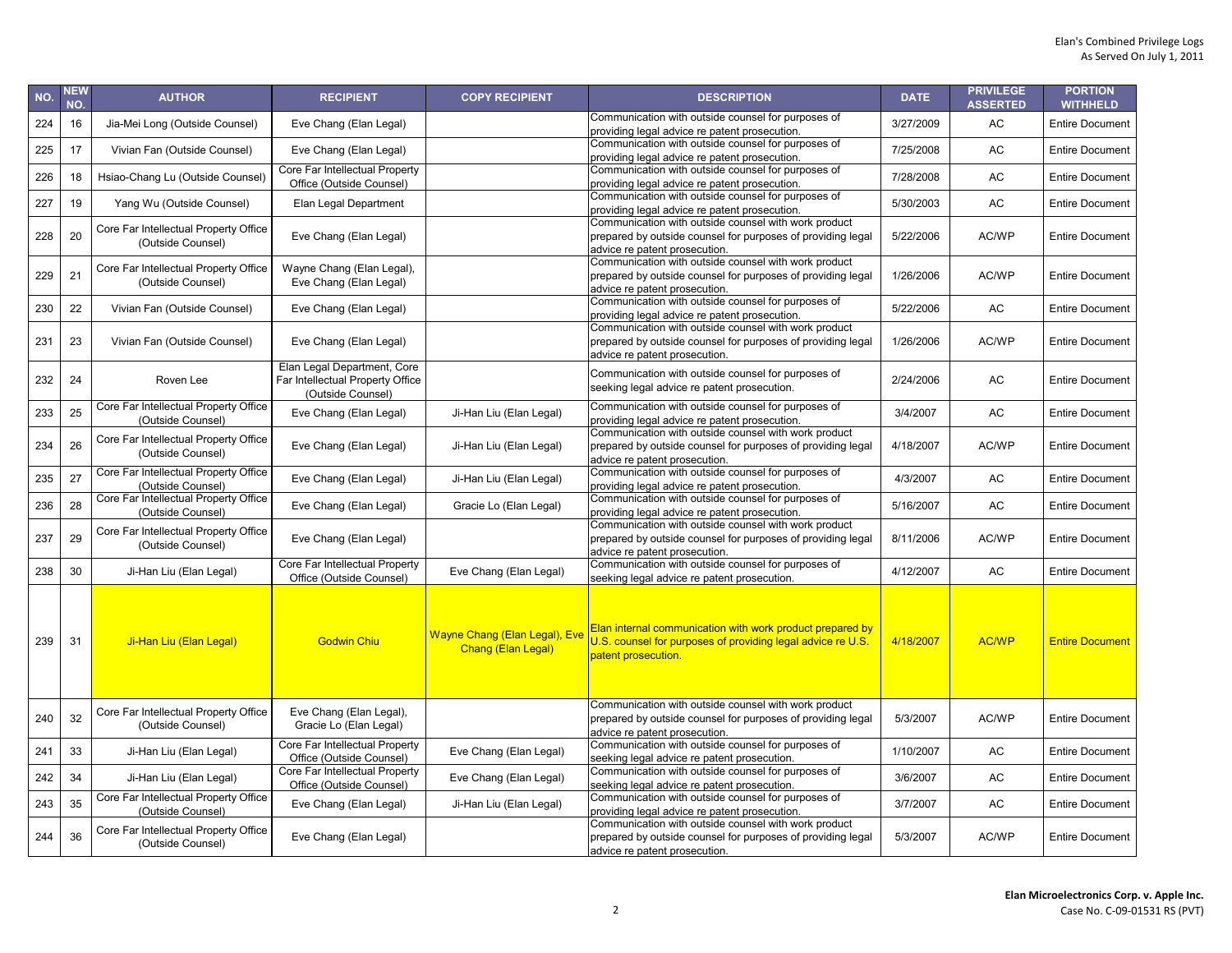| NO. | <b>NEW</b><br>NO. | <b>AUTHOR</b>                                              | <b>RECIPIENT</b>                                                                     | <b>COPY RECIPIENT</b>                                      | <b>DESCRIPTION</b>                                                                                                                                   | <b>DATE</b> | <b>PRIVILEGE</b><br><b>ASSERTED</b> | <b>PORTION</b><br><b>WITHHELD</b> |
|-----|-------------------|------------------------------------------------------------|--------------------------------------------------------------------------------------|------------------------------------------------------------|------------------------------------------------------------------------------------------------------------------------------------------------------|-------------|-------------------------------------|-----------------------------------|
| 224 | 16                | Jia-Mei Long (Outside Counsel)                             | Eve Chang (Elan Legal)                                                               |                                                            | Communication with outside counsel for purposes of<br>providing legal advice re patent prosecution.                                                  | 3/27/2009   | AC                                  | <b>Entire Document</b>            |
| 225 | 17                | Vivian Fan (Outside Counsel)                               | Eve Chang (Elan Legal)                                                               |                                                            | Communication with outside counsel for purposes of<br>providing legal advice re patent prosecution.                                                  | 7/25/2008   | AC                                  | <b>Entire Document</b>            |
| 226 | 18                | Hsiao-Chang Lu (Outside Counsel)                           | Core Far Intellectual Property<br>Office (Outside Counsel)                           |                                                            | Communication with outside counsel for purposes of<br>providing legal advice re patent prosecution.                                                  | 7/28/2008   | <b>AC</b>                           | <b>Entire Document</b>            |
| 227 | 19                | Yang Wu (Outside Counsel)                                  | Elan Legal Department                                                                |                                                            | Communication with outside counsel for purposes of<br>providing legal advice re patent prosecution.                                                  | 5/30/2003   | AC                                  | <b>Entire Document</b>            |
| 228 | 20                | Core Far Intellectual Property Office<br>(Outside Counsel) | Eve Chang (Elan Legal)                                                               |                                                            | Communication with outside counsel with work product<br>prepared by outside counsel for purposes of providing legal<br>advice re patent prosecution. | 5/22/2006   | AC/WP                               | <b>Entire Document</b>            |
| 229 | 21                | Core Far Intellectual Property Office<br>(Outside Counsel) | Wayne Chang (Elan Legal),<br>Eve Chang (Elan Legal)                                  |                                                            | Communication with outside counsel with work product<br>prepared by outside counsel for purposes of providing legal<br>advice re patent prosecution. | 1/26/2006   | AC/WP                               | <b>Entire Document</b>            |
| 230 | 22                | Vivian Fan (Outside Counsel)                               | Eve Chang (Elan Legal)                                                               |                                                            | Communication with outside counsel for purposes of<br>providing legal advice re patent prosecution.                                                  | 5/22/2006   | AC                                  | <b>Entire Document</b>            |
| 231 | 23                | Vivian Fan (Outside Counsel)                               | Eve Chang (Elan Legal)                                                               |                                                            | Communication with outside counsel with work product<br>prepared by outside counsel for purposes of providing legal<br>advice re patent prosecution. | 1/26/2006   | AC/WP                               | <b>Entire Document</b>            |
| 232 | 24                | Roven Lee                                                  | Elan Legal Department, Core<br>Far Intellectual Property Office<br>(Outside Counsel) |                                                            | Communication with outside counsel for purposes of<br>seeking legal advice re patent prosecution.                                                    | 2/24/2006   | AC                                  | <b>Entire Document</b>            |
| 233 | 25                | Core Far Intellectual Property Office<br>(Outside Counsel) | Eve Chang (Elan Legal)                                                               | Ji-Han Liu (Elan Legal)                                    | Communication with outside counsel for purposes of<br>providing legal advice re patent prosecution.                                                  | 3/4/2007    | AC                                  | <b>Entire Document</b>            |
| 234 | 26                | Core Far Intellectual Property Office<br>(Outside Counsel) | Eve Chang (Elan Legal)                                                               | Ji-Han Liu (Elan Legal)                                    | Communication with outside counsel with work product<br>prepared by outside counsel for purposes of providing legal<br>advice re patent prosecution. | 4/18/2007   | AC/WP                               | <b>Entire Document</b>            |
| 235 | 27                | Core Far Intellectual Property Office<br>(Outside Counsel) | Eve Chang (Elan Legal)                                                               | Ji-Han Liu (Elan Legal)                                    | Communication with outside counsel for purposes of<br>providing legal advice re patent prosecution.                                                  | 4/3/2007    | AC                                  | <b>Entire Document</b>            |
| 236 | 28                | Core Far Intellectual Property Office<br>(Outside Counsel) | Eve Chang (Elan Legal)                                                               | Gracie Lo (Elan Legal)                                     | Communication with outside counsel for purposes of<br>providing legal advice re patent prosecution.                                                  | 5/16/2007   | AC                                  | <b>Entire Document</b>            |
| 237 | 29                | Core Far Intellectual Property Office<br>(Outside Counsel) | Eve Chang (Elan Legal)                                                               |                                                            | Communication with outside counsel with work product<br>prepared by outside counsel for purposes of providing legal<br>advice re patent prosecution. | 8/11/2006   | AC/WP                               | <b>Entire Document</b>            |
| 238 | 30                | Ji-Han Liu (Elan Legal)                                    | Core Far Intellectual Property<br>Office (Outside Counsel)                           | Eve Chang (Elan Legal)                                     | Communication with outside counsel for purposes of<br>seeking legal advice re patent prosecution.                                                    | 4/12/2007   | <b>AC</b>                           | <b>Entire Document</b>            |
| 239 | 31                | Ji-Han Liu (Elan Legal)                                    | <b>Godwin Chiu</b>                                                                   | <b>Wayne Chang (Elan Legal), Eve</b><br>Chang (Elan Legal) | Elan internal communication with work product prepared by<br>U.S. counsel for purposes of providing legal advice re U.S.<br>patent prosecution.      | 4/18/2007   | <b>AC/WP</b>                        | <b>Entire Document</b>            |
| 240 | 32                | Core Far Intellectual Property Office<br>(Outside Counsel) | Eve Chang (Elan Legal),<br>Gracie Lo (Elan Legal)                                    |                                                            | Communication with outside counsel with work product<br>prepared by outside counsel for purposes of providing legal<br>advice re patent prosecution. | 5/3/2007    | AC/WP                               | <b>Entire Document</b>            |
| 241 | 33                | Ji-Han Liu (Elan Legal)                                    | Core Far Intellectual Property<br>Office (Outside Counsel)                           | Eve Chang (Elan Legal)                                     | Communication with outside counsel for purposes of<br>seeking legal advice re patent prosecution.                                                    | 1/10/2007   | AC                                  | <b>Entire Document</b>            |
| 242 | 34                | Ji-Han Liu (Elan Legal)                                    | Core Far Intellectual Property<br>Office (Outside Counsel)                           | Eve Chang (Elan Legal)                                     | Communication with outside counsel for purposes of<br>seeking legal advice re patent prosecution.                                                    | 3/6/2007    | AC                                  | <b>Entire Document</b>            |
| 243 | 35                | Core Far Intellectual Property Office<br>(Outside Counsel) | Eve Chang (Elan Legal)                                                               | Ji-Han Liu (Elan Legal)                                    | Communication with outside counsel for purposes of<br>providing legal advice re patent prosecution.                                                  | 3/7/2007    | AC                                  | <b>Entire Document</b>            |
| 244 | 36                | Core Far Intellectual Property Office<br>(Outside Counsel) | Eve Chang (Elan Legal)                                                               |                                                            | Communication with outside counsel with work product<br>prepared by outside counsel for purposes of providing legal<br>advice re patent prosecution. | 5/3/2007    | AC/WP                               | <b>Entire Document</b>            |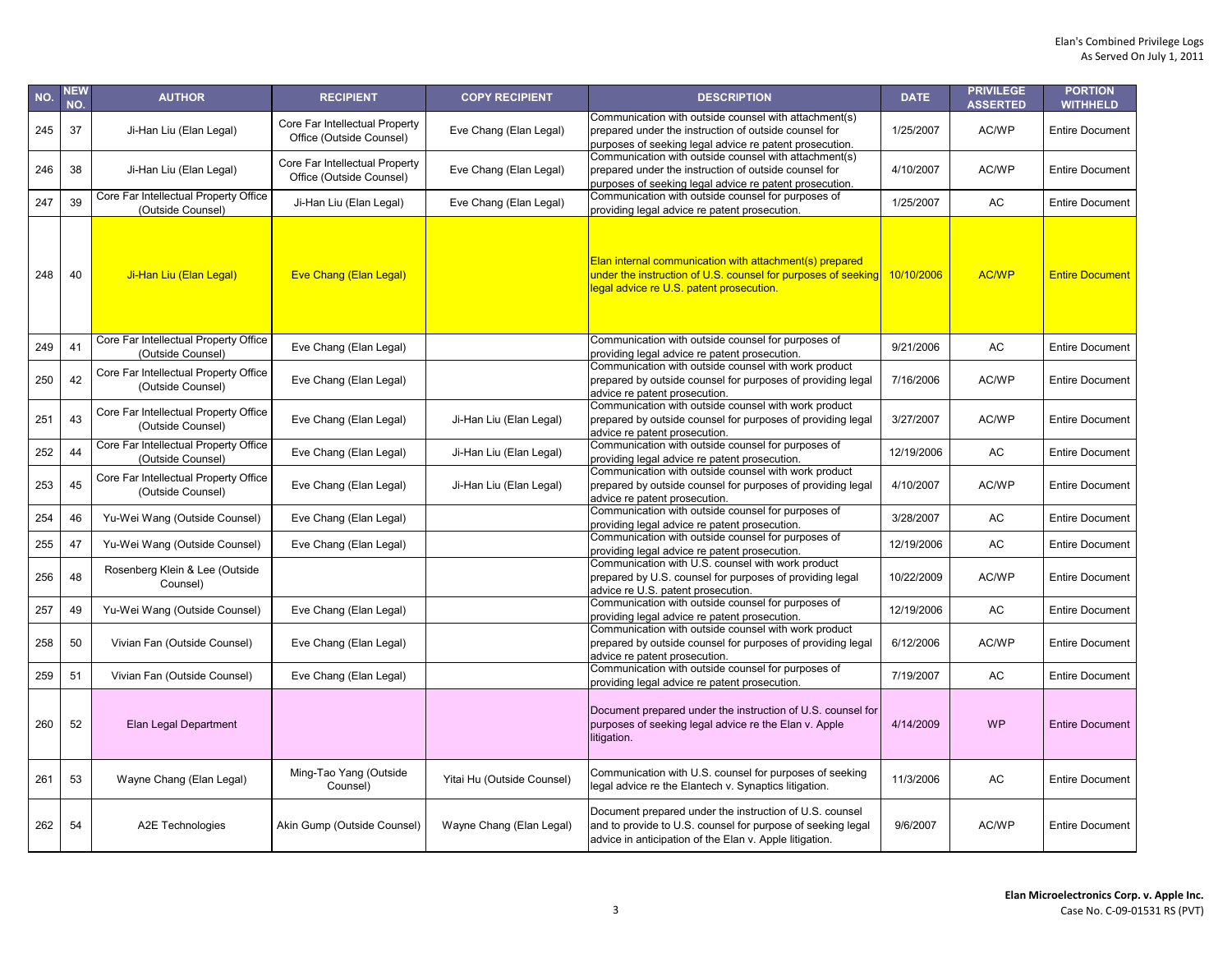| NO. | NEW<br>NO. | <b>AUTHOR</b>                                              | <b>RECIPIENT</b>                                           | <b>COPY RECIPIENT</b>      | <b>DESCRIPTION</b>                                                                                                                                                                | <b>DATE</b> | <b>PRIVILEGE</b><br><b>ASSERTED</b> | <b>PORTION</b><br><b>WITHHELD</b> |
|-----|------------|------------------------------------------------------------|------------------------------------------------------------|----------------------------|-----------------------------------------------------------------------------------------------------------------------------------------------------------------------------------|-------------|-------------------------------------|-----------------------------------|
| 245 | 37         | Ji-Han Liu (Elan Legal)                                    | Core Far Intellectual Property<br>Office (Outside Counsel) | Eve Chang (Elan Legal)     | Communication with outside counsel with attachment(s)<br>prepared under the instruction of outside counsel for<br>purposes of seeking legal advice re patent prosecution.         | 1/25/2007   | AC/WP                               | <b>Entire Document</b>            |
| 246 | 38         | Ji-Han Liu (Elan Legal)                                    | Core Far Intellectual Property<br>Office (Outside Counsel) | Eve Chang (Elan Legal)     | Communication with outside counsel with attachment(s)<br>prepared under the instruction of outside counsel for<br>purposes of seeking legal advice re patent prosecution.         | 4/10/2007   | AC/WP                               | <b>Entire Document</b>            |
| 247 | 39         | Core Far Intellectual Property Office<br>(Outside Counsel) | Ji-Han Liu (Elan Legal)                                    | Eve Chang (Elan Legal)     | Communication with outside counsel for purposes of<br>providing legal advice re patent prosecution.                                                                               | 1/25/2007   | <b>AC</b>                           | <b>Entire Document</b>            |
| 248 | 40         | Ji-Han Liu (Elan Legal)                                    | <b>Eve Chang (Elan Legal)</b>                              |                            | Elan internal communication with attachment(s) prepared<br>under the instruction of U.S. counsel for purposes of seeking<br>legal advice re U.S. patent prosecution.              | 10/10/2006  | <b>AC/WP</b>                        | <b>Entire Document</b>            |
| 249 | 41         | Core Far Intellectual Property Office<br>(Outside Counsel) | Eve Chang (Elan Legal)                                     |                            | Communication with outside counsel for purposes of<br>providing legal advice re patent prosecution.                                                                               | 9/21/2006   | AC                                  | <b>Entire Document</b>            |
| 250 | 42         | Core Far Intellectual Property Office<br>(Outside Counsel) | Eve Chang (Elan Legal)                                     |                            | Communication with outside counsel with work product<br>prepared by outside counsel for purposes of providing legal<br>advice re patent prosecution.                              | 7/16/2006   | AC/WP                               | <b>Entire Document</b>            |
| 251 | 43         | Core Far Intellectual Property Office<br>(Outside Counsel) | Eve Chang (Elan Legal)                                     | Ji-Han Liu (Elan Legal)    | Communication with outside counsel with work product<br>prepared by outside counsel for purposes of providing legal<br>advice re patent prosecution.                              | 3/27/2007   | AC/WP                               | <b>Entire Document</b>            |
| 252 | 44         | Core Far Intellectual Property Office<br>(Outside Counsel) | Eve Chang (Elan Legal)                                     | Ji-Han Liu (Elan Legal)    | Communication with outside counsel for purposes of<br>providing legal advice re patent prosecution.                                                                               | 12/19/2006  | <b>AC</b>                           | <b>Entire Document</b>            |
| 253 | 45         | Core Far Intellectual Property Office<br>(Outside Counsel) | Eve Chang (Elan Legal)                                     | Ji-Han Liu (Elan Legal)    | Communication with outside counsel with work product<br>prepared by outside counsel for purposes of providing legal<br>advice re patent prosecution.                              | 4/10/2007   | AC/WP                               | <b>Entire Document</b>            |
| 254 | 46         | Yu-Wei Wang (Outside Counsel)                              | Eve Chang (Elan Legal)                                     |                            | Communication with outside counsel for purposes of<br>providing legal advice re patent prosecution.                                                                               | 3/28/2007   | <b>AC</b>                           | <b>Entire Document</b>            |
| 255 | 47         | Yu-Wei Wang (Outside Counsel)                              | Eve Chang (Elan Legal)                                     |                            | Communication with outside counsel for purposes of<br>providing legal advice re patent prosecution.                                                                               | 12/19/2006  | <b>AC</b>                           | <b>Entire Document</b>            |
| 256 | 48         | Rosenberg Klein & Lee (Outside<br>Counsel)                 |                                                            |                            | Communication with U.S. counsel with work product<br>prepared by U.S. counsel for purposes of providing legal<br>advice re U.S. patent prosecution.                               | 10/22/2009  | AC/WP                               | <b>Entire Document</b>            |
| 257 | 49         | Yu-Wei Wang (Outside Counsel)                              | Eve Chang (Elan Legal)                                     |                            | Communication with outside counsel for purposes of<br>providing legal advice re patent prosecution.                                                                               | 12/19/2006  | <b>AC</b>                           | Entire Document                   |
| 258 | 50         | Vivian Fan (Outside Counsel)                               | Eve Chang (Elan Legal)                                     |                            | Communication with outside counsel with work product<br>prepared by outside counsel for purposes of providing legal<br>advice re patent prosecution.                              | 6/12/2006   | AC/WP                               | <b>Entire Document</b>            |
| 259 | 51         | Vivian Fan (Outside Counsel)                               | Eve Chang (Elan Legal)                                     |                            | Communication with outside counsel for purposes of<br>providing legal advice re patent prosecution.                                                                               | 7/19/2007   | AC                                  | <b>Entire Document</b>            |
| 260 | 52         | Elan Legal Department                                      |                                                            |                            | Document prepared under the instruction of U.S. counsel for<br>purposes of seeking legal advice re the Elan v. Apple<br>litigation.                                               | 4/14/2009   | <b>WP</b>                           | <b>Entire Document</b>            |
| 261 | 53         | Wayne Chang (Elan Legal)                                   | Ming-Tao Yang (Outside<br>Counsel)                         | Yitai Hu (Outside Counsel) | Communication with U.S. counsel for purposes of seeking<br>legal advice re the Elantech v. Synaptics litigation.                                                                  | 11/3/2006   | AC                                  | <b>Entire Document</b>            |
| 262 | 54         | A2E Technologies                                           | Akin Gump (Outside Counsel)                                | Wayne Chang (Elan Legal)   | Document prepared under the instruction of U.S. counsel<br>and to provide to U.S. counsel for purpose of seeking legal<br>advice in anticipation of the Elan v. Apple litigation. | 9/6/2007    | AC/WP                               | <b>Entire Document</b>            |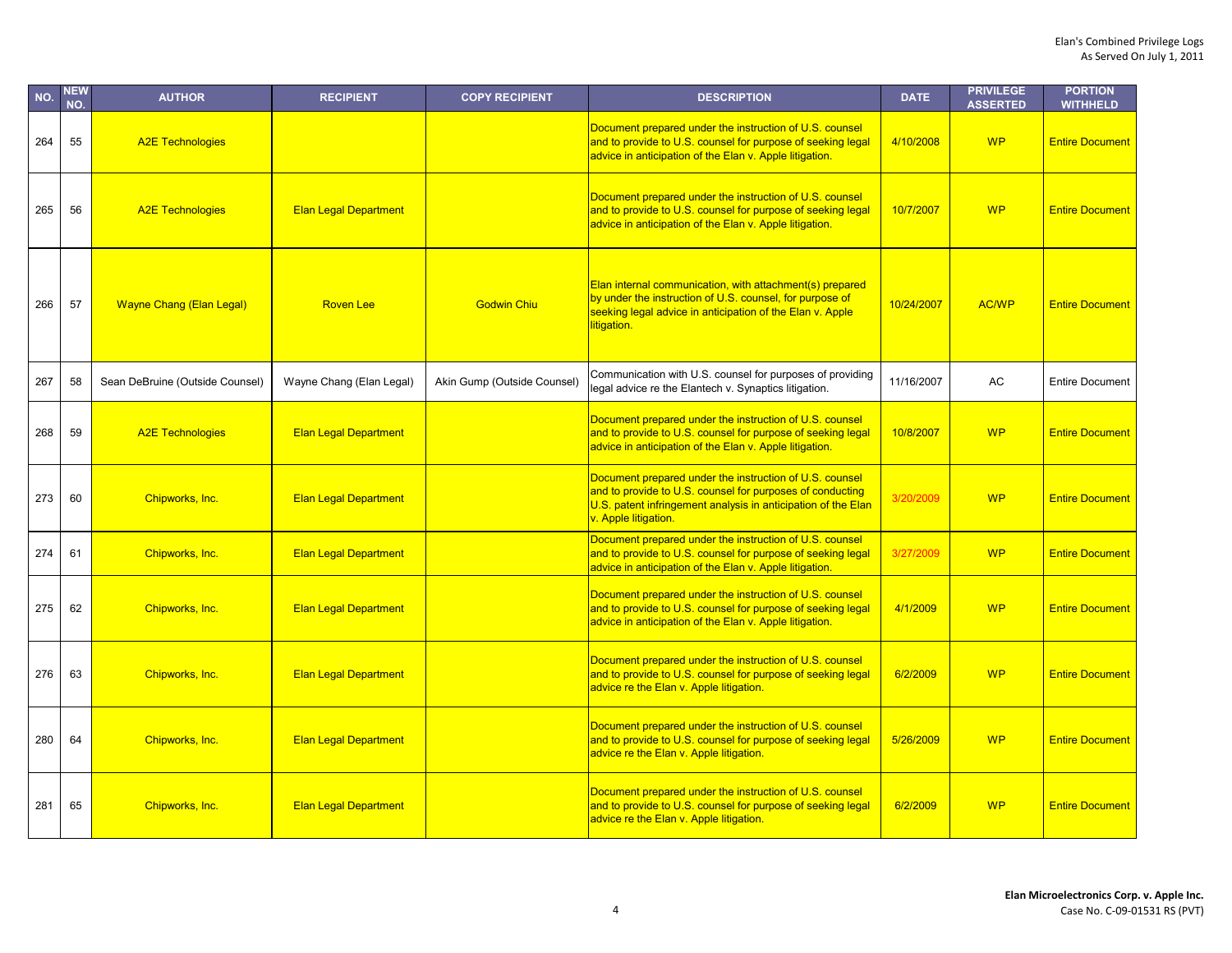| NO. | NEW<br>NO. | <b>AUTHOR</b>                   | <b>RECIPIENT</b>             | <b>COPY RECIPIENT</b>       | <b>DESCRIPTION</b>                                                                                                                                                                                            | <b>DATE</b> | <b>PRIVILEGE</b><br><b>ASSERTED</b> | <b>PORTION</b><br><b>WITHHELD</b> |
|-----|------------|---------------------------------|------------------------------|-----------------------------|---------------------------------------------------------------------------------------------------------------------------------------------------------------------------------------------------------------|-------------|-------------------------------------|-----------------------------------|
| 264 | 55         | <b>A2E Technologies</b>         |                              |                             | Document prepared under the instruction of U.S. counsel<br>and to provide to U.S. counsel for purpose of seeking legal<br>advice in anticipation of the Elan v. Apple litigation.                             | 4/10/2008   | <b>WP</b>                           | <b>Entire Document</b>            |
| 265 | 56         | <b>A2E Technologies</b>         | <b>Elan Legal Department</b> |                             | Document prepared under the instruction of U.S. counsel<br>and to provide to U.S. counsel for purpose of seeking legal<br>advice in anticipation of the Elan v. Apple litigation.                             | 10/7/2007   | <b>WP</b>                           | <b>Entire Document</b>            |
| 266 | 57         | <b>Wayne Chang (Elan Legal)</b> | <b>Roven Lee</b>             | <b>Godwin Chiu</b>          | Elan internal communication, with attachment(s) prepared<br>by under the instruction of U.S. counsel, for purpose of<br>seeking legal advice in anticipation of the Elan v. Apple<br>litigation.              | 10/24/2007  | <b>AC/WP</b>                        | <b>Entire Document</b>            |
| 267 | 58         | Sean DeBruine (Outside Counsel) | Wayne Chang (Elan Legal)     | Akin Gump (Outside Counsel) | Communication with U.S. counsel for purposes of providing<br>legal advice re the Elantech v. Synaptics litigation.                                                                                            | 11/16/2007  | AC                                  | <b>Entire Document</b>            |
| 268 | 59         | <b>A2E Technologies</b>         | <b>Elan Legal Department</b> |                             | Document prepared under the instruction of U.S. counsel<br>and to provide to U.S. counsel for purpose of seeking legal<br>advice in anticipation of the Elan v. Apple litigation.                             | 10/8/2007   | <b>WP</b>                           | <b>Entire Document</b>            |
| 273 | 60         | Chipworks, Inc.                 | <b>Elan Legal Department</b> |                             | Document prepared under the instruction of U.S. counsel<br>and to provide to U.S. counsel for purposes of conducting<br>U.S. patent infringement analysis in anticipation of the Elan<br>v. Apple litigation. | 3/20/2009   | <b>WP</b>                           | <b>Entire Document</b>            |
| 274 | 61         | Chipworks, Inc.                 | <b>Elan Legal Department</b> |                             | Document prepared under the instruction of U.S. counsel<br>and to provide to U.S. counsel for purpose of seeking legal<br>advice in anticipation of the Elan v. Apple litigation.                             | 3/27/2009   | <b>WP</b>                           | <b>Entire Document</b>            |
| 275 | 62         | Chipworks, Inc.                 | <b>Elan Legal Department</b> |                             | Document prepared under the instruction of U.S. counsel<br>and to provide to U.S. counsel for purpose of seeking legal<br>advice in anticipation of the Elan v. Apple litigation.                             | 4/1/2009    | <b>WP</b>                           | <b>Entire Document</b>            |
| 276 | 63         | Chipworks, Inc.                 | <b>Elan Legal Department</b> |                             | Document prepared under the instruction of U.S. counsel<br>and to provide to U.S. counsel for purpose of seeking legal<br>advice re the Elan v. Apple litigation.                                             | 6/2/2009    | <b>WP</b>                           | <b>Entire Document</b>            |
| 280 | 64         | Chipworks, Inc.                 | <b>Elan Legal Department</b> |                             | Document prepared under the instruction of U.S. counsel<br>and to provide to U.S. counsel for purpose of seeking legal<br>advice re the Elan v. Apple litigation.                                             | 5/26/2009   | <b>WP</b>                           | <b>Entire Document</b>            |
| 281 | 65         | Chipworks, Inc.                 | <b>Elan Legal Department</b> |                             | Document prepared under the instruction of U.S. counsel<br>and to provide to U.S. counsel for purpose of seeking legal<br>advice re the Elan v. Apple litigation.                                             | 6/2/2009    | <b>WP</b>                           | <b>Entire Document</b>            |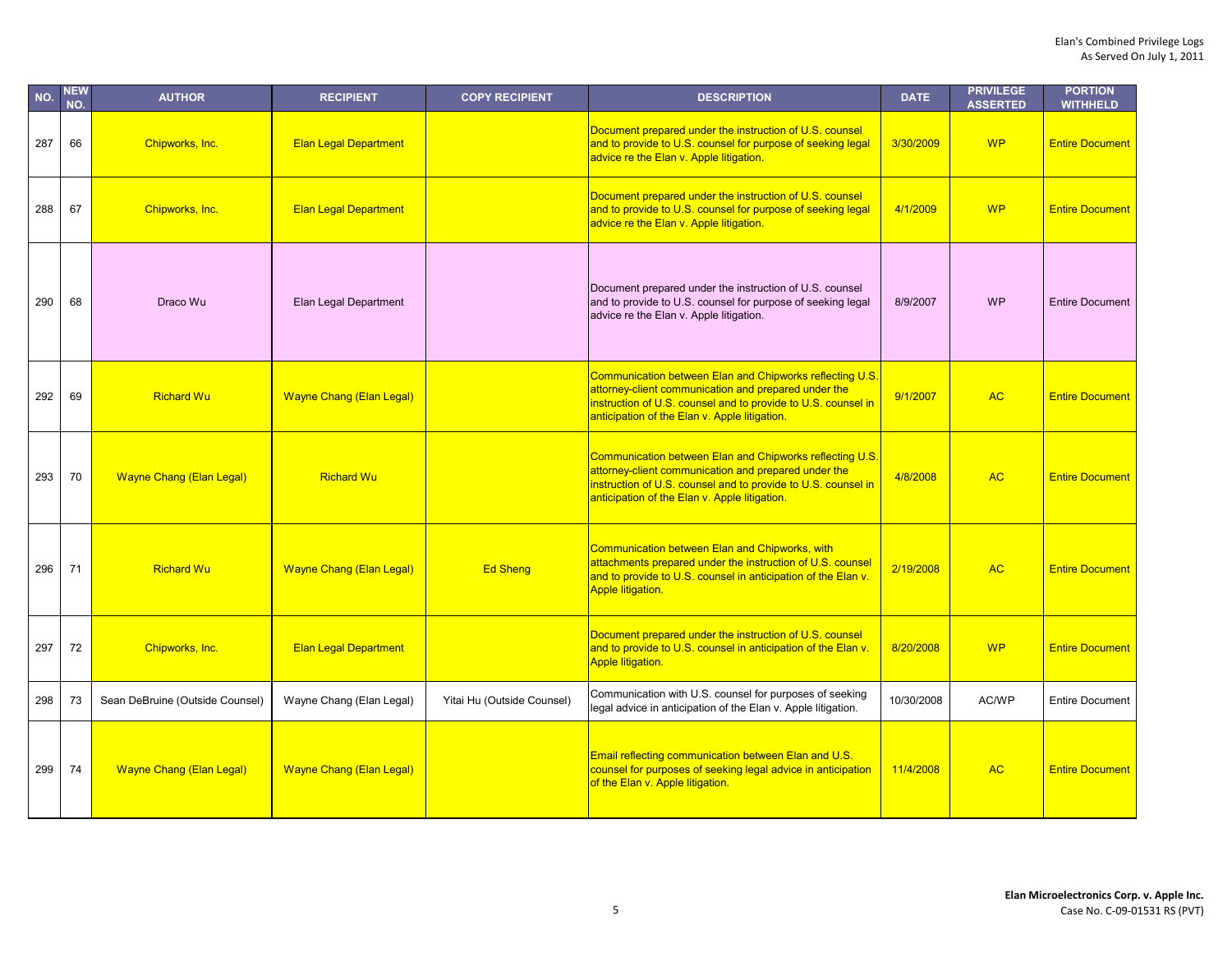| NO. | <b>NEW</b><br>NO. | <b>AUTHOR</b>                   | <b>RECIPIENT</b>                | <b>COPY RECIPIENT</b>      | <b>DESCRIPTION</b>                                                                                                                                                                                                                 | <b>DATE</b> | <b>PRIVILEGE</b><br><b>ASSERTED</b> | <b>PORTION</b><br><b>WITHHELD</b> |
|-----|-------------------|---------------------------------|---------------------------------|----------------------------|------------------------------------------------------------------------------------------------------------------------------------------------------------------------------------------------------------------------------------|-------------|-------------------------------------|-----------------------------------|
| 287 | 66                | Chipworks, Inc.                 | <b>Elan Legal Department</b>    |                            | Document prepared under the instruction of U.S. counsel<br>and to provide to U.S. counsel for purpose of seeking legal<br>advice re the Elan v. Apple litigation.                                                                  | 3/30/2009   | <b>WP</b>                           | <b>Entire Document</b>            |
| 288 | 67                | Chipworks, Inc.                 | <b>Elan Legal Department</b>    |                            | Document prepared under the instruction of U.S. counsel<br>and to provide to U.S. counsel for purpose of seeking legal<br>advice re the Elan v. Apple litigation.                                                                  | 4/1/2009    | <b>WP</b>                           | <b>Entire Document</b>            |
| 290 | 68                | Draco Wu                        | Elan Legal Department           |                            | Document prepared under the instruction of U.S. counsel<br>and to provide to U.S. counsel for purpose of seeking legal<br>advice re the Elan v. Apple litigation.                                                                  | 8/9/2007    | <b>WP</b>                           | <b>Entire Document</b>            |
| 292 | 69                | <b>Richard Wu</b>               | <b>Wayne Chang (Elan Legal)</b> |                            | Communication between Elan and Chipworks reflecting U.S.<br>attorney-client communication and prepared under the<br>instruction of U.S. counsel and to provide to U.S. counsel in<br>anticipation of the Elan v. Apple litigation. | 9/1/2007    | <b>AC</b>                           | <b>Entire Document</b>            |
| 293 | 70                | <b>Wayne Chang (Elan Legal)</b> | <b>Richard Wu</b>               |                            | Communication between Elan and Chipworks reflecting U.S.<br>attorney-client communication and prepared under the<br>instruction of U.S. counsel and to provide to U.S. counsel in<br>anticipation of the Elan v. Apple litigation. | 4/8/2008    | <b>AC</b>                           | <b>Entire Document</b>            |
| 296 | 71                | <b>Richard Wu</b>               | <b>Wayne Chang (Elan Legal)</b> | <b>Ed Sheng</b>            | Communication between Elan and Chipworks, with<br>attachments prepared under the instruction of U.S. counsel<br>and to provide to U.S. counsel in anticipation of the Elan v.<br><b>Apple litigation.</b>                          | 2/19/2008   | <b>AC</b>                           | <b>Entire Document</b>            |
| 297 | 72                | Chipworks, Inc.                 | <b>Elan Legal Department</b>    |                            | Document prepared under the instruction of U.S. counsel<br>and to provide to U.S. counsel in anticipation of the Elan v.<br>Apple litigation.                                                                                      | 8/20/2008   | <b>WP</b>                           | <b>Entire Document</b>            |
| 298 | 73                | Sean DeBruine (Outside Counsel) | Wayne Chang (Elan Legal)        | Yitai Hu (Outside Counsel) | Communication with U.S. counsel for purposes of seeking<br>legal advice in anticipation of the Elan v. Apple litigation.                                                                                                           | 10/30/2008  | AC/WP                               | <b>Entire Document</b>            |
| 299 | 74                | <b>Wayne Chang (Elan Legal)</b> | <b>Wayne Chang (Elan Legal)</b> |                            | Email reflecting communication between Elan and U.S.<br>counsel for purposes of seeking legal advice in anticipation<br>of the Elan v. Apple litigation.                                                                           | 11/4/2008   | <b>AC</b>                           | <b>Entire Document</b>            |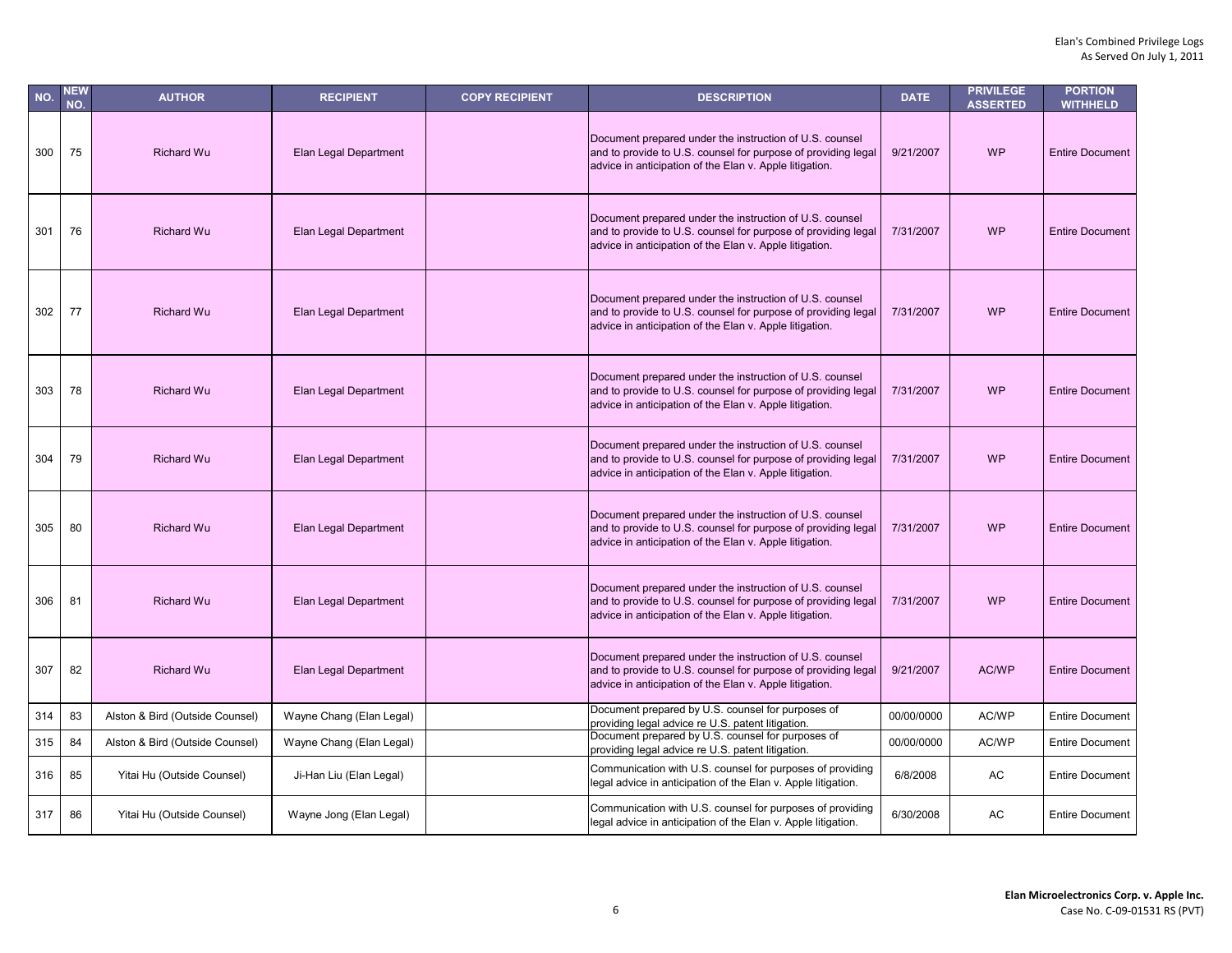| NO. | <b>NEW</b><br>NO. | <b>AUTHOR</b>                   | <b>RECIPIENT</b>         | <b>COPY RECIPIENT</b> | <b>DESCRIPTION</b>                                                                                                                                                                  | <b>DATE</b> | <b>PRIVILEGE</b><br><b>ASSERTED</b> | <b>PORTION</b><br><b>WITHHELD</b> |
|-----|-------------------|---------------------------------|--------------------------|-----------------------|-------------------------------------------------------------------------------------------------------------------------------------------------------------------------------------|-------------|-------------------------------------|-----------------------------------|
| 300 | 75                | <b>Richard Wu</b>               | Elan Legal Department    |                       | Document prepared under the instruction of U.S. counsel<br>and to provide to U.S. counsel for purpose of providing legal<br>advice in anticipation of the Elan v. Apple litigation. | 9/21/2007   | <b>WP</b>                           | <b>Entire Document</b>            |
| 301 | 76                | <b>Richard Wu</b>               | Elan Legal Department    |                       | Document prepared under the instruction of U.S. counsel<br>and to provide to U.S. counsel for purpose of providing legal<br>advice in anticipation of the Elan v. Apple litigation. | 7/31/2007   | <b>WP</b>                           | <b>Entire Document</b>            |
| 302 | 77                | <b>Richard Wu</b>               | Elan Legal Department    |                       | Document prepared under the instruction of U.S. counsel<br>and to provide to U.S. counsel for purpose of providing legal<br>advice in anticipation of the Elan v. Apple litigation. | 7/31/2007   | <b>WP</b>                           | <b>Entire Document</b>            |
| 303 | 78                | <b>Richard Wu</b>               | Elan Legal Department    |                       | Document prepared under the instruction of U.S. counsel<br>and to provide to U.S. counsel for purpose of providing legal<br>advice in anticipation of the Elan v. Apple litigation. | 7/31/2007   | <b>WP</b>                           | <b>Entire Document</b>            |
| 304 | 79                | <b>Richard Wu</b>               | Elan Legal Department    |                       | Document prepared under the instruction of U.S. counsel<br>and to provide to U.S. counsel for purpose of providing legal<br>advice in anticipation of the Elan v. Apple litigation. | 7/31/2007   | <b>WP</b>                           | <b>Entire Document</b>            |
| 305 | 80                | <b>Richard Wu</b>               | Elan Legal Department    |                       | Document prepared under the instruction of U.S. counsel<br>and to provide to U.S. counsel for purpose of providing legal<br>advice in anticipation of the Elan v. Apple litigation. | 7/31/2007   | <b>WP</b>                           | <b>Entire Document</b>            |
| 306 | 81                | <b>Richard Wu</b>               | Elan Legal Department    |                       | Document prepared under the instruction of U.S. counsel<br>and to provide to U.S. counsel for purpose of providing legal<br>advice in anticipation of the Elan v. Apple litigation. | 7/31/2007   | <b>WP</b>                           | <b>Entire Document</b>            |
| 307 | 82                | <b>Richard Wu</b>               | Elan Legal Department    |                       | Document prepared under the instruction of U.S. counsel<br>and to provide to U.S. counsel for purpose of providing legal<br>advice in anticipation of the Elan v. Apple litigation. | 9/21/2007   | AC/WP                               | <b>Entire Document</b>            |
| 314 | 83                | Alston & Bird (Outside Counsel) | Wayne Chang (Elan Legal) |                       | Document prepared by U.S. counsel for purposes of<br>providing legal advice re U.S. patent litigation.                                                                              | 00/00/0000  | AC/WP                               | <b>Entire Document</b>            |
| 315 | 84                | Alston & Bird (Outside Counsel) | Wayne Chang (Elan Legal) |                       | Document prepared by U.S. counsel for purposes of<br>providing legal advice re U.S. patent litigation.                                                                              | 00/00/0000  | AC/WP                               | <b>Entire Document</b>            |
| 316 | 85                | Yitai Hu (Outside Counsel)      | Ji-Han Liu (Elan Legal)  |                       | Communication with U.S. counsel for purposes of providing<br>legal advice in anticipation of the Elan v. Apple litigation.                                                          | 6/8/2008    | AC                                  | <b>Entire Document</b>            |
| 317 | 86                | Yitai Hu (Outside Counsel)      | Wayne Jong (Elan Legal)  |                       | Communication with U.S. counsel for purposes of providing<br>legal advice in anticipation of the Elan v. Apple litigation.                                                          | 6/30/2008   | AC                                  | <b>Entire Document</b>            |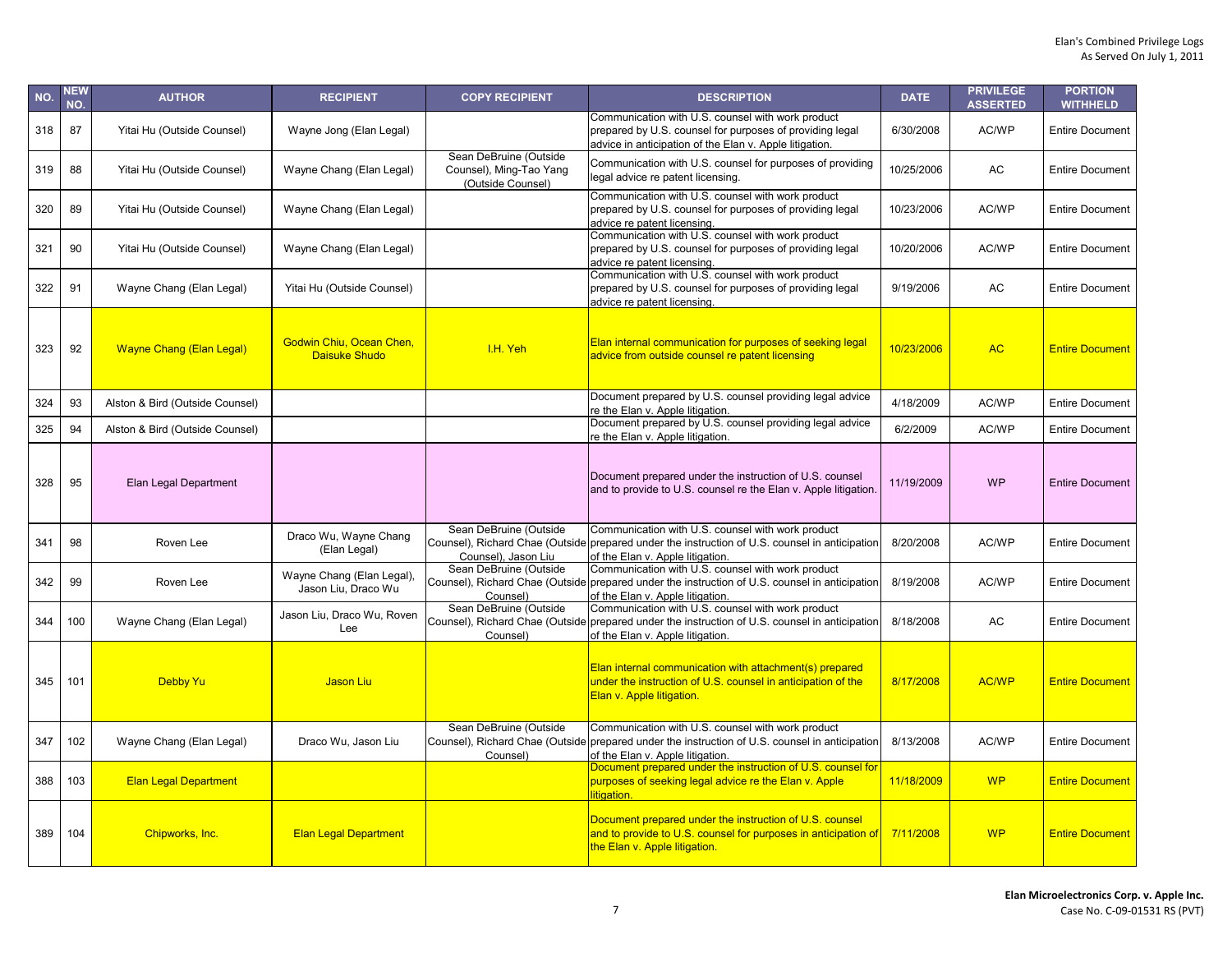| NO. | NEW<br>NO. | <b>AUTHOR</b>                   | <b>RECIPIENT</b>                                 | <b>COPY RECIPIENT</b>                                                  | <b>DESCRIPTION</b>                                                                                                                                                                      | <b>DATE</b> | <b>PRIVILEGE</b><br><b>ASSERTED</b> | <b>PORTION</b><br><b>WITHHELD</b> |
|-----|------------|---------------------------------|--------------------------------------------------|------------------------------------------------------------------------|-----------------------------------------------------------------------------------------------------------------------------------------------------------------------------------------|-------------|-------------------------------------|-----------------------------------|
| 318 | 87         | Yitai Hu (Outside Counsel)      | Wayne Jong (Elan Legal)                          |                                                                        | Communication with U.S. counsel with work product<br>prepared by U.S. counsel for purposes of providing legal<br>advice in anticipation of the Elan v. Apple litigation.                | 6/30/2008   | AC/WP                               | <b>Entire Document</b>            |
| 319 | 88         | Yitai Hu (Outside Counsel)      | Wayne Chang (Elan Legal)                         | Sean DeBruine (Outside<br>Counsel), Ming-Tao Yang<br>(Outside Counsel) | Communication with U.S. counsel for purposes of providing<br>legal advice re patent licensing.                                                                                          | 10/25/2006  | AC                                  | <b>Entire Document</b>            |
| 320 | 89         | Yitai Hu (Outside Counsel)      | Wayne Chang (Elan Legal)                         |                                                                        | Communication with U.S. counsel with work product<br>prepared by U.S. counsel for purposes of providing legal<br>advice re patent licensing.                                            | 10/23/2006  | AC/WP                               | <b>Entire Document</b>            |
| 321 | 90         | Yitai Hu (Outside Counsel)      | Wayne Chang (Elan Legal)                         |                                                                        | Communication with U.S. counsel with work product<br>prepared by U.S. counsel for purposes of providing legal<br>advice re patent licensing.                                            | 10/20/2006  | AC/WP                               | <b>Entire Document</b>            |
| 322 | 91         | Wayne Chang (Elan Legal)        | Yitai Hu (Outside Counsel)                       |                                                                        | Communication with U.S. counsel with work product<br>prepared by U.S. counsel for purposes of providing legal<br>advice re patent licensing.                                            | 9/19/2006   | AC                                  | <b>Entire Document</b>            |
| 323 | 92         | <b>Wayne Chang (Elan Legal)</b> | Godwin Chiu, Ocean Chen,<br>Daisuke Shudo        | I.H. Yeh                                                               | Elan internal communication for purposes of seeking legal<br>advice from outside counsel re patent licensing                                                                            | 10/23/2006  | <b>AC</b>                           | <b>Entire Document</b>            |
| 324 | 93         | Alston & Bird (Outside Counsel) |                                                  |                                                                        | Document prepared by U.S. counsel providing legal advice<br>re the Elan v. Apple litigation.                                                                                            | 4/18/2009   | AC/WP                               | <b>Entire Document</b>            |
| 325 | 94         | Alston & Bird (Outside Counsel) |                                                  |                                                                        | Document prepared by U.S. counsel providing legal advice<br>re the Elan v. Apple litigation.                                                                                            | 6/2/2009    | AC/WP                               | <b>Entire Document</b>            |
| 328 | 95         | Elan Legal Department           |                                                  |                                                                        | Document prepared under the instruction of U.S. counsel<br>and to provide to U.S. counsel re the Elan v. Apple litigation.                                                              | 11/19/2009  | <b>WP</b>                           | <b>Entire Document</b>            |
| 341 | 98         | Roven Lee                       | Draco Wu, Wayne Chang<br>(Elan Legal)            | Sean DeBruine (Outside<br>Counsel), Jason Liu                          | Communication with U.S. counsel with work product<br>Counsel), Richard Chae (Outside prepared under the instruction of U.S. counsel in anticipation<br>of the Elan v. Apple litigation. | 8/20/2008   | AC/WP                               | <b>Entire Document</b>            |
| 342 | 99         | Roven Lee                       | Wayne Chang (Elan Legal),<br>Jason Liu. Draco Wu | Sean DeBruine (Outside<br>Counsel)                                     | Communication with U.S. counsel with work product<br>Counsel), Richard Chae (Outside prepared under the instruction of U.S. counsel in anticipation<br>of the Elan v. Apple litigation. | 8/19/2008   | AC/WP                               | <b>Entire Document</b>            |
| 344 | 100        | Wayne Chang (Elan Legal)        | Jason Liu, Draco Wu, Roven<br>Lee                | Sean DeBruine (Outside<br>Counsel)                                     | Communication with U.S. counsel with work product<br>Counsel), Richard Chae (Outside prepared under the instruction of U.S. counsel in anticipation<br>of the Elan v. Apple litigation. | 8/18/2008   | AC                                  | <b>Entire Document</b>            |
| 345 | 101        | <b>Debby Yu</b>                 | Jason Liu                                        |                                                                        | Elan internal communication with attachment(s) prepared<br>under the instruction of U.S. counsel in anticipation of the<br>Elan v. Apple litigation.                                    | 8/17/2008   | <b>AC/WP</b>                        | <b>Entire Document</b>            |
| 347 | 102        | Wayne Chang (Elan Legal)        | Draco Wu, Jason Liu                              | Sean DeBruine (Outside<br>Counsel)                                     | Communication with U.S. counsel with work product<br>Counsel), Richard Chae (Outside prepared under the instruction of U.S. counsel in anticipation<br>of the Elan v. Apple litigation. | 8/13/2008   | AC/WP                               | <b>Entire Document</b>            |
| 388 | 103        | <b>Elan Legal Department</b>    |                                                  |                                                                        | Document prepared under the instruction of U.S. counsel for<br>purposes of seeking legal advice re the Elan v. Apple<br>litigation.                                                     | 11/18/2009  | <b>WP</b>                           | <b>Entire Document</b>            |
| 389 | 104        | Chipworks, Inc.                 | <b>Elan Legal Department</b>                     |                                                                        | Document prepared under the instruction of U.S. counsel<br>and to provide to U.S. counsel for purposes in anticipation of<br>the Elan v. Apple litigation.                              | 7/11/2008   | <b>WP</b>                           | <b>Entire Document</b>            |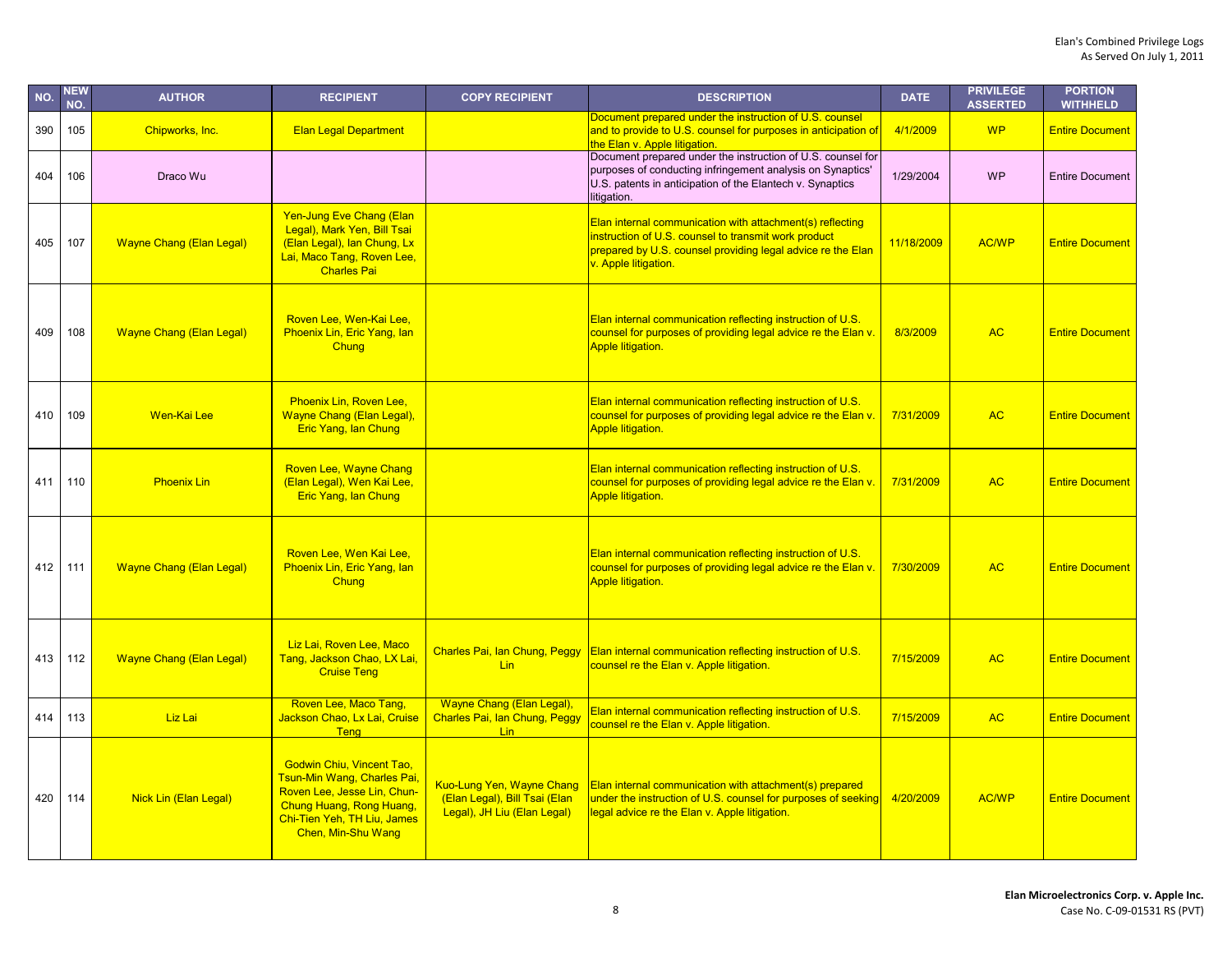| NO. | NEW<br>NO. | <b>AUTHOR</b>                   | <b>RECIPIENT</b>                                                                                                                                                                | <b>COPY RECIPIENT</b>                                                                     | <b>DESCRIPTION</b>                                                                                                                                                                                       | <b>DATE</b> | <b>PRIVILEGE</b><br><b>ASSERTED</b> | <b>PORTION</b><br><b>WITHHELD</b> |
|-----|------------|---------------------------------|---------------------------------------------------------------------------------------------------------------------------------------------------------------------------------|-------------------------------------------------------------------------------------------|----------------------------------------------------------------------------------------------------------------------------------------------------------------------------------------------------------|-------------|-------------------------------------|-----------------------------------|
| 390 | 105        | Chipworks, Inc.                 | <b>Elan Legal Department</b>                                                                                                                                                    |                                                                                           | Document prepared under the instruction of U.S. counsel<br>and to provide to U.S. counsel for purposes in anticipation of<br>the Elan v. Apple litigation.                                               | 4/1/2009    | <b>WP</b>                           | <b>Entire Document</b>            |
| 404 | 106        | Draco Wu                        |                                                                                                                                                                                 |                                                                                           | Document prepared under the instruction of U.S. counsel for<br>purposes of conducting infringement analysis on Synaptics'<br>U.S. patents in anticipation of the Elantech v. Synaptics<br>litigation.    | 1/29/2004   | <b>WP</b>                           | <b>Entire Document</b>            |
| 405 | 107        | <b>Wayne Chang (Elan Legal)</b> | Yen-Jung Eve Chang (Elan<br>Legal), Mark Yen, Bill Tsai<br>(Elan Legal), lan Chung, Lx<br>Lai, Maco Tang, Roven Lee,<br><b>Charles Pai</b>                                      |                                                                                           | Elan internal communication with attachment(s) reflecting<br>instruction of U.S. counsel to transmit work product<br>prepared by U.S. counsel providing legal advice re the Elan<br>v. Apple litigation. | 11/18/2009  | <b>AC/WP</b>                        | <b>Entire Document</b>            |
| 409 | 108        | <b>Wayne Chang (Elan Legal)</b> | Roven Lee, Wen-Kai Lee,<br>Phoenix Lin, Eric Yang, lan<br>Chung                                                                                                                 |                                                                                           | Elan internal communication reflecting instruction of U.S.<br>counsel for purposes of providing legal advice re the Elan v.<br><b>Apple litigation.</b>                                                  | 8/3/2009    | <b>AC</b>                           | <b>Entire Document</b>            |
| 410 | 109        | Wen-Kai Lee                     | Phoenix Lin, Roven Lee,<br>Wayne Chang (Elan Legal),<br>Eric Yang, Ian Chung                                                                                                    |                                                                                           | Elan internal communication reflecting instruction of U.S.<br>counsel for purposes of providing legal advice re the Elan v.<br><b>Apple litigation.</b>                                                  | 7/31/2009   | <b>AC</b>                           | <b>Entire Document</b>            |
| 411 | 110        | <b>Phoenix Lin</b>              | Roven Lee, Wayne Chang<br>(Elan Legal), Wen Kai Lee,<br><b>Eric Yang, Ian Chung</b>                                                                                             |                                                                                           | Elan internal communication reflecting instruction of U.S.<br>counsel for purposes of providing legal advice re the Elan v.<br><b>Apple litigation.</b>                                                  | 7/31/2009   | <b>AC</b>                           | <b>Entire Document</b>            |
| 412 | 111        | <b>Wayne Chang (Elan Legal)</b> | Roven Lee, Wen Kai Lee,<br>Phoenix Lin, Eric Yang, lan<br>Chung                                                                                                                 |                                                                                           | Elan internal communication reflecting instruction of U.S.<br>counsel for purposes of providing legal advice re the Elan v.<br><b>Apple litigation.</b>                                                  | 7/30/2009   | <b>AC</b>                           | <b>Entire Document</b>            |
| 413 | 112        | <b>Wayne Chang (Elan Legal)</b> | Liz Lai, Roven Lee, Maco<br>Tang, Jackson Chao, LX Lai,<br><b>Cruise Teng</b>                                                                                                   | Charles Pai, Ian Chung, Peggy<br><b>Lin</b>                                               | Elan internal communication reflecting instruction of U.S.<br>counsel re the Elan v. Apple litigation.                                                                                                   | 7/15/2009   | <b>AC</b>                           | <b>Entire Document</b>            |
| 414 | 113        | Liz Lai                         | Roven Lee, Maco Tang,<br>Jackson Chao, Lx Lai, Cruise<br><b>Teng</b>                                                                                                            | Wayne Chang (Elan Legal),<br>Charles Pai, Ian Chung, Peggy<br>Lin                         | Elan internal communication reflecting instruction of U.S.<br>counsel re the Elan v. Apple litigation.                                                                                                   | 7/15/2009   | <b>AC</b>                           | <b>Entire Document</b>            |
| 420 | 114        | Nick Lin (Elan Legal)           | <b>Godwin Chiu, Vincent Tao,</b><br>Tsun-Min Wang, Charles Pai,<br>Roven Lee, Jesse Lin, Chun-<br>Chung Huang, Rong Huang,<br>Chi-Tien Yeh, TH Liu, James<br>Chen, Min-Shu Wang | Kuo-Lung Yen, Wayne Chang<br>(Elan Legal), Bill Tsai (Elan<br>Legal), JH Liu (Elan Legal) | Elan internal communication with attachment(s) prepared<br>under the instruction of U.S. counsel for purposes of seeking<br>legal advice re the Elan v. Apple litigation.                                | 4/20/2009   | <b>AC/WP</b>                        | <b>Entire Document</b>            |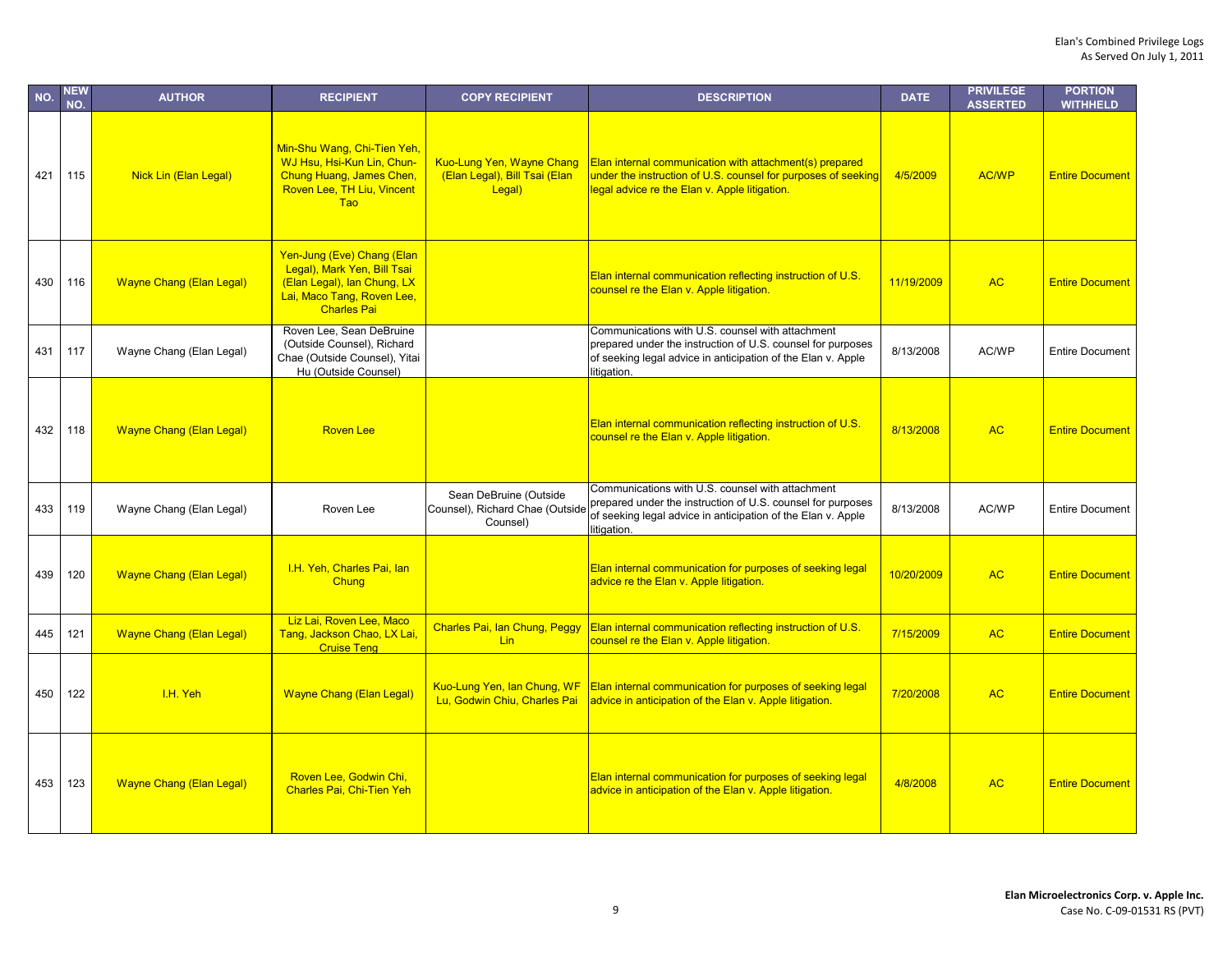| NO. | <b>NEW</b><br>NO. | <b>AUTHOR</b>                   | <b>RECIPIENT</b>                                                                                                                             | <b>COPY RECIPIENT</b>                                                       | <b>DESCRIPTION</b>                                                                                                                                                                             | <b>DATE</b> | <b>PRIVILEGE</b><br><b>ASSERTED</b> | <b>PORTION</b><br><b>WITHHELD</b> |
|-----|-------------------|---------------------------------|----------------------------------------------------------------------------------------------------------------------------------------------|-----------------------------------------------------------------------------|------------------------------------------------------------------------------------------------------------------------------------------------------------------------------------------------|-------------|-------------------------------------|-----------------------------------|
| 421 | 115               | Nick Lin (Elan Legal)           | Min-Shu Wang, Chi-Tien Yeh,<br>WJ Hsu, Hsi-Kun Lin, Chun-<br>Chung Huang, James Chen,<br>Roven Lee, TH Liu, Vincent<br><b>Tao</b>            | <b>Kuo-Lung Yen, Wayne Chang</b><br>(Elan Legal), Bill Tsai (Elan<br>Legal) | Elan internal communication with attachment(s) prepared<br>under the instruction of U.S. counsel for purposes of seeking<br>legal advice re the Elan v. Apple litigation.                      | 4/5/2009    | <b>AC/WP</b>                        | <b>Entire Document</b>            |
| 430 | 116               | <b>Wayne Chang (Elan Legal)</b> | Yen-Jung (Eve) Chang (Elan<br>Legal), Mark Yen, Bill Tsai<br>(Elan Legal), Ian Chung, LX<br>Lai, Maco Tang, Roven Lee,<br><b>Charles Pai</b> |                                                                             | Elan internal communication reflecting instruction of U.S.<br>counsel re the Elan v. Apple litigation.                                                                                         | 11/19/2009  | <b>AC</b>                           | <b>Entire Document</b>            |
| 431 | 117               | Wayne Chang (Elan Legal)        | Roven Lee, Sean DeBruine<br>(Outside Counsel), Richard<br>Chae (Outside Counsel), Yitai<br>Hu (Outside Counsel)                              |                                                                             | Communications with U.S. counsel with attachment<br>prepared under the instruction of U.S. counsel for purposes<br>of seeking legal advice in anticipation of the Elan v. Apple<br>litigation. | 8/13/2008   | AC/WP                               | <b>Entire Document</b>            |
| 432 | 118               | <b>Wayne Chang (Elan Legal)</b> | <b>Roven Lee</b>                                                                                                                             |                                                                             | Elan internal communication reflecting instruction of U.S.<br>counsel re the Elan v. Apple litigation.                                                                                         | 8/13/2008   | <b>AC</b>                           | <b>Entire Document</b>            |
| 433 | 119               | Wayne Chang (Elan Legal)        | Roven Lee                                                                                                                                    | Sean DeBruine (Outside<br>Counsel), Richard Chae (Outside<br>Counsel)       | Communications with U.S. counsel with attachment<br>prepared under the instruction of U.S. counsel for purposes<br>of seeking legal advice in anticipation of the Elan v. Apple<br>litigation. | 8/13/2008   | AC/WP                               | <b>Entire Document</b>            |
| 439 | 120               | <b>Wayne Chang (Elan Legal)</b> | I.H. Yeh, Charles Pai, lan<br>Chung                                                                                                          |                                                                             | Elan internal communication for purposes of seeking legal<br>advice re the Elan v. Apple litigation.                                                                                           | 10/20/2009  | <b>AC</b>                           | <b>Entire Document</b>            |
| 445 | 121               | <b>Wayne Chang (Elan Legal)</b> | Liz Lai, Roven Lee, Maco<br>Tang, Jackson Chao, LX Lai,<br><b>Cruise Teng</b>                                                                | Charles Pai, Ian Chung, Peggy<br><b>Lin</b>                                 | Elan internal communication reflecting instruction of U.S.<br>counsel re the Elan v. Apple litigation.                                                                                         | 7/15/2009   | <b>AC</b>                           | <b>Entire Document</b>            |
| 450 | 122               | I.H. Yeh                        | <b>Wayne Chang (Elan Legal)</b>                                                                                                              | Kuo-Lung Yen, Ian Chung, WF<br>Lu, Godwin Chiu, Charles Pai                 | <b>Elan internal communication for purposes of seeking legal</b><br>advice in anticipation of the Elan v. Apple litigation.                                                                    | 7/20/2008   | <b>AC</b>                           | <b>Entire Document</b>            |
| 453 | 123               | <b>Wayne Chang (Elan Legal)</b> | Roven Lee, Godwin Chi,<br><b>Charles Pai, Chi-Tien Yeh</b>                                                                                   |                                                                             | Elan internal communication for purposes of seeking legal<br>advice in anticipation of the Elan v. Apple litigation.                                                                           | 4/8/2008    | <b>AC</b>                           | <b>Entire Document</b>            |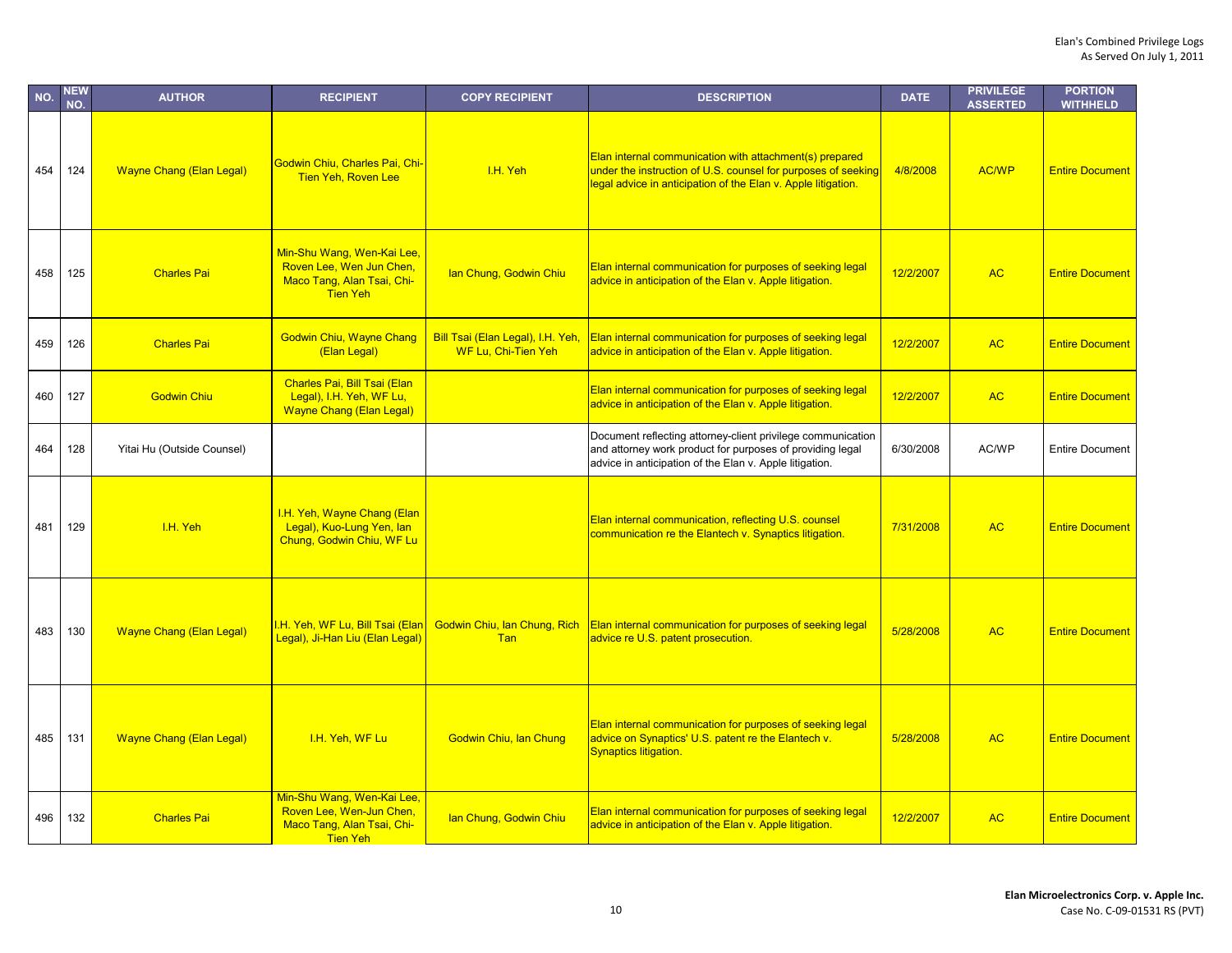| NO. | <b>NEW</b><br>NO. | <b>AUTHOR</b>                   | <b>RECIPIENT</b>                                                                                        | <b>COPY RECIPIENT</b>                                    | <b>DESCRIPTION</b>                                                                                                                                                                        | <b>DATE</b> | <b>PRIVILEGE</b><br><b>ASSERTED</b> | <b>PORTION</b><br><b>WITHHELD</b> |
|-----|-------------------|---------------------------------|---------------------------------------------------------------------------------------------------------|----------------------------------------------------------|-------------------------------------------------------------------------------------------------------------------------------------------------------------------------------------------|-------------|-------------------------------------|-----------------------------------|
| 454 | 124               | <b>Wayne Chang (Elan Legal)</b> | Godwin Chiu, Charles Pai, Chi-<br><b>Tien Yeh, Roven Lee</b>                                            | I.H. Yeh                                                 | Elan internal communication with attachment(s) prepared<br>under the instruction of U.S. counsel for purposes of seeking<br>legal advice in anticipation of the Elan v. Apple litigation. | 4/8/2008    | <b>AC/WP</b>                        | <b>Entire Document</b>            |
| 458 | 125               | <b>Charles Pai</b>              | Min-Shu Wang, Wen-Kai Lee.<br>Roven Lee, Wen Jun Chen,<br>Maco Tang, Alan Tsai, Chi-<br><b>Tien Yeh</b> | Ian Chung, Godwin Chiu                                   | <b>Elan internal communication for purposes of seeking legal</b><br>advice in anticipation of the Elan v. Apple litigation.                                                               | 12/2/2007   | <b>AC</b>                           | <b>Entire Document</b>            |
| 459 | 126               | <b>Charles Pai</b>              | <b>Godwin Chiu, Wayne Chang</b><br>(Elan Legal)                                                         | Bill Tsai (Elan Legal), I.H. Yeh,<br>WF Lu, Chi-Tien Yeh | <b>Elan internal communication for purposes of seeking legal</b><br>advice in anticipation of the Elan v. Apple litigation.                                                               | 12/2/2007   | <b>AC</b>                           | <b>Entire Document</b>            |
| 460 | 127               | <b>Godwin Chiu</b>              | Charles Pai, Bill Tsai (Elan<br>Legal), I.H. Yeh, WF Lu,<br><b>Wayne Chang (Elan Legal)</b>             |                                                          | Elan internal communication for purposes of seeking legal<br>advice in anticipation of the Elan v. Apple litigation.                                                                      | 12/2/2007   | <b>AC</b>                           | <b>Entire Document</b>            |
| 464 | 128               | Yitai Hu (Outside Counsel)      |                                                                                                         |                                                          | Document reflecting attorney-client privilege communication<br>and attorney work product for purposes of providing legal<br>advice in anticipation of the Elan v. Apple litigation.       | 6/30/2008   | AC/WP                               | <b>Entire Document</b>            |
| 481 | 129               | I.H. Yeh                        | I.H. Yeh, Wayne Chang (Elan<br>Legal), Kuo-Lung Yen, lan<br>Chung, Godwin Chiu, WF Lu                   |                                                          | Elan internal communication, reflecting U.S. counsel<br>communication re the Elantech v. Synaptics litigation.                                                                            | 7/31/2008   | <b>AC</b>                           | <b>Entire Document</b>            |
| 483 | 130               | <b>Wayne Chang (Elan Legal)</b> | I.H. Yeh, WF Lu, Bill Tsai (Elan<br>Legal), Ji-Han Liu (Elan Legal)                                     | Godwin Chiu, Ian Chung, Rich<br>Tan                      | <b>Elan internal communication for purposes of seeking legal</b><br>advice re U.S. patent prosecution.                                                                                    | 5/28/2008   | <b>AC</b>                           | <b>Entire Document</b>            |
| 485 | 131               | <b>Wayne Chang (Elan Legal)</b> | I.H. Yeh, WF Lu                                                                                         | Godwin Chiu, Ian Chung                                   | Elan internal communication for purposes of seeking legal<br>advice on Synaptics' U.S. patent re the Elantech v.<br>Synaptics litigation.                                                 | 5/28/2008   | <b>AC</b>                           | <b>Entire Document</b>            |
| 496 | 132               | <b>Charles Pai</b>              | Min-Shu Wang, Wen-Kai Lee,<br>Roven Lee, Wen-Jun Chen,<br>Maco Tang, Alan Tsai, Chi-<br><b>Tien Yeh</b> | Ian Chung, Godwin Chiu                                   | Elan internal communication for purposes of seeking legal<br>advice in anticipation of the Elan v. Apple litigation.                                                                      | 12/2/2007   | <b>AC</b>                           | <b>Entire Document</b>            |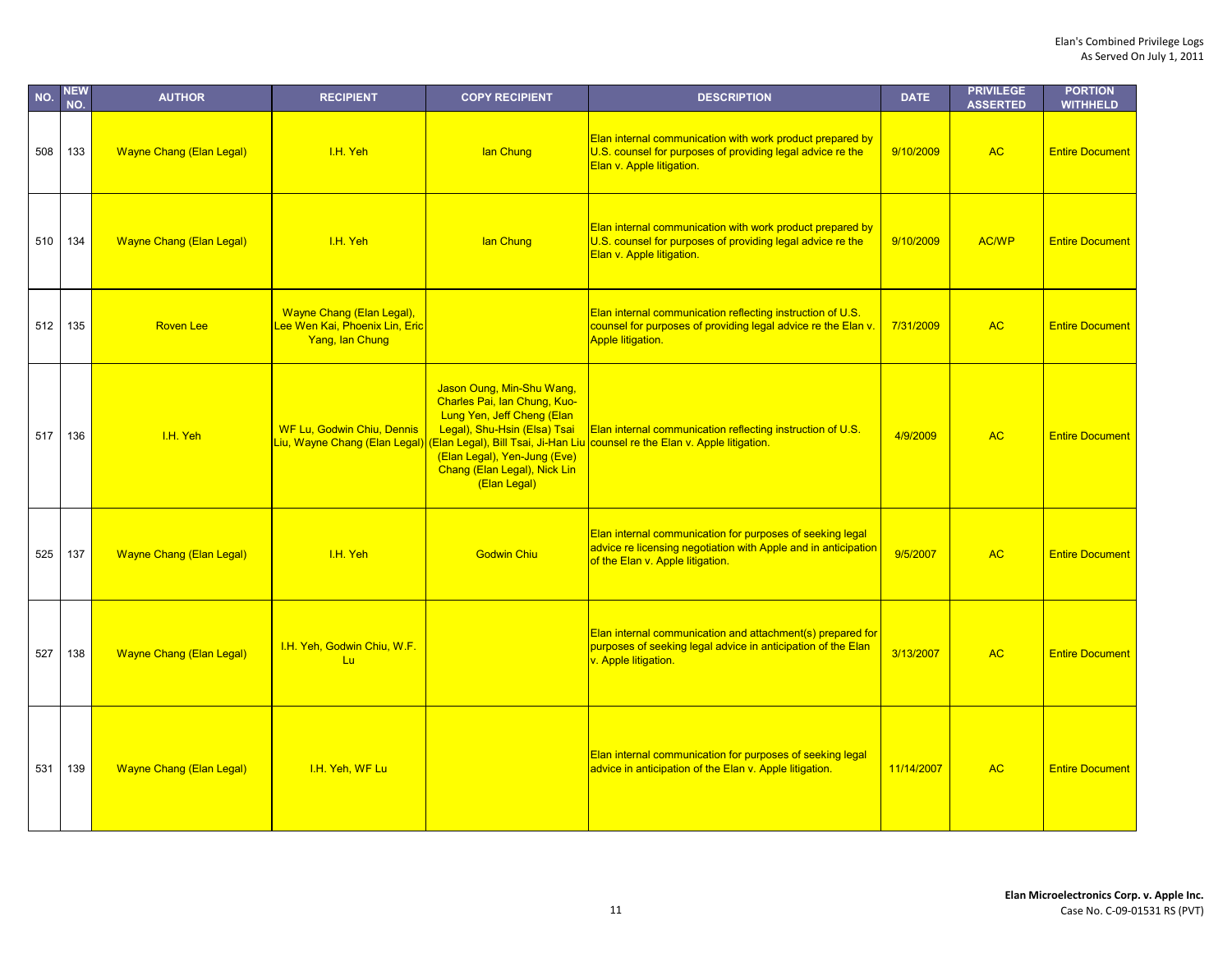| NO. | <b>NEW</b><br>NO. | <b>AUTHOR</b>                   | <b>RECIPIENT</b>                                                               | <b>COPY RECIPIENT</b>                                                                                                                                                                                   | <b>DESCRIPTION</b>                                                                                                                                              | <b>DATE</b> | <b>PRIVILEGE</b><br><b>ASSERTED</b> | <b>PORTION</b><br><b>WITHHELD</b> |
|-----|-------------------|---------------------------------|--------------------------------------------------------------------------------|---------------------------------------------------------------------------------------------------------------------------------------------------------------------------------------------------------|-----------------------------------------------------------------------------------------------------------------------------------------------------------------|-------------|-------------------------------------|-----------------------------------|
| 508 | 133               | <b>Wayne Chang (Elan Legal)</b> | I.H. Yeh                                                                       | lan Chung                                                                                                                                                                                               | Elan internal communication with work product prepared by<br>U.S. counsel for purposes of providing legal advice re the<br>Elan v. Apple litigation.            | 9/10/2009   | <b>AC</b>                           | <b>Entire Document</b>            |
| 510 | 134               | <b>Wayne Chang (Elan Legal)</b> | I.H. Yeh                                                                       | lan Chung                                                                                                                                                                                               | Elan internal communication with work product prepared by<br>U.S. counsel for purposes of providing legal advice re the<br>Elan v. Apple litigation.            | 9/10/2009   | AC/WP                               | <b>Entire Document</b>            |
| 512 | 135               | <b>Roven Lee</b>                | Wayne Chang (Elan Legal),<br>Lee Wen Kai, Phoenix Lin, Eric<br>Yang, lan Chung |                                                                                                                                                                                                         | Elan internal communication reflecting instruction of U.S.<br>counsel for purposes of providing legal advice re the Elan v.<br><b>Apple litigation.</b>         | 7/31/2009   | <b>AC</b>                           | <b>Entire Document</b>            |
| 517 | 136               | I.H. Yeh                        | <b>WF Lu, Godwin Chiu, Dennis</b><br>Liu, Wayne Chang (Elan Legal)             | Jason Oung, Min-Shu Wang,<br>Charles Pai, Ian Chung, Kuo-<br>Lung Yen, Jeff Cheng (Elan<br>Legal), Shu-Hsin (Elsa) Tsai<br>(Elan Legal), Yen-Jung (Eve)<br>Chang (Elan Legal), Nick Lin<br>(Elan Legal) | <b>Elan internal communication reflecting instruction of U.S.</b><br>(Elan Legal), Bill Tsai, Ji-Han Liu counsel re the Elan v. Apple litigation.               | 4/9/2009    | <b>AC</b>                           | <b>Entire Document</b>            |
| 525 | 137               | <b>Wayne Chang (Elan Legal)</b> | I.H. Yeh                                                                       | <b>Godwin Chiu</b>                                                                                                                                                                                      | Elan internal communication for purposes of seeking legal<br>advice re licensing negotiation with Apple and in anticipation<br>of the Elan v. Apple litigation. | 9/5/2007    | <b>AC</b>                           | <b>Entire Document</b>            |
| 527 | 138               | <b>Wayne Chang (Elan Legal)</b> | I.H. Yeh, Godwin Chiu, W.F.<br>Lu                                              |                                                                                                                                                                                                         | Elan internal communication and attachment(s) prepared for<br>purposes of seeking legal advice in anticipation of the Elan<br>v. Apple litigation.              | 3/13/2007   | <b>AC</b>                           | <b>Entire Document</b>            |
| 531 | 139               | <b>Wayne Chang (Elan Legal)</b> | I.H. Yeh, WF Lu                                                                |                                                                                                                                                                                                         | Elan internal communication for purposes of seeking legal<br>advice in anticipation of the Elan v. Apple litigation.                                            | 11/14/2007  | <b>AC</b>                           | <b>Entire Document</b>            |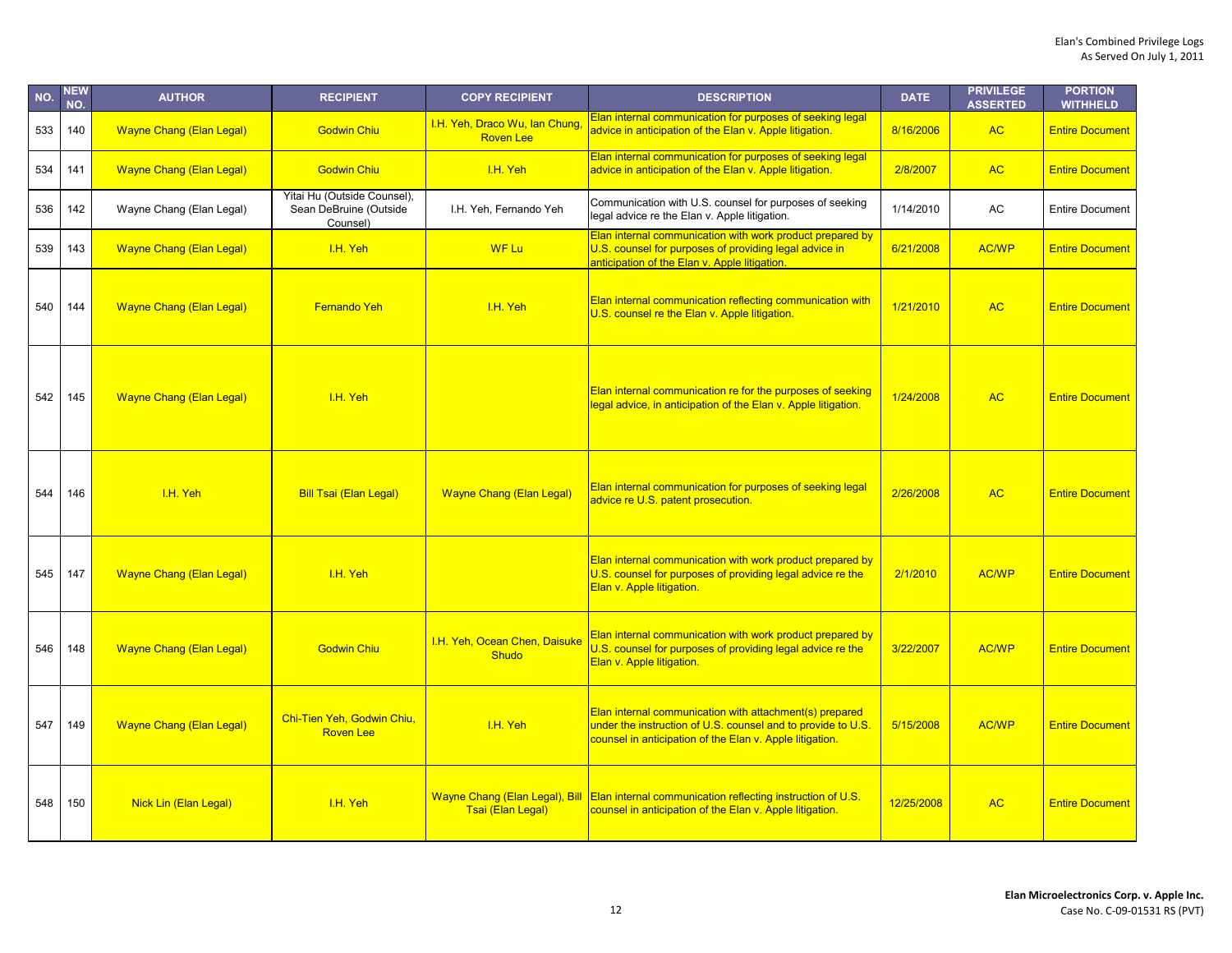| NO. | <b>NEW</b><br>NO. | <b>AUTHOR</b>                   | <b>RECIPIENT</b>                                                  | <b>COPY RECIPIENT</b>                               | <b>DESCRIPTION</b>                                                                                                                                                                  | <b>DATE</b> | <b>PRIVILEGE</b><br><b>ASSERTED</b> | <b>PORTION</b><br><b>WITHHELD</b> |
|-----|-------------------|---------------------------------|-------------------------------------------------------------------|-----------------------------------------------------|-------------------------------------------------------------------------------------------------------------------------------------------------------------------------------------|-------------|-------------------------------------|-----------------------------------|
| 533 | 140               | <b>Wayne Chang (Elan Legal)</b> | <b>Godwin Chiu</b>                                                | I.H. Yeh, Draco Wu, Ian Chung<br><b>Roven Lee</b>   | Elan internal communication for purposes of seeking legal<br>advice in anticipation of the Elan v. Apple litigation.                                                                | 8/16/2006   | <b>AC</b>                           | <b>Entire Document</b>            |
| 534 | 141               | <b>Wayne Chang (Elan Legal)</b> | <b>Godwin Chiu</b>                                                | I.H. Yeh                                            | Elan internal communication for purposes of seeking legal<br>advice in anticipation of the Elan v. Apple litigation.                                                                | 2/8/2007    | <b>AC</b>                           | <b>Entire Document</b>            |
| 536 | 142               | Wayne Chang (Elan Legal)        | Yitai Hu (Outside Counsel),<br>Sean DeBruine (Outside<br>Counsel) | I.H. Yeh, Fernando Yeh                              | Communication with U.S. counsel for purposes of seeking<br>legal advice re the Elan v. Apple litigation.                                                                            | 1/14/2010   | AC                                  | <b>Entire Document</b>            |
| 539 | 143               | <b>Wayne Chang (Elan Legal)</b> | I.H. Yeh                                                          | <b>WF Lu</b>                                        | Elan internal communication with work product prepared by<br>U.S. counsel for purposes of providing legal advice in<br>anticipation of the Elan v. Apple litigation.                | 6/21/2008   | <b>AC/WP</b>                        | <b>Entire Document</b>            |
| 540 | 144               | <b>Wayne Chang (Elan Legal)</b> | <b>Fernando Yeh</b>                                               | I.H. Yeh                                            | Elan internal communication reflecting communication with<br>U.S. counsel re the Elan v. Apple litigation.                                                                          | 1/21/2010   | <b>AC</b>                           | <b>Entire Document</b>            |
| 542 | 145               | <b>Wayne Chang (Elan Legal)</b> | I.H. Yeh                                                          |                                                     | Elan internal communication re for the purposes of seeking<br>legal advice, in anticipation of the Elan v. Apple litigation.                                                        | 1/24/2008   | <b>AC</b>                           | <b>Entire Document</b>            |
| 544 | 146               | I.H. Yeh                        | <b>Bill Tsai (Elan Legal)</b>                                     | <b>Wayne Chang (Elan Legal)</b>                     | Elan internal communication for purposes of seeking legal<br>advice re U.S. patent prosecution.                                                                                     | 2/26/2008   | <b>AC</b>                           | <b>Entire Document</b>            |
| 545 | 147               | <b>Wayne Chang (Elan Legal)</b> | I.H. Yeh                                                          |                                                     | Elan internal communication with work product prepared by<br>U.S. counsel for purposes of providing legal advice re the<br>Elan v. Apple litigation.                                | 2/1/2010    | <b>AC/WP</b>                        | <b>Entire Document</b>            |
| 546 | 148               | <b>Wayne Chang (Elan Legal)</b> | <b>Godwin Chiu</b>                                                | I.H. Yeh, Ocean Chen, Daisuke<br><b>Shudo</b>       | Elan internal communication with work product prepared by<br>U.S. counsel for purposes of providing legal advice re the<br>Elan v. Apple litigation.                                | 3/22/2007   | <b>AC/WP</b>                        | <b>Entire Document</b>            |
| 547 | 149               | <b>Wayne Chang (Elan Legal)</b> | Chi-Tien Yeh, Godwin Chiu,<br><b>Roven Lee</b>                    | I.H. Yeh                                            | Elan internal communication with attachment(s) prepared<br>under the instruction of U.S. counsel and to provide to U.S.<br>counsel in anticipation of the Elan v. Apple litigation. | 5/15/2008   | <b>AC/WP</b>                        | <b>Entire Document</b>            |
| 548 | 150               | Nick Lin (Elan Legal)           | I.H. Yeh                                                          | Wayne Chang (Elan Legal), Bill<br>Tsai (Elan Legal) | Elan internal communication reflecting instruction of U.S.<br>counsel in anticipation of the Elan v. Apple litigation.                                                              | 12/25/2008  | <b>AC</b>                           | <b>Entire Document</b>            |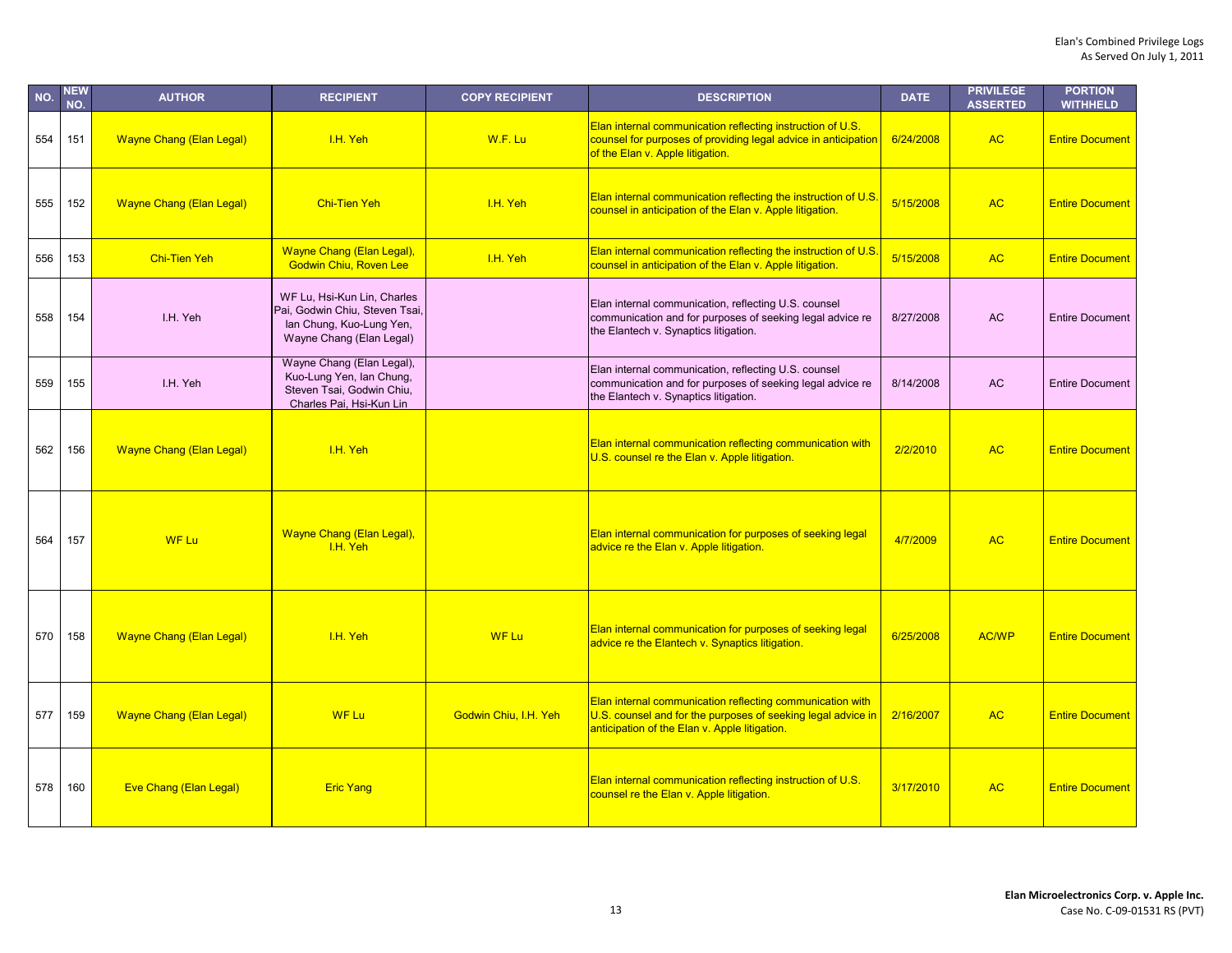| NO. | <b>NEW</b><br>NO. | <b>AUTHOR</b>                   | <b>RECIPIENT</b>                                                                                                      | <b>COPY RECIPIENT</b> | <b>DESCRIPTION</b>                                                                                                                                                         | <b>DATE</b> | <b>PRIVILEGE</b><br><b>ASSERTED</b> | <b>PORTION</b><br><b>WITHHELD</b> |
|-----|-------------------|---------------------------------|-----------------------------------------------------------------------------------------------------------------------|-----------------------|----------------------------------------------------------------------------------------------------------------------------------------------------------------------------|-------------|-------------------------------------|-----------------------------------|
| 554 | 151               | <b>Wayne Chang (Elan Legal)</b> | I.H. Yeh                                                                                                              | W.F. Lu               | Elan internal communication reflecting instruction of U.S.<br>counsel for purposes of providing legal advice in anticipation<br>of the Elan v. Apple litigation.           | 6/24/2008   | <b>AC</b>                           | <b>Entire Document</b>            |
| 555 | 152               | <b>Wayne Chang (Elan Legal)</b> | <b>Chi-Tien Yeh</b>                                                                                                   | I.H. Yeh              | Elan internal communication reflecting the instruction of U.S<br>counsel in anticipation of the Elan v. Apple litigation.                                                  | 5/15/2008   | <b>AC</b>                           | <b>Entire Document</b>            |
| 556 | 153               | <b>Chi-Tien Yeh</b>             | Wayne Chang (Elan Legal),<br>Godwin Chiu, Roven Lee                                                                   | I.H. Yeh              | Elan internal communication reflecting the instruction of U.S.<br>counsel in anticipation of the Elan v. Apple litigation.                                                 | 5/15/2008   | <b>AC</b>                           | <b>Entire Document</b>            |
| 558 | 154               | I.H. Yeh                        | WF Lu, Hsi-Kun Lin, Charles<br>Pai, Godwin Chiu, Steven Tsai,<br>lan Chung, Kuo-Lung Yen,<br>Wayne Chang (Elan Legal) |                       | Elan internal communication, reflecting U.S. counsel<br>communication and for purposes of seeking legal advice re<br>the Elantech v. Synaptics litigation.                 | 8/27/2008   | <b>AC</b>                           | <b>Entire Document</b>            |
| 559 | 155               | I.H. Yeh                        | Wayne Chang (Elan Legal),<br>Kuo-Lung Yen, Ian Chung,<br>Steven Tsai, Godwin Chiu,<br>Charles Pai, Hsi-Kun Lin        |                       | Elan internal communication, reflecting U.S. counsel<br>communication and for purposes of seeking legal advice re<br>the Elantech v. Synaptics litigation.                 | 8/14/2008   | <b>AC</b>                           | <b>Entire Document</b>            |
| 562 | 156               | <b>Wayne Chang (Elan Legal)</b> | I.H. Yeh                                                                                                              |                       | Elan internal communication reflecting communication with<br>U.S. counsel re the Elan v. Apple litigation.                                                                 | 2/2/2010    | <b>AC</b>                           | <b>Entire Document</b>            |
| 564 | 157               | <b>WF Lu</b>                    | <b>Wayne Chang (Elan Legal),</b><br>I.H. Yeh                                                                          |                       | Elan internal communication for purposes of seeking legal<br>advice re the Elan v. Apple litigation.                                                                       | 4/7/2009    | <b>AC</b>                           | <b>Entire Document</b>            |
| 570 | 158               | <b>Wayne Chang (Elan Legal)</b> | I.H. Yeh                                                                                                              | <b>WF Lu</b>          | Elan internal communication for purposes of seeking legal<br>advice re the Elantech v. Synaptics litigation.                                                               | 6/25/2008   | <b>AC/WP</b>                        | <b>Entire Document</b>            |
| 577 | 159               | <b>Wayne Chang (Elan Legal)</b> | <b>WF Lu</b>                                                                                                          | Godwin Chiu, I.H. Yeh | Elan internal communication reflecting communication with<br>U.S. counsel and for the purposes of seeking legal advice in<br>anticipation of the Elan v. Apple litigation. | 2/16/2007   | <b>AC</b>                           | <b>Entire Document</b>            |
| 578 | 160               | <b>Eve Chang (Elan Legal)</b>   | <b>Eric Yang</b>                                                                                                      |                       | Elan internal communication reflecting instruction of U.S.<br>counsel re the Elan v. Apple litigation.                                                                     | 3/17/2010   | <b>AC</b>                           | <b>Entire Document</b>            |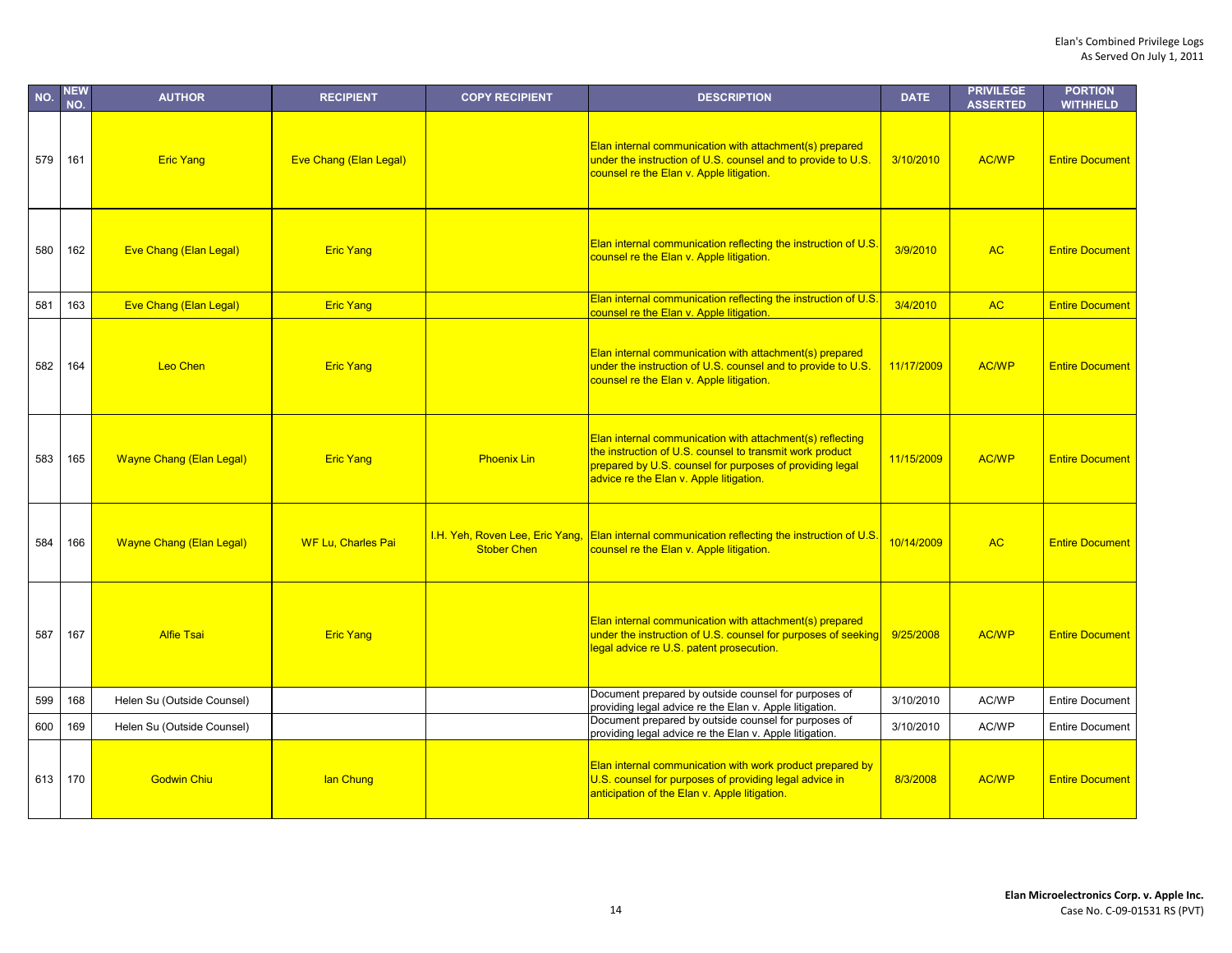| NO. | <b>NEW</b><br>NO. | <b>AUTHOR</b>                   | <b>RECIPIENT</b>              | <b>COPY RECIPIENT</b>                                 | <b>DESCRIPTION</b>                                                                                                                                                                                                           | <b>DATE</b> | <b>PRIVILEGE</b><br><b>ASSERTED</b> | <b>PORTION</b><br><b>WITHHELD</b> |
|-----|-------------------|---------------------------------|-------------------------------|-------------------------------------------------------|------------------------------------------------------------------------------------------------------------------------------------------------------------------------------------------------------------------------------|-------------|-------------------------------------|-----------------------------------|
| 579 | 161               | <b>Eric Yang</b>                | <b>Eve Chang (Elan Legal)</b> |                                                       | Elan internal communication with attachment(s) prepared<br>under the instruction of U.S. counsel and to provide to U.S.<br>counsel re the Elan v. Apple litigation.                                                          | 3/10/2010   | <b>AC/WP</b>                        | <b>Entire Document</b>            |
| 580 | 162               | Eve Chang (Elan Legal)          | <b>Eric Yang</b>              |                                                       | Elan internal communication reflecting the instruction of U.S.<br>counsel re the Elan v. Apple litigation.                                                                                                                   | 3/9/2010    | <b>AC</b>                           | <b>Entire Document</b>            |
| 581 | 163               | <b>Eve Chang (Elan Legal)</b>   | <b>Eric Yang</b>              |                                                       | Elan internal communication reflecting the instruction of U.S<br>counsel re the Elan v. Apple litigation.                                                                                                                    | 3/4/2010    | <b>AC</b>                           | <b>Entire Document</b>            |
| 582 | 164               | <b>Leo Chen</b>                 | <b>Eric Yang</b>              |                                                       | Elan internal communication with attachment(s) prepared<br>under the instruction of U.S. counsel and to provide to U.S.<br>counsel re the Elan v. Apple litigation.                                                          | 11/17/2009  | <b>AC/WP</b>                        | <b>Entire Document</b>            |
| 583 | 165               | <b>Wayne Chang (Elan Legal)</b> | <b>Eric Yang</b>              | <b>Phoenix Lin</b>                                    | Elan internal communication with attachment(s) reflecting<br>the instruction of U.S. counsel to transmit work product<br>prepared by U.S. counsel for purposes of providing legal<br>advice re the Elan v. Apple litigation. | 11/15/2009  | <b>AC/WP</b>                        | <b>Entire Document</b>            |
| 584 | 166               | <b>Wayne Chang (Elan Legal)</b> | <b>WF Lu, Charles Pai</b>     | I.H. Yeh, Roven Lee, Eric Yang,<br><b>Stober Chen</b> | <b>Elan internal communication reflecting the instruction of U.S.</b><br>counsel re the Elan v. Apple litigation.                                                                                                            | 10/14/2009  | <b>AC</b>                           | <b>Entire Document</b>            |
| 587 | 167               | <b>Alfie Tsai</b>               | <b>Eric Yang</b>              |                                                       | Elan internal communication with attachment(s) prepared<br>under the instruction of U.S. counsel for purposes of seeking<br>legal advice re U.S. patent prosecution.                                                         | 9/25/2008   | <b>AC/WP</b>                        | <b>Entire Document</b>            |
| 599 | 168               | Helen Su (Outside Counsel)      |                               |                                                       | Document prepared by outside counsel for purposes of<br>providing legal advice re the Elan v. Apple litigation.                                                                                                              | 3/10/2010   | AC/WP                               | <b>Entire Document</b>            |
| 600 | 169               | Helen Su (Outside Counsel)      |                               |                                                       | Document prepared by outside counsel for purposes of<br>providing legal advice re the Elan v. Apple litigation.                                                                                                              | 3/10/2010   | AC/WP                               | <b>Entire Document</b>            |
| 613 | 170               | <b>Godwin Chiu</b>              | lan Chung                     |                                                       | Elan internal communication with work product prepared by<br>U.S. counsel for purposes of providing legal advice in<br>anticipation of the Elan v. Apple litigation.                                                         | 8/3/2008    | <b>AC/WP</b>                        | <b>Entire Document</b>            |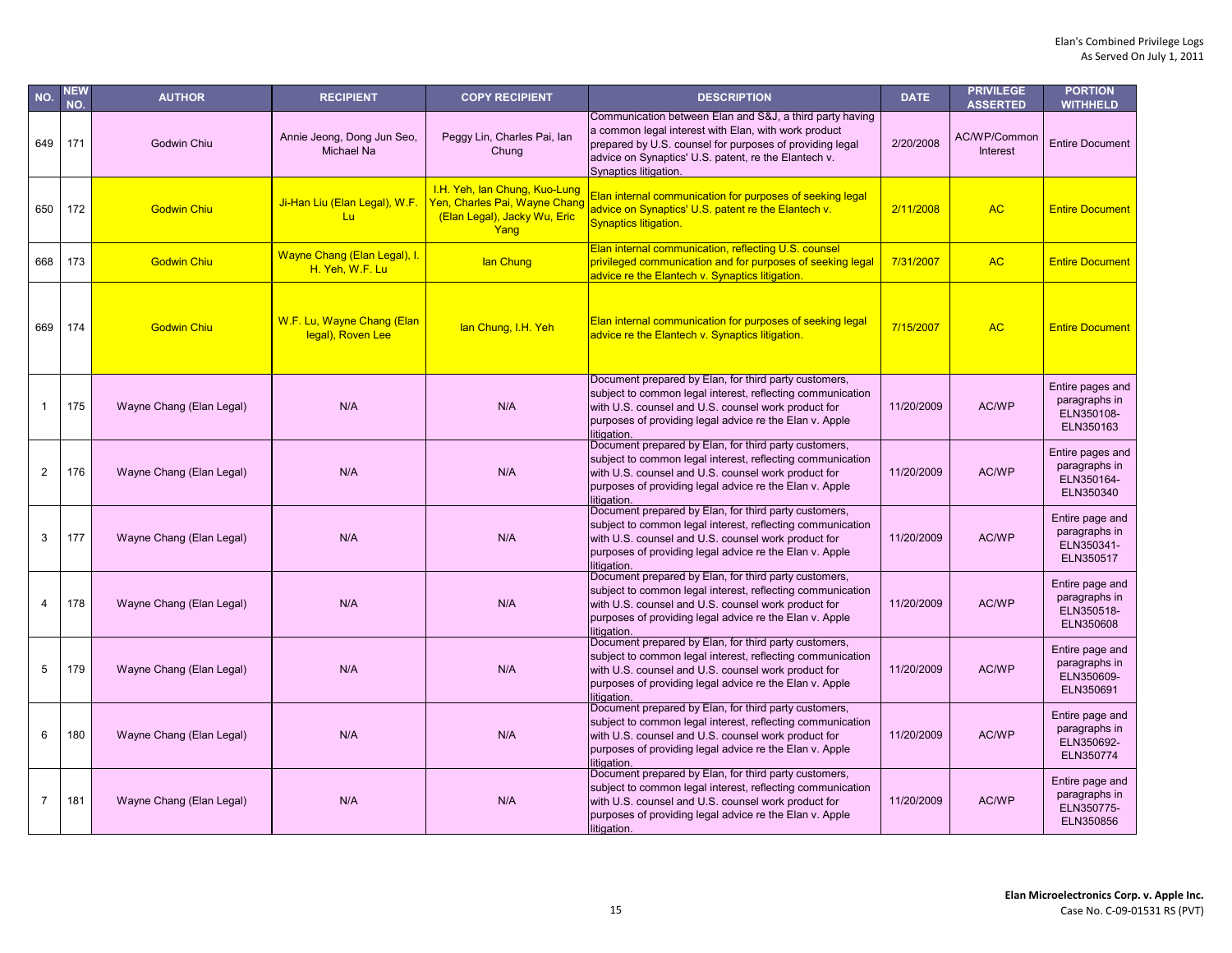| NO.            | <b>NEW</b><br>NO. | <b>AUTHOR</b>            | <b>RECIPIENT</b>                                | <b>COPY RECIPIENT</b>                                                                                  | <b>DESCRIPTION</b>                                                                                                                                                                                                                                            | <b>DATE</b> | <b>PRIVILEGE</b><br><b>ASSERTED</b> | <b>PORTION</b><br><b>WITHHELD</b>                            |
|----------------|-------------------|--------------------------|-------------------------------------------------|--------------------------------------------------------------------------------------------------------|---------------------------------------------------------------------------------------------------------------------------------------------------------------------------------------------------------------------------------------------------------------|-------------|-------------------------------------|--------------------------------------------------------------|
| 649            | 171               | Godwin Chiu              | Annie Jeong, Dong Jun Seo,<br>Michael Na        | Peggy Lin, Charles Pai, lan<br>Chung                                                                   | Communication between Elan and S&J, a third party having<br>a common legal interest with Elan, with work product<br>prepared by U.S. counsel for purposes of providing legal<br>advice on Synaptics' U.S. patent, re the Elantech v.<br>Synaptics litigation. | 2/20/2008   | AC/WP/Common<br><b>Interest</b>     | <b>Entire Document</b>                                       |
| 650            | 172               | <b>Godwin Chiu</b>       | Ji-Han Liu (Elan Legal), W.F.<br>Lu             | I.H. Yeh, Ian Chung, Kuo-Lung<br>Yen, Charles Pai, Wayne Chang<br>(Elan Legal), Jacky Wu, Eric<br>Yang | Elan internal communication for purposes of seeking legal<br>advice on Synaptics' U.S. patent re the Elantech v.<br><b>Synaptics litigation.</b>                                                                                                              | 2/11/2008   | <b>AC</b>                           | <b>Entire Document</b>                                       |
| 668            | 173               | <b>Godwin Chiu</b>       | Wayne Chang (Elan Legal), I.<br>H. Yeh. W.F. Lu | lan Chung                                                                                              | Elan internal communication, reflecting U.S. counsel<br>privileged communication and for purposes of seeking legal<br>advice re the Elantech v. Synaptics litigation.                                                                                         | 7/31/2007   | <b>AC</b>                           | <b>Entire Document</b>                                       |
| 669            | 174               | <b>Godwin Chiu</b>       | W.F. Lu, Wayne Chang (Elan<br>legal), Roven Lee | lan Chung, I.H. Yeh                                                                                    | Elan internal communication for purposes of seeking legal<br>advice re the Elantech v. Synaptics litigation.                                                                                                                                                  | 7/15/2007   | <b>AC</b>                           | <b>Entire Document</b>                                       |
|                | 175               | Wayne Chang (Elan Legal) | N/A                                             | N/A                                                                                                    | Document prepared by Elan, for third party customers,<br>subject to common legal interest, reflecting communication<br>with U.S. counsel and U.S. counsel work product for<br>purposes of providing legal advice re the Elan v. Apple<br>litigation.          | 11/20/2009  | AC/WP                               | Entire pages and<br>paragraphs in<br>ELN350108-<br>ELN350163 |
| $\overline{2}$ | 176               | Wayne Chang (Elan Legal) | N/A                                             | N/A                                                                                                    | Document prepared by Elan, for third party customers,<br>subject to common legal interest, reflecting communication<br>with U.S. counsel and U.S. counsel work product for<br>purposes of providing legal advice re the Elan v. Apple<br>litigation.          | 11/20/2009  | AC/WP                               | Entire pages and<br>paragraphs in<br>ELN350164-<br>ELN350340 |
| 3              | 177               | Wayne Chang (Elan Legal) | N/A                                             | N/A                                                                                                    | Document prepared by Elan, for third party customers,<br>subject to common legal interest, reflecting communication<br>with U.S. counsel and U.S. counsel work product for<br>purposes of providing legal advice re the Elan v. Apple<br>litigation.          | 11/20/2009  | AC/WP                               | Entire page and<br>paragraphs in<br>ELN350341-<br>ELN350517  |
| 4              | 178               | Wayne Chang (Elan Legal) | N/A                                             | N/A                                                                                                    | Document prepared by Elan, for third party customers,<br>subject to common legal interest, reflecting communication<br>with U.S. counsel and U.S. counsel work product for<br>purposes of providing legal advice re the Elan v. Apple<br>litigation.          | 11/20/2009  | AC/WP                               | Entire page and<br>paragraphs in<br>ELN350518-<br>ELN350608  |
| 5              | 179               | Wayne Chang (Elan Legal) | N/A                                             | N/A                                                                                                    | Document prepared by Elan, for third party customers,<br>subject to common legal interest, reflecting communication<br>with U.S. counsel and U.S. counsel work product for<br>purposes of providing legal advice re the Elan v. Apple<br>litigation.          | 11/20/2009  | AC/WP                               | Entire page and<br>paragraphs in<br>ELN350609-<br>ELN350691  |
| 6              | 180               | Wayne Chang (Elan Legal) | N/A                                             | N/A                                                                                                    | Document prepared by Elan, for third party customers,<br>subject to common legal interest, reflecting communication<br>with U.S. counsel and U.S. counsel work product for<br>purposes of providing legal advice re the Elan v. Apple<br>litigation.          | 11/20/2009  | AC/WP                               | Entire page and<br>paragraphs in<br>ELN350692-<br>ELN350774  |
| $\overline{7}$ | 181               | Wayne Chang (Elan Legal) | N/A                                             | N/A                                                                                                    | Document prepared by Elan, for third party customers,<br>subject to common legal interest, reflecting communication<br>with U.S. counsel and U.S. counsel work product for<br>purposes of providing legal advice re the Elan v. Apple<br>litigation.          | 11/20/2009  | AC/WP                               | Entire page and<br>paragraphs in<br>ELN350775-<br>ELN350856  |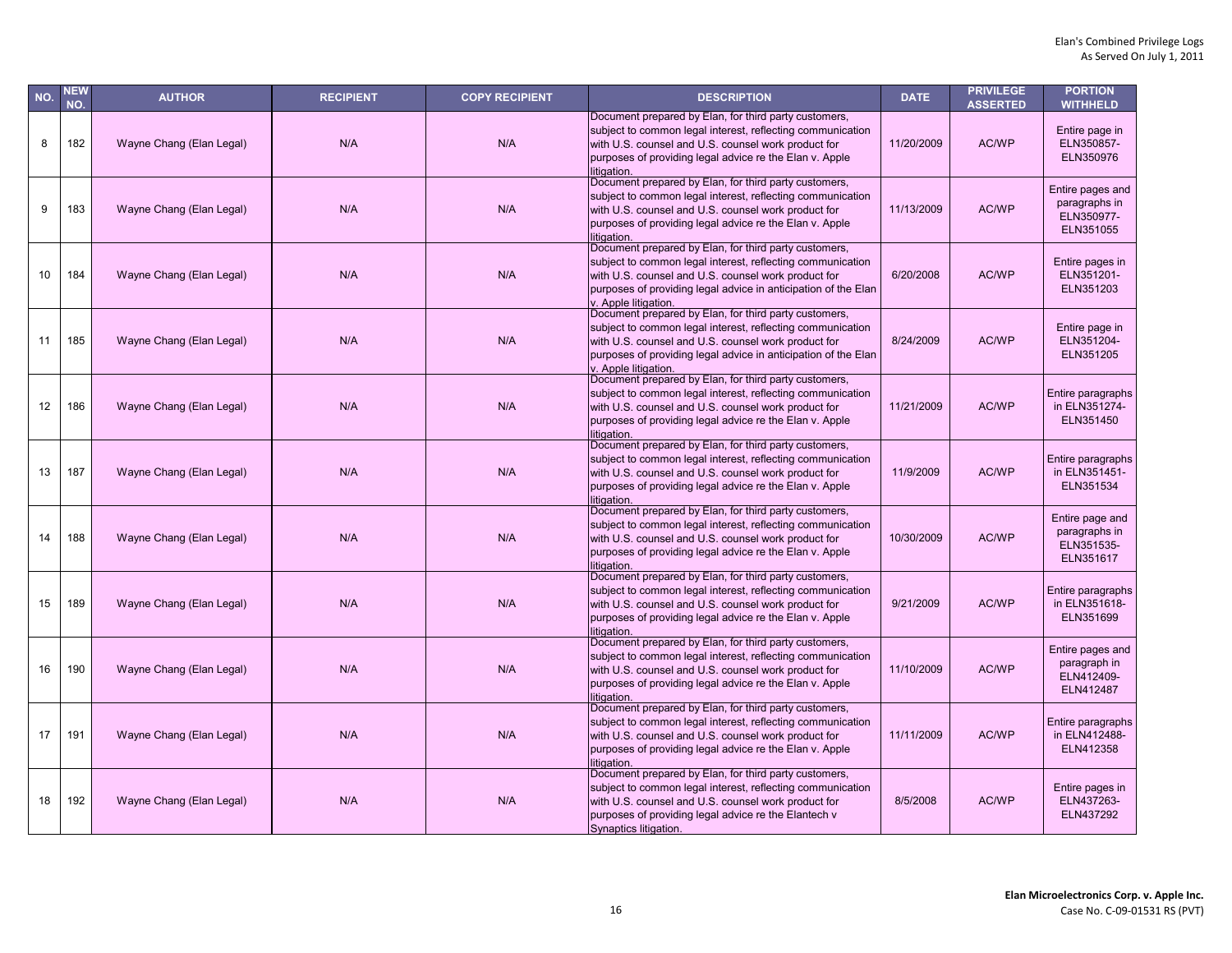| NO. | <b>NEW</b><br>NO. | <b>AUTHOR</b>            | <b>RECIPIENT</b> | <b>COPY RECIPIENT</b> | <b>DESCRIPTION</b>                                                                                                                                                                                                                                                   | <b>DATE</b> | <b>PRIVILEGE</b><br><b>ASSERTED</b> | <b>PORTION</b><br><b>WITHHELD</b>                            |
|-----|-------------------|--------------------------|------------------|-----------------------|----------------------------------------------------------------------------------------------------------------------------------------------------------------------------------------------------------------------------------------------------------------------|-------------|-------------------------------------|--------------------------------------------------------------|
| 8   | 182               | Wayne Chang (Elan Legal) | N/A              | N/A                   | Document prepared by Elan, for third party customers,<br>subject to common legal interest, reflecting communication<br>with U.S. counsel and U.S. counsel work product for<br>purposes of providing legal advice re the Elan v. Apple<br>litigation.                 | 11/20/2009  | AC/WP                               | Entire page in<br>ELN350857-<br>ELN350976                    |
| 9   | 183               | Wayne Chang (Elan Legal) | N/A              | N/A                   | Document prepared by Elan, for third party customers,<br>subject to common legal interest, reflecting communication<br>with U.S. counsel and U.S. counsel work product for<br>purposes of providing legal advice re the Elan v. Apple<br>litigation.                 | 11/13/2009  | AC/WP                               | Entire pages and<br>paragraphs in<br>ELN350977-<br>ELN351055 |
| 10  | 184               | Wayne Chang (Elan Legal) | N/A              | N/A                   | Document prepared by Elan, for third party customers,<br>subject to common legal interest, reflecting communication<br>with U.S. counsel and U.S. counsel work product for<br>purposes of providing legal advice in anticipation of the Elan<br>v. Apple litigation. | 6/20/2008   | AC/WP                               | Entire pages in<br>ELN351201-<br>ELN351203                   |
| 11  | 185               | Wayne Chang (Elan Legal) | N/A              | N/A                   | Document prepared by Elan, for third party customers,<br>subject to common legal interest, reflecting communication<br>with U.S. counsel and U.S. counsel work product for<br>purposes of providing legal advice in anticipation of the Elan<br>v. Apple litigation. | 8/24/2009   | AC/WP                               | Entire page in<br>ELN351204-<br>ELN351205                    |
| 12  | 186               | Wayne Chang (Elan Legal) | N/A              | N/A                   | Document prepared by Elan, for third party customers,<br>subject to common legal interest, reflecting communication<br>with U.S. counsel and U.S. counsel work product for<br>purposes of providing legal advice re the Elan v. Apple<br>litigation.                 | 11/21/2009  | AC/WP                               | Entire paragraphs<br>in ELN351274-<br>ELN351450              |
| 13  | 187               | Wayne Chang (Elan Legal) | N/A              | N/A                   | Document prepared by Elan, for third party customers,<br>subject to common legal interest, reflecting communication<br>with U.S. counsel and U.S. counsel work product for<br>purposes of providing legal advice re the Elan v. Apple<br>litigation.                 | 11/9/2009   | AC/WP                               | Entire paragraphs<br>in ELN351451-<br>ELN351534              |
| 14  | 188               | Wayne Chang (Elan Legal) | N/A              | N/A                   | Document prepared by Elan, for third party customers,<br>subject to common legal interest, reflecting communication<br>with U.S. counsel and U.S. counsel work product for<br>purposes of providing legal advice re the Elan v. Apple<br>litigation.                 | 10/30/2009  | <b>AC/WP</b>                        | Entire page and<br>paragraphs in<br>ELN351535-<br>ELN351617  |
| 15  | 189               | Wayne Chang (Elan Legal) | N/A              | N/A                   | Document prepared by Elan, for third party customers,<br>subject to common legal interest, reflecting communication<br>with U.S. counsel and U.S. counsel work product for<br>purposes of providing legal advice re the Elan v. Apple<br>litigation.                 | 9/21/2009   | AC/WP                               | Entire paragraphs<br>in ELN351618-<br>ELN351699              |
| 16  | 190               | Wayne Chang (Elan Legal) | N/A              | N/A                   | Document prepared by Elan, for third party customers,<br>subject to common legal interest, reflecting communication<br>with U.S. counsel and U.S. counsel work product for<br>purposes of providing legal advice re the Elan v. Apple<br>litigation.                 | 11/10/2009  | AC/WP                               | Entire pages and<br>paragraph in<br>ELN412409-<br>ELN412487  |
| 17  | 191               | Wayne Chang (Elan Legal) | N/A              | N/A                   | Document prepared by Elan, for third party customers,<br>subject to common legal interest, reflecting communication<br>with U.S. counsel and U.S. counsel work product for<br>purposes of providing legal advice re the Elan v. Apple<br>litigation.                 | 11/11/2009  | AC/WP                               | Entire paragraphs<br>in ELN412488-<br>ELN412358              |
| 18  | 192               | Wayne Chang (Elan Legal) | N/A              | N/A                   | Document prepared by Elan, for third party customers,<br>subject to common legal interest, reflecting communication<br>with U.S. counsel and U.S. counsel work product for<br>purposes of providing legal advice re the Elantech v<br>Synaptics litigation.          | 8/5/2008    | AC/WP                               | Entire pages in<br>ELN437263-<br>ELN437292                   |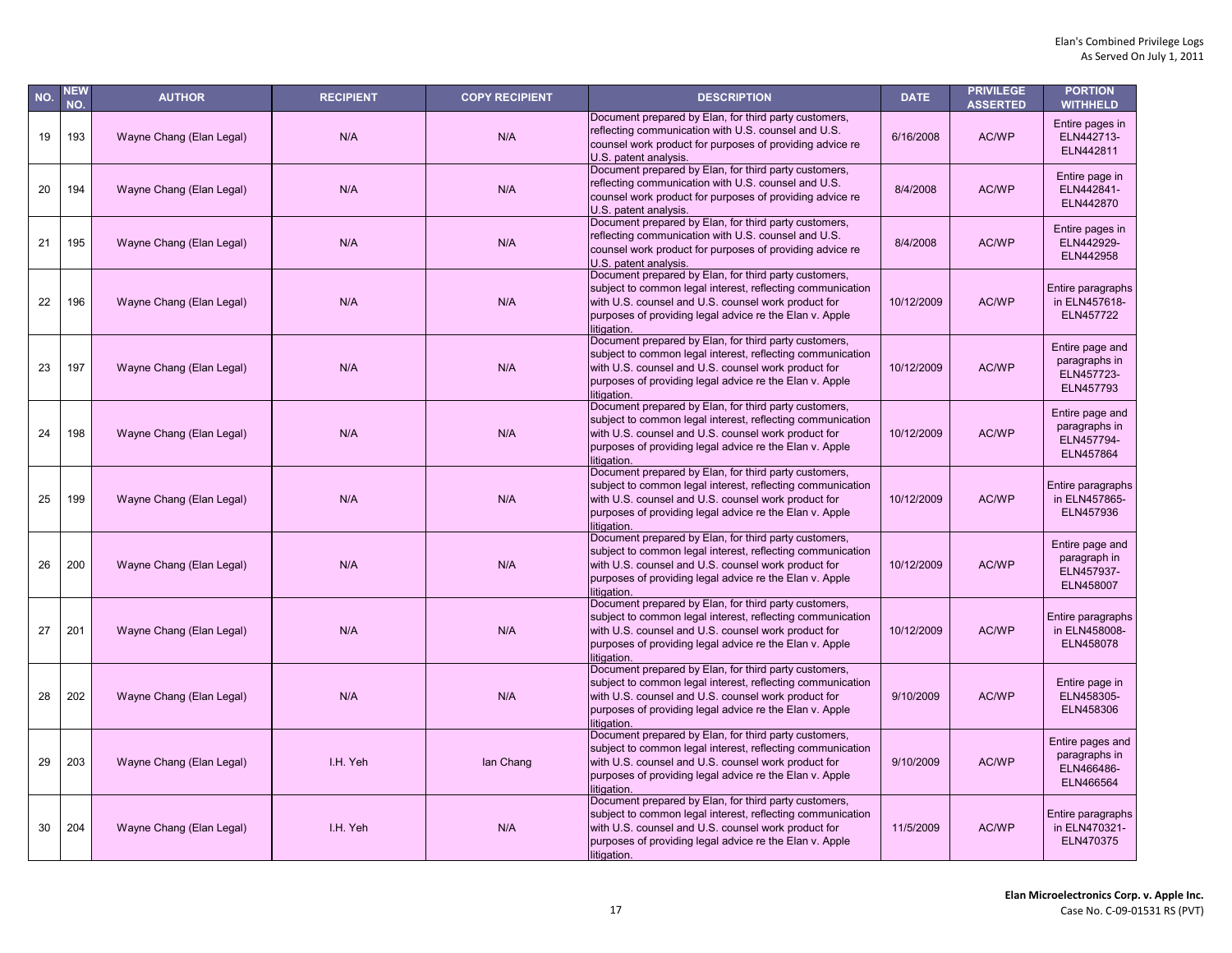| NO. | <b>NEW</b><br>NO. | <b>AUTHOR</b>            | <b>RECIPIENT</b> | <b>COPY RECIPIENT</b> | <b>DESCRIPTION</b>                                                                                                                                                                                                                                   | <b>DATE</b> | <b>PRIVILEGE</b><br><b>ASSERTED</b> | <b>PORTION</b><br><b>WITHHELD</b>                            |
|-----|-------------------|--------------------------|------------------|-----------------------|------------------------------------------------------------------------------------------------------------------------------------------------------------------------------------------------------------------------------------------------------|-------------|-------------------------------------|--------------------------------------------------------------|
| 19  | 193               | Wayne Chang (Elan Legal) | N/A              | N/A                   | Document prepared by Elan, for third party customers,<br>reflecting communication with U.S. counsel and U.S.<br>counsel work product for purposes of providing advice re<br>U.S. patent analysis.                                                    | 6/16/2008   | AC/WP                               | Entire pages in<br>ELN442713-<br>ELN442811                   |
| 20  | 194               | Wayne Chang (Elan Legal) | N/A              | N/A                   | Document prepared by Elan, for third party customers,<br>reflecting communication with U.S. counsel and U.S.<br>counsel work product for purposes of providing advice re<br>U.S. patent analysis.                                                    | 8/4/2008    | AC/WP                               | Entire page in<br>ELN442841-<br>ELN442870                    |
| 21  | 195               | Wayne Chang (Elan Legal) | N/A              | N/A                   | Document prepared by Elan, for third party customers,<br>reflecting communication with U.S. counsel and U.S.<br>counsel work product for purposes of providing advice re<br>U.S. patent analysis.                                                    | 8/4/2008    | AC/WP                               | Entire pages in<br>ELN442929-<br>ELN442958                   |
| 22  | 196               | Wayne Chang (Elan Legal) | N/A              | N/A                   | Document prepared by Elan, for third party customers,<br>subject to common legal interest, reflecting communication<br>with U.S. counsel and U.S. counsel work product for<br>purposes of providing legal advice re the Elan v. Apple<br>litigation. | 10/12/2009  | AC/WP                               | Entire paragraphs<br>in ELN457618-<br>ELN457722              |
| 23  | 197               | Wayne Chang (Elan Legal) | N/A              | N/A                   | Document prepared by Elan, for third party customers,<br>subject to common legal interest, reflecting communication<br>with U.S. counsel and U.S. counsel work product for<br>purposes of providing legal advice re the Elan v. Apple<br>litigation. | 10/12/2009  | AC/WP                               | Entire page and<br>paragraphs in<br>ELN457723-<br>ELN457793  |
| 24  | 198               | Wayne Chang (Elan Legal) | N/A              | N/A                   | Document prepared by Elan, for third party customers,<br>subject to common legal interest, reflecting communication<br>with U.S. counsel and U.S. counsel work product for<br>purposes of providing legal advice re the Elan v. Apple<br>litigation. | 10/12/2009  | AC/WP                               | Entire page and<br>paragraphs in<br>ELN457794-<br>ELN457864  |
| 25  | 199               | Wayne Chang (Elan Legal) | N/A              | N/A                   | Document prepared by Elan, for third party customers,<br>subject to common legal interest, reflecting communication<br>with U.S. counsel and U.S. counsel work product for<br>purposes of providing legal advice re the Elan v. Apple<br>litigation. | 10/12/2009  | <b>AC/WP</b>                        | Entire paragraphs<br>in ELN457865-<br>ELN457936              |
| 26  | 200               | Wayne Chang (Elan Legal) | N/A              | N/A                   | Document prepared by Elan, for third party customers,<br>subject to common legal interest, reflecting communication<br>with U.S. counsel and U.S. counsel work product for<br>purposes of providing legal advice re the Elan v. Apple<br>litigation. | 10/12/2009  | AC/WP                               | Entire page and<br>paragraph in<br>ELN457937-<br>ELN458007   |
| 27  | 201               | Wayne Chang (Elan Legal) | N/A              | N/A                   | Document prepared by Elan, for third party customers,<br>subject to common legal interest, reflecting communication<br>with U.S. counsel and U.S. counsel work product for<br>purposes of providing legal advice re the Elan v. Apple<br>litigation. | 10/12/2009  | AC/WP                               | Entire paragraphs<br>in ELN458008-<br>ELN458078              |
| 28  | 202               | Wayne Chang (Elan Legal) | N/A              | N/A                   | Document prepared by Elan, for third party customers,<br>subject to common legal interest, reflecting communication<br>with U.S. counsel and U.S. counsel work product for<br>purposes of providing legal advice re the Elan v. Apple<br>litigation  | 9/10/2009   | AC/WP                               | Entire page in<br>ELN458305-<br>ELN458306                    |
| 29  | 203               | Wayne Chang (Elan Legal) | I.H. Yeh         | lan Chang             | Document prepared by Elan, for third party customers,<br>subject to common legal interest, reflecting communication<br>with U.S. counsel and U.S. counsel work product for<br>purposes of providing legal advice re the Elan v. Apple<br>litigation. | 9/10/2009   | AC/WP                               | Entire pages and<br>paragraphs in<br>ELN466486-<br>ELN466564 |
| 30  | 204               | Wayne Chang (Elan Legal) | I.H. Yeh         | N/A                   | Document prepared by Elan, for third party customers,<br>subject to common legal interest, reflecting communication<br>with U.S. counsel and U.S. counsel work product for<br>purposes of providing legal advice re the Elan v. Apple<br>litigation. | 11/5/2009   | AC/WP                               | Entire paragraphs<br>in ELN470321-<br>ELN470375              |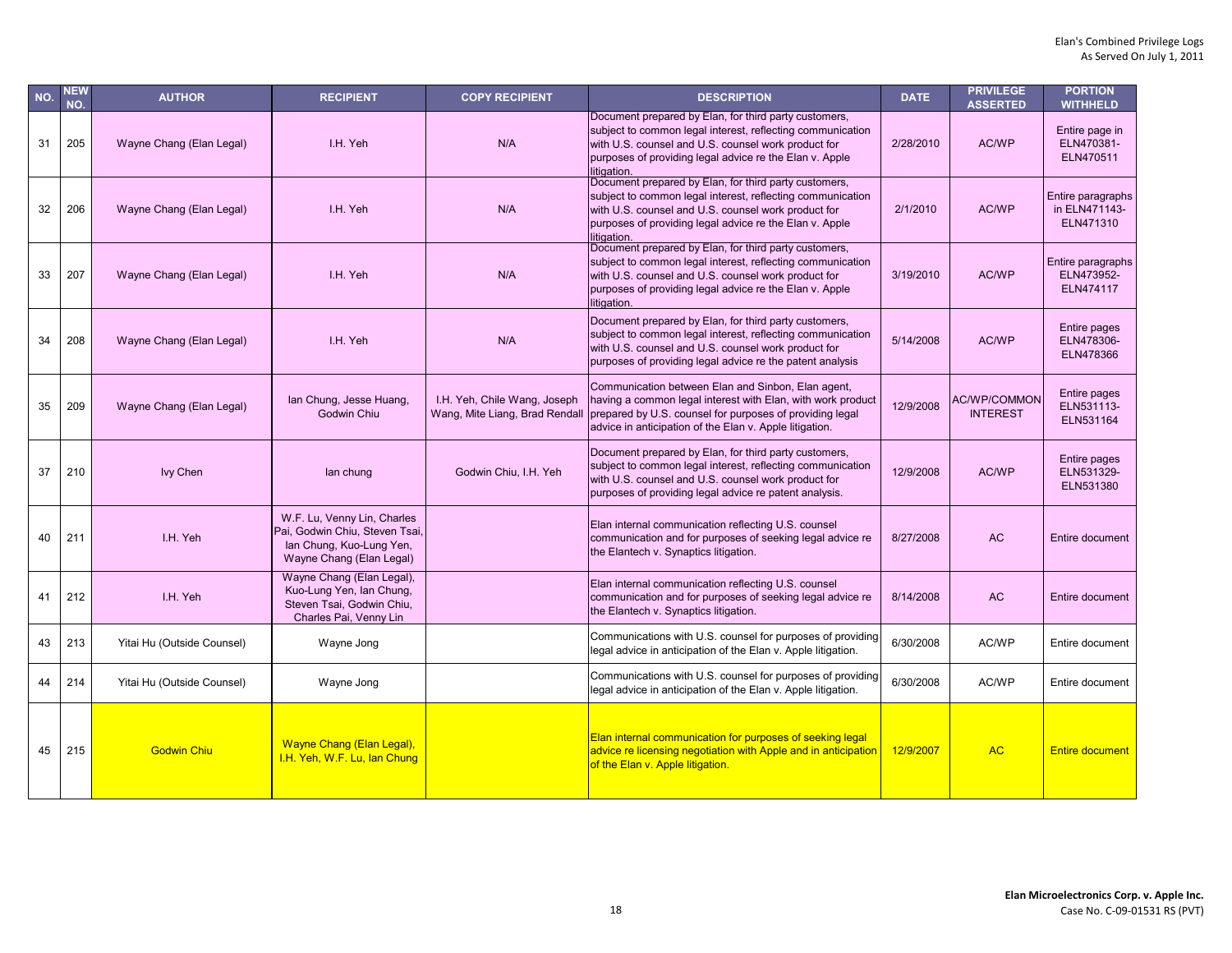| NO. | <b>NEW</b><br>NO. | <b>AUTHOR</b>              | <b>RECIPIENT</b>                                                                                                      | <b>COPY RECIPIENT</b>                                          | <b>DESCRIPTION</b>                                                                                                                                                                                                                                   | <b>DATE</b> | <b>PRIVILEGE</b><br><b>ASSERTED</b>    | <b>PORTION</b><br><b>WITHHELD</b>               |
|-----|-------------------|----------------------------|-----------------------------------------------------------------------------------------------------------------------|----------------------------------------------------------------|------------------------------------------------------------------------------------------------------------------------------------------------------------------------------------------------------------------------------------------------------|-------------|----------------------------------------|-------------------------------------------------|
| 31  | 205               | Wayne Chang (Elan Legal)   | I.H. Yeh                                                                                                              | N/A                                                            | Document prepared by Elan, for third party customers,<br>subject to common legal interest, reflecting communication<br>with U.S. counsel and U.S. counsel work product for<br>purposes of providing legal advice re the Elan v. Apple<br>litigation. | 2/28/2010   | AC/WP                                  | Entire page in<br>ELN470381-<br>ELN470511       |
| 32  | 206               | Wayne Chang (Elan Legal)   | I.H. Yeh                                                                                                              | N/A                                                            | Document prepared by Elan, for third party customers,<br>subject to common legal interest, reflecting communication<br>with U.S. counsel and U.S. counsel work product for<br>purposes of providing legal advice re the Elan v. Apple<br>litigation. | 2/1/2010    | AC/WP                                  | Entire paragraphs<br>in ELN471143-<br>ELN471310 |
| 33  | 207               | Wayne Chang (Elan Legal)   | I.H. Yeh                                                                                                              | N/A                                                            | Document prepared by Elan, for third party customers,<br>subject to common legal interest, reflecting communication<br>with U.S. counsel and U.S. counsel work product for<br>purposes of providing legal advice re the Elan v. Apple<br>litigation. | 3/19/2010   | AC/WP                                  | Entire paragraphs<br>ELN473952-<br>ELN474117    |
| 34  | 208               | Wayne Chang (Elan Legal)   | I.H. Yeh                                                                                                              | N/A                                                            | Document prepared by Elan, for third party customers,<br>subject to common legal interest, reflecting communication<br>with U.S. counsel and U.S. counsel work product for<br>purposes of providing legal advice re the patent analysis              | 5/14/2008   | AC/WP                                  | Entire pages<br>ELN478306-<br>ELN478366         |
| 35  | 209               | Wayne Chang (Elan Legal)   | lan Chung, Jesse Huang,<br>Godwin Chiu                                                                                | I.H. Yeh, Chile Wang, Joseph<br>Wang, Mite Liang, Brad Rendall | Communication between Elan and Sinbon, Elan agent,<br>having a common legal interest with Elan, with work product<br>prepared by U.S. counsel for purposes of providing legal<br>advice in anticipation of the Elan v. Apple litigation.             | 12/9/2008   | <b>AC/WP/COMMON</b><br><b>INTEREST</b> | Entire pages<br>ELN531113-<br>ELN531164         |
| 37  | 210               | <b>Ivy Chen</b>            | lan chung                                                                                                             | Godwin Chiu, I.H. Yeh                                          | Document prepared by Elan, for third party customers,<br>subject to common legal interest, reflecting communication<br>with U.S. counsel and U.S. counsel work product for<br>purposes of providing legal advice re patent analysis.                 | 12/9/2008   | AC/WP                                  | Entire pages<br>ELN531329-<br>ELN531380         |
| 40  | 211               | I.H. Yeh                   | W.F. Lu, Venny Lin, Charles<br>Pai, Godwin Chiu, Steven Tsai,<br>lan Chung, Kuo-Lung Yen,<br>Wayne Chang (Elan Legal) |                                                                | Elan internal communication reflecting U.S. counsel<br>communication and for purposes of seeking legal advice re<br>the Elantech v. Synaptics litigation.                                                                                            | 8/27/2008   | <b>AC</b>                              | Entire document                                 |
| 41  | 212               | I.H. Yeh                   | Wayne Chang (Elan Legal),<br>Kuo-Lung Yen, Ian Chung,<br>Steven Tsai, Godwin Chiu,<br>Charles Pai, Venny Lin          |                                                                | Elan internal communication reflecting U.S. counsel<br>communication and for purposes of seeking legal advice re<br>the Elantech v. Synaptics litigation.                                                                                            | 8/14/2008   | <b>AC</b>                              | Entire document                                 |
| 43  | 213               | Yitai Hu (Outside Counsel) | Wayne Jong                                                                                                            |                                                                | Communications with U.S. counsel for purposes of providing<br>legal advice in anticipation of the Elan v. Apple litigation.                                                                                                                          | 6/30/2008   | AC/WP                                  | Entire document                                 |
| 44  | 214               | Yitai Hu (Outside Counsel) | Wayne Jong                                                                                                            |                                                                | Communications with U.S. counsel for purposes of providing<br>legal advice in anticipation of the Elan v. Apple litigation.                                                                                                                          | 6/30/2008   | AC/WP                                  | Entire document                                 |
| 45  | 215               | <b>Godwin Chiu</b>         | Wayne Chang (Elan Legal),<br>I.H. Yeh, W.F. Lu, lan Chung                                                             |                                                                | Elan internal communication for purposes of seeking legal<br>advice re licensing negotiation with Apple and in anticipation<br>of the Elan v. Apple litigation.                                                                                      | 12/9/2007   | <b>AC</b>                              | <b>Entire document</b>                          |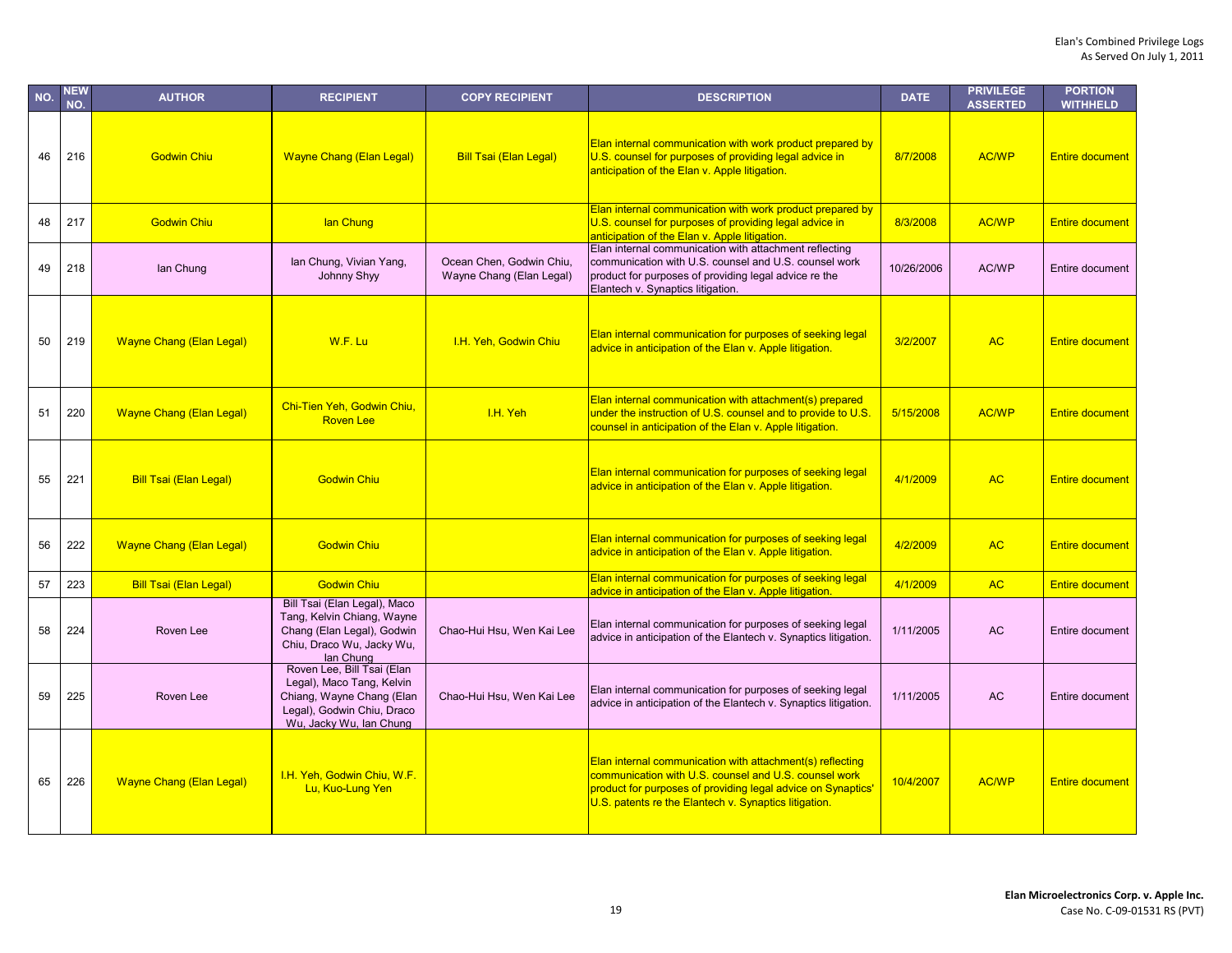| NO. | <b>NEW</b><br>NO. | <b>AUTHOR</b>                   | <b>RECIPIENT</b>                                                                                                                              | <b>COPY RECIPIENT</b>                                | <b>DESCRIPTION</b>                                                                                                                                                                                                                          | <b>DATE</b> | <b>PRIVILEGE</b><br><b>ASSERTED</b> | <b>PORTION</b><br><b>WITHHELD</b> |
|-----|-------------------|---------------------------------|-----------------------------------------------------------------------------------------------------------------------------------------------|------------------------------------------------------|---------------------------------------------------------------------------------------------------------------------------------------------------------------------------------------------------------------------------------------------|-------------|-------------------------------------|-----------------------------------|
| 46  | 216               | <b>Godwin Chiu</b>              | <b>Wayne Chang (Elan Legal)</b>                                                                                                               | <b>Bill Tsai (Elan Legal)</b>                        | Elan internal communication with work product prepared by<br>U.S. counsel for purposes of providing legal advice in<br>anticipation of the Elan v. Apple litigation.                                                                        | 8/7/2008    | <b>AC/WP</b>                        | <b>Entire document</b>            |
| 48  | 217               | <b>Godwin Chiu</b>              | lan Chung                                                                                                                                     |                                                      | Elan internal communication with work product prepared by<br>U.S. counsel for purposes of providing legal advice in<br>anticipation of the Elan y. Apple litigation.                                                                        | 8/3/2008    | AC/WP                               | <b>Entire document</b>            |
| 49  | 218               | lan Chung                       | lan Chung, Vivian Yang,<br>Johnny Shyy                                                                                                        | Ocean Chen, Godwin Chiu,<br>Wayne Chang (Elan Legal) | Elan internal communication with attachment reflecting<br>communication with U.S. counsel and U.S. counsel work<br>product for purposes of providing legal advice re the<br>Elantech v. Synaptics litigation.                               | 10/26/2006  | AC/WP                               | Entire document                   |
| 50  | 219               | <b>Wayne Chang (Elan Legal)</b> | W.F. Lu                                                                                                                                       | I.H. Yeh, Godwin Chiu                                | Elan internal communication for purposes of seeking legal<br>advice in anticipation of the Elan v. Apple litigation.                                                                                                                        | 3/2/2007    | <b>AC</b>                           | <b>Entire document</b>            |
| 51  | 220               | <b>Wayne Chang (Elan Legal)</b> | Chi-Tien Yeh, Godwin Chiu,<br><b>Roven Lee</b>                                                                                                | I.H. Yeh                                             | Elan internal communication with attachment(s) prepared<br>under the instruction of U.S. counsel and to provide to U.S.<br>counsel in anticipation of the Elan v. Apple litigation.                                                         | 5/15/2008   | AC/WP                               | <b>Entire document</b>            |
| 55  | 221               | <b>Bill Tsai (Elan Legal)</b>   | <b>Godwin Chiu</b>                                                                                                                            |                                                      | Elan internal communication for purposes of seeking legal<br>advice in anticipation of the Elan v. Apple litigation.                                                                                                                        | 4/1/2009    | <b>AC</b>                           | <b>Entire document</b>            |
| 56  | 222               | <b>Wayne Chang (Elan Legal)</b> | <b>Godwin Chiu</b>                                                                                                                            |                                                      | Elan internal communication for purposes of seeking legal<br>advice in anticipation of the Elan v. Apple litigation.                                                                                                                        | 4/2/2009    | <b>AC</b>                           | <b>Entire document</b>            |
| 57  | 223               | <b>Bill Tsai (Elan Legal)</b>   | <b>Godwin Chiu</b>                                                                                                                            |                                                      | Elan internal communication for purposes of seeking legal<br>advice in anticipation of the Elan v. Apple litigation.                                                                                                                        | 4/1/2009    | <b>AC</b>                           | <b>Entire document</b>            |
| 58  | 224               | Roven Lee                       | Bill Tsai (Elan Legal), Maco<br>Tang, Kelvin Chiang, Wayne<br>Chang (Elan Legal), Godwin<br>Chiu, Draco Wu, Jacky Wu,<br>lan Chung            | Chao-Hui Hsu, Wen Kai Lee                            | Elan internal communication for purposes of seeking legal<br>advice in anticipation of the Elantech v. Synaptics litigation.                                                                                                                | 1/11/2005   | <b>AC</b>                           | Entire document                   |
| 59  | 225               | Roven Lee                       | Roven Lee, Bill Tsai (Elan<br>Legal), Maco Tang, Kelvin<br>Chiang, Wayne Chang (Elan<br>Legal), Godwin Chiu, Draco<br>Wu, Jacky Wu, Ian Chung | Chao-Hui Hsu, Wen Kai Lee                            | Elan internal communication for purposes of seeking legal<br>advice in anticipation of the Elantech v. Synaptics litigation.                                                                                                                | 1/11/2005   | <b>AC</b>                           | Entire document                   |
| 65  | 226               | <b>Wayne Chang (Elan Legal)</b> | I.H. Yeh, Godwin Chiu, W.F.<br>Lu, Kuo-Lung Yen                                                                                               |                                                      | Elan internal communication with attachment(s) reflecting<br>communication with U.S. counsel and U.S. counsel work<br>product for purposes of providing legal advice on Synaptics'<br>U.S. patents re the Elantech v. Synaptics litigation. | 10/4/2007   | <b>AC/WP</b>                        | <b>Entire document</b>            |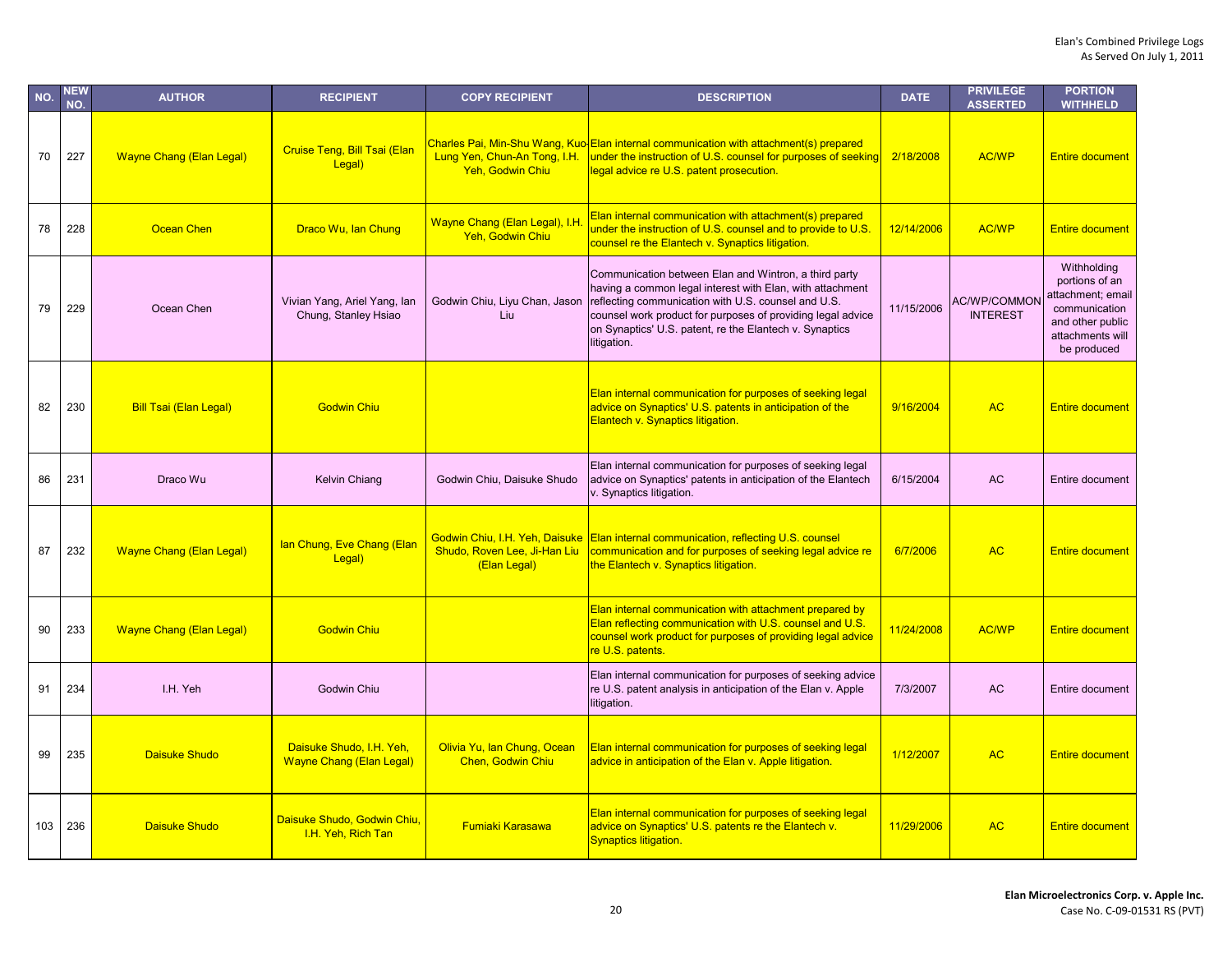| NO. | NEW<br>NO. | <b>AUTHOR</b>                   | <b>RECIPIENT</b>                                            | <b>COPY RECIPIENT</b>                                   | <b>DESCRIPTION</b>                                                                                                                                                                                                                                                                                                 | <b>DATE</b> | <b>PRIVILEGE</b><br><b>ASSERTED</b>    | <b>PORTION</b><br><b>WITHHELD</b>                                                                                          |
|-----|------------|---------------------------------|-------------------------------------------------------------|---------------------------------------------------------|--------------------------------------------------------------------------------------------------------------------------------------------------------------------------------------------------------------------------------------------------------------------------------------------------------------------|-------------|----------------------------------------|----------------------------------------------------------------------------------------------------------------------------|
| 70  | 227        | <b>Wayne Chang (Elan Legal)</b> | Cruise Teng, Bill Tsai (Elan<br>Legal)                      | Lung Yen, Chun-An Tong, I.H.<br>Yeh, Godwin Chiu        | Charles Pai, Min-Shu Wang, Kuo-Elan internal communication with attachment(s) prepared<br>under the instruction of U.S. counsel for purposes of seeking<br>legal advice re U.S. patent prosecution.                                                                                                                | 2/18/2008   | <b>AC/WP</b>                           | <b>Entire document</b>                                                                                                     |
| 78  | 228        | Ocean Chen                      | Draco Wu, Ian Chung                                         | Wayne Chang (Elan Legal), I.H.<br>Yeh, Godwin Chiu      | Elan internal communication with attachment(s) prepared<br>under the instruction of U.S. counsel and to provide to U.S.<br>counsel re the Elantech v. Synaptics litigation.                                                                                                                                        | 12/14/2006  | <b>AC/WP</b>                           | <b>Entire document</b>                                                                                                     |
| 79  | 229        | Ocean Chen                      | Vivian Yang, Ariel Yang, lan<br>Chung, Stanley Hsiao        | Godwin Chiu, Liyu Chan, Jason<br>Liu                    | Communication between Elan and Wintron, a third party<br>having a common legal interest with Elan, with attachment<br>reflecting communication with U.S. counsel and U.S.<br>counsel work product for purposes of providing legal advice<br>on Synaptics' U.S. patent, re the Elantech v. Synaptics<br>litigation. | 11/15/2006  | <b>AC/WP/COMMON</b><br><b>INTEREST</b> | Withholding<br>portions of an<br>attachment; email<br>communication<br>and other public<br>attachments will<br>be produced |
| 82  | 230        | <b>Bill Tsai (Elan Legal)</b>   | <b>Godwin Chiu</b>                                          |                                                         | Elan internal communication for purposes of seeking legal<br>advice on Synaptics' U.S. patents in anticipation of the<br>Elantech v. Synaptics litigation.                                                                                                                                                         | 9/16/2004   | <b>AC</b>                              | <b>Entire document</b>                                                                                                     |
| 86  | 231        | Draco Wu                        | Kelvin Chiang                                               | Godwin Chiu, Daisuke Shudo                              | Elan internal communication for purposes of seeking legal<br>advice on Synaptics' patents in anticipation of the Elantech<br>v. Synaptics litigation.                                                                                                                                                              | 6/15/2004   | <b>AC</b>                              | Entire document                                                                                                            |
| 87  | 232        | <b>Wayne Chang (Elan Legal)</b> | lan Chung, Eve Chang (Elan<br>Legal)                        | Shudo, Roven Lee, Ji-Han Liu<br>(Elan Legal)            | Godwin Chiu, I.H. Yeh, Daisuke Elan internal communication, reflecting U.S. counsel<br>communication and for purposes of seeking legal advice re<br>the Elantech v. Synaptics litigation.                                                                                                                          | 6/7/2006    | <b>AC</b>                              | <b>Entire document</b>                                                                                                     |
| 90  | 233        | <b>Wayne Chang (Elan Legal)</b> | <b>Godwin Chiu</b>                                          |                                                         | Elan internal communication with attachment prepared by<br>Elan reflecting communication with U.S. counsel and U.S.<br>counsel work product for purposes of providing legal advice<br>re U.S. patents.                                                                                                             | 11/24/2008  | <b>AC/WP</b>                           | <b>Entire document</b>                                                                                                     |
| 91  | 234        | I.H. Yeh                        | Godwin Chiu                                                 |                                                         | Elan internal communication for purposes of seeking advice<br>re U.S. patent analysis in anticipation of the Elan v. Apple<br>litigation.                                                                                                                                                                          | 7/3/2007    | <b>AC</b>                              | Entire document                                                                                                            |
| 99  | 235        | <b>Daisuke Shudo</b>            | Daisuke Shudo, I.H. Yeh,<br><b>Wayne Chang (Elan Legal)</b> | Olivia Yu, Ian Chung, Ocean<br><b>Chen, Godwin Chiu</b> | Elan internal communication for purposes of seeking legal<br>advice in anticipation of the Elan v. Apple litigation.                                                                                                                                                                                               | 1/12/2007   | <b>AC</b>                              | <b>Entire document</b>                                                                                                     |
| 103 | 236        | <b>Daisuke Shudo</b>            | Daisuke Shudo, Godwin Chiu,<br>I.H. Yeh, Rich Tan           | <b>Fumiaki Karasawa</b>                                 | Elan internal communication for purposes of seeking legal<br>advice on Synaptics' U.S. patents re the Elantech v.<br><b>Synaptics litigation.</b>                                                                                                                                                                  | 11/29/2006  | <b>AC</b>                              | <b>Entire document</b>                                                                                                     |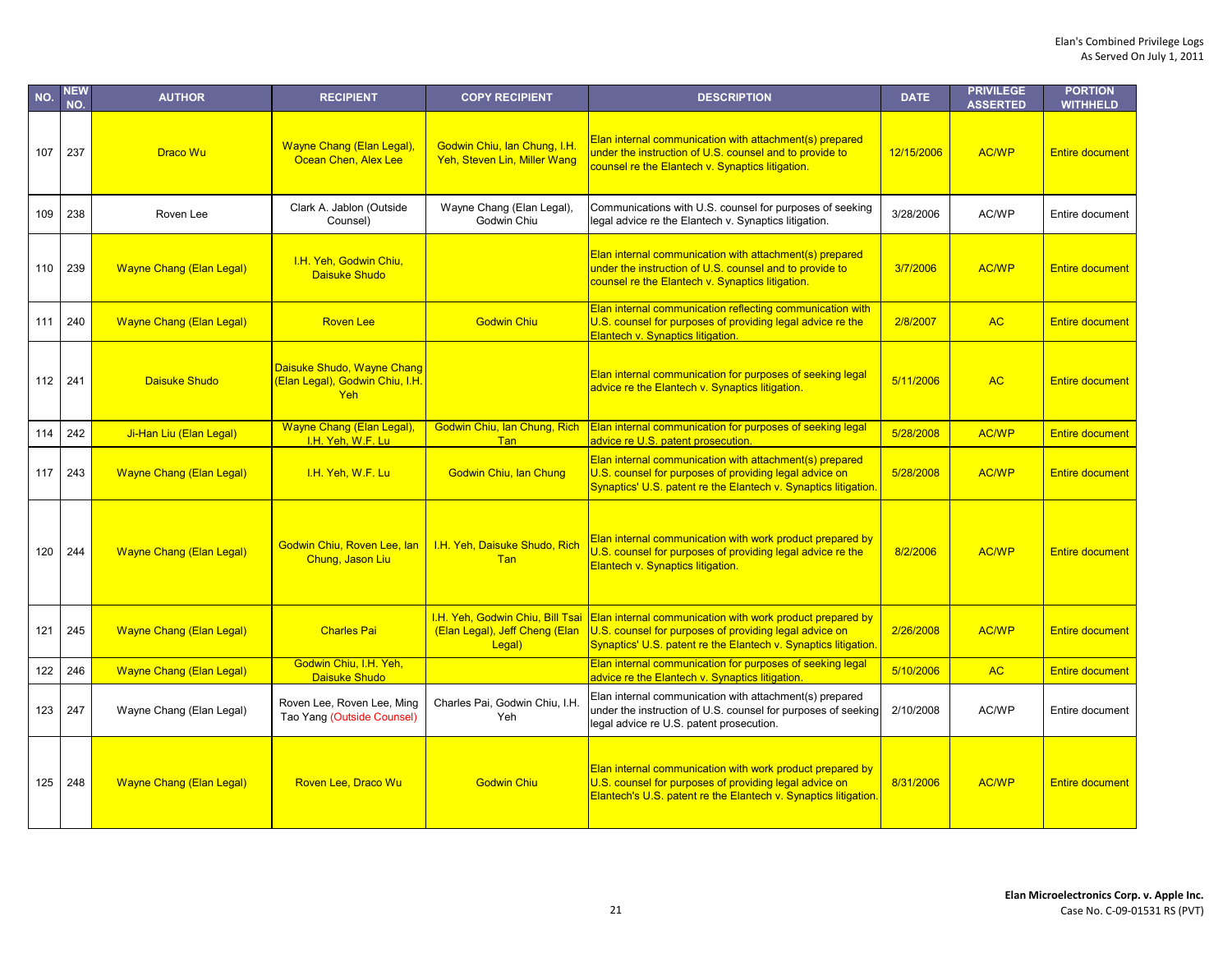| NO. | NEW<br>NO. | <b>AUTHOR</b>                   | <b>RECIPIENT</b>                                                     | <b>COPY RECIPIENT</b>                                                        | <b>DESCRIPTION</b>                                                                                                                                                                     | <b>DATE</b> | <b>PRIVILEGE</b><br><b>ASSERTED</b> | <b>PORTION</b><br><b>WITHHELD</b> |
|-----|------------|---------------------------------|----------------------------------------------------------------------|------------------------------------------------------------------------------|----------------------------------------------------------------------------------------------------------------------------------------------------------------------------------------|-------------|-------------------------------------|-----------------------------------|
| 107 | 237        | <b>Draco Wu</b>                 | Wayne Chang (Elan Legal),<br>Ocean Chen, Alex Lee                    | Godwin Chiu, Ian Chung, I.H.<br>Yeh, Steven Lin, Miller Wang                 | Elan internal communication with attachment(s) prepared<br>under the instruction of U.S. counsel and to provide to<br>counsel re the Elantech v. Synaptics litigation.                 | 12/15/2006  | <b>AC/WP</b>                        | <b>Entire document</b>            |
| 109 | 238        | Roven Lee                       | Clark A. Jablon (Outside<br>Counsel)                                 | Wayne Chang (Elan Legal),<br>Godwin Chiu                                     | Communications with U.S. counsel for purposes of seeking<br>legal advice re the Elantech v. Synaptics litigation.                                                                      | 3/28/2006   | AC/WP                               | Entire document                   |
| 110 | 239        | <b>Wayne Chang (Elan Legal)</b> | I.H. Yeh, Godwin Chiu,<br>Daisuke Shudo                              |                                                                              | Elan internal communication with attachment(s) prepared<br>under the instruction of U.S. counsel and to provide to<br>counsel re the Elantech v. Synaptics litigation.                 | 3/7/2006    | <b>AC/WP</b>                        | <b>Entire document</b>            |
| 111 | 240        | <b>Wayne Chang (Elan Legal)</b> | <b>Roven Lee</b>                                                     | <b>Godwin Chiu</b>                                                           | Elan internal communication reflecting communication with<br>U.S. counsel for purposes of providing legal advice re the<br>Elantech v. Synaptics litigation.                           | 2/8/2007    | <b>AC</b>                           | <b>Entire document</b>            |
| 112 | 241        | <b>Daisuke Shudo</b>            | Daisuke Shudo, Wayne Chang<br>(Elan Legal), Godwin Chiu, I.H.<br>Yeh |                                                                              | Elan internal communication for purposes of seeking legal<br>advice re the Elantech v. Synaptics litigation.                                                                           | 5/11/2006   | <b>AC</b>                           | <b>Entire document</b>            |
| 114 | 242        | Ji-Han Liu (Elan Legal)         | Wayne Chang (Elan Legal),<br>I.H. Yeh, W.F. Lu                       | Godwin Chiu, Ian Chung, Rich<br>Tan                                          | Elan internal communication for purposes of seeking legal<br>advice re U.S. patent prosecution.                                                                                        | 5/28/2008   | <b>AC/WP</b>                        | <b>Entire document</b>            |
| 117 | 243        | <b>Wayne Chang (Elan Legal)</b> | I.H. Yeh, W.F. Lu                                                    | <b>Godwin Chiu, Ian Chung</b>                                                | Elan internal communication with attachment(s) prepared<br>U.S. counsel for purposes of providing legal advice on<br>Synaptics' U.S. patent re the Elantech v. Synaptics litigation.   | 5/28/2008   | <b>AC/WP</b>                        | <b>Entire document</b>            |
| 120 | 244        | <b>Wayne Chang (Elan Legal)</b> | Godwin Chiu, Roven Lee, lan<br>Chung, Jason Liu                      | I.H. Yeh, Daisuke Shudo, Rich<br>Tan                                         | Elan internal communication with work product prepared by<br>U.S. counsel for purposes of providing legal advice re the<br>Elantech v. Synaptics litigation.                           | 8/2/2006    | <b>AC/WP</b>                        | <b>Entire document</b>            |
| 121 | 245        | <b>Wayne Chang (Elan Legal)</b> | <b>Charles Pai</b>                                                   | I.H. Yeh, Godwin Chiu, Bill Tsai<br>(Elan Legal), Jeff Cheng (Elan<br>Legal) | Elan internal communication with work product prepared by<br>U.S. counsel for purposes of providing legal advice on<br>Synaptics' U.S. patent re the Elantech v. Synaptics litigation. | 2/26/2008   | <b>AC/WP</b>                        | <b>Entire document</b>            |
| 122 | 246        | <b>Wayne Chang (Elan Legal)</b> | Godwin Chiu, I.H. Yeh,<br>Daisuke Shudo                              |                                                                              | Elan internal communication for purposes of seeking legal<br>advice re the Elantech v. Synaptics litigation.                                                                           | 5/10/2006   | <b>AC</b>                           | <b>Entire document</b>            |
| 123 | 247        | Wayne Chang (Elan Legal)        | Roven Lee, Roven Lee, Ming<br>Tao Yang (Outside Counsel)             | Charles Pai, Godwin Chiu, I.H.<br>Yeh                                        | Elan internal communication with attachment(s) prepared<br>under the instruction of U.S. counsel for purposes of seeking<br>legal advice re U.S. patent prosecution.                   | 2/10/2008   | AC/WP                               | Entire document                   |
| 125 | 248        | <b>Wayne Chang (Elan Legal)</b> | Roven Lee, Draco Wu                                                  | <b>Godwin Chiu</b>                                                           | Elan internal communication with work product prepared by<br>U.S. counsel for purposes of providing legal advice on<br>Elantech's U.S. patent re the Elantech v. Synaptics litigation. | 8/31/2006   | <b>AC/WP</b>                        | <b>Entire document</b>            |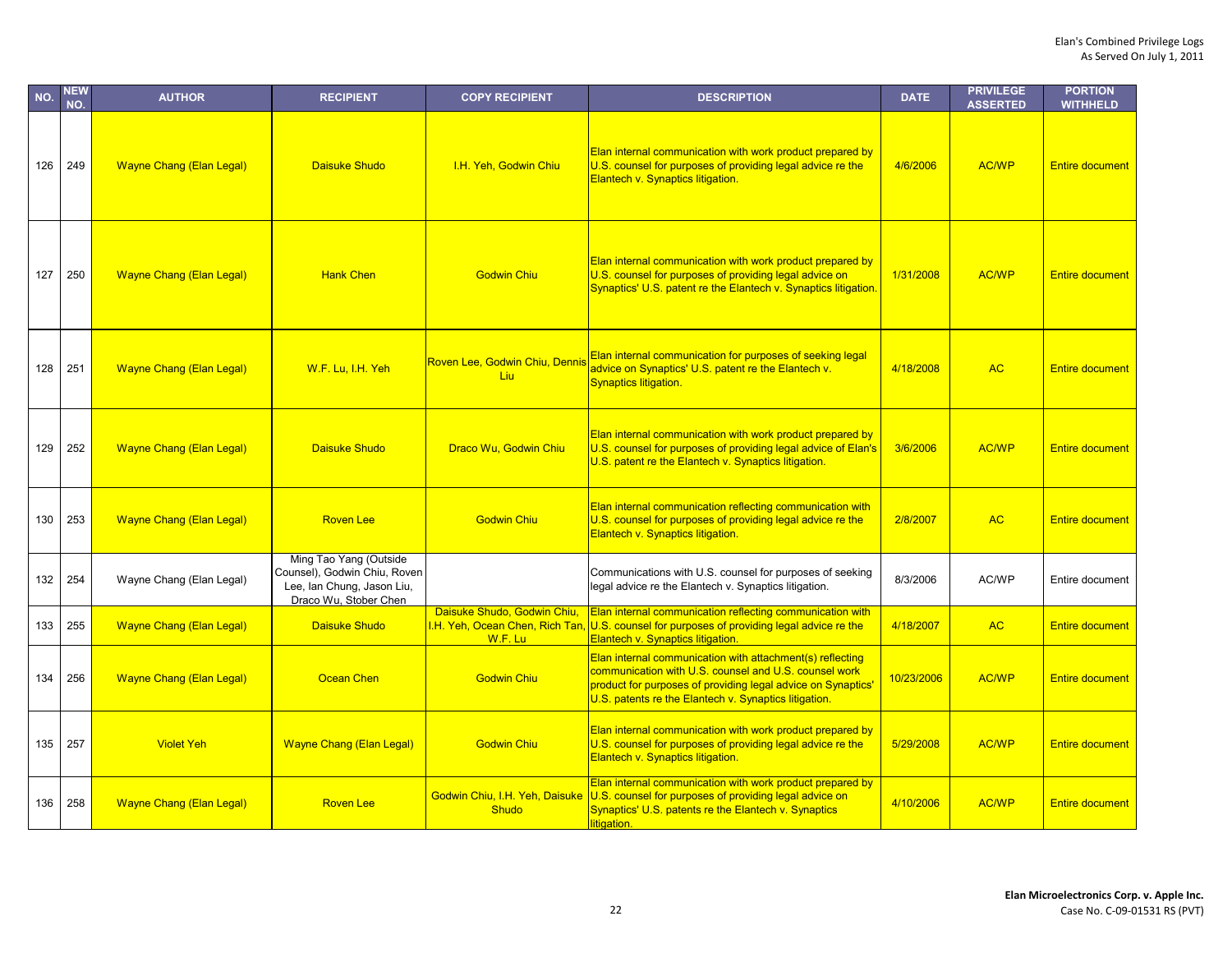| NO. | <b>NEW</b><br>NO. | <b>AUTHOR</b>                   | <b>RECIPIENT</b>                                                                                              | <b>COPY RECIPIENT</b>                                                     | <b>DESCRIPTION</b>                                                                                                                                                                                                                          | <b>DATE</b> | <b>PRIVILEGE</b><br><b>ASSERTED</b> | <b>PORTION</b><br><b>WITHHELD</b> |
|-----|-------------------|---------------------------------|---------------------------------------------------------------------------------------------------------------|---------------------------------------------------------------------------|---------------------------------------------------------------------------------------------------------------------------------------------------------------------------------------------------------------------------------------------|-------------|-------------------------------------|-----------------------------------|
| 126 | 249               | <b>Wayne Chang (Elan Legal)</b> | Daisuke Shudo                                                                                                 | I.H. Yeh, Godwin Chiu                                                     | Elan internal communication with work product prepared by<br>U.S. counsel for purposes of providing legal advice re the<br>Elantech v. Synaptics litigation.                                                                                | 4/6/2006    | <b>AC/WP</b>                        | <b>Entire document</b>            |
| 127 | 250               | <b>Wayne Chang (Elan Legal)</b> | <b>Hank Chen</b>                                                                                              | <b>Godwin Chiu</b>                                                        | Elan internal communication with work product prepared by<br>U.S. counsel for purposes of providing legal advice on<br>Synaptics' U.S. patent re the Elantech v. Synaptics litigation.                                                      | 1/31/2008   | <b>AC/WP</b>                        | <b>Entire document</b>            |
| 128 | 251               | <b>Wayne Chang (Elan Legal)</b> | W.F. Lu, I.H. Yeh                                                                                             | Roven Lee, Godwin Chiu, Dennis<br>Liu                                     | Elan internal communication for purposes of seeking legal<br>advice on Synaptics' U.S. patent re the Elantech v.<br><b>Synaptics litigation.</b>                                                                                            | 4/18/2008   | <b>AC</b>                           | <b>Entire document</b>            |
| 129 | 252               | <b>Wayne Chang (Elan Legal)</b> | <b>Daisuke Shudo</b>                                                                                          | Draco Wu, Godwin Chiu                                                     | Elan internal communication with work product prepared by<br>U.S. counsel for purposes of providing legal advice of Elan's<br>U.S. patent re the Elantech v. Synaptics litigation.                                                          | 3/6/2006    | <b>AC/WP</b>                        | <b>Entire document</b>            |
| 130 | 253               | <b>Wayne Chang (Elan Legal)</b> | <b>Roven Lee</b>                                                                                              | <b>Godwin Chiu</b>                                                        | Elan internal communication reflecting communication with<br>U.S. counsel for purposes of providing legal advice re the<br>Elantech v. Synaptics litigation.                                                                                | 2/8/2007    | <b>AC</b>                           | <b>Entire document</b>            |
| 132 | 254               | Wayne Chang (Elan Legal)        | Ming Tao Yang (Outside<br>Counsel), Godwin Chiu, Roven<br>Lee, Ian Chung, Jason Liu,<br>Draco Wu, Stober Chen |                                                                           | Communications with U.S. counsel for purposes of seeking<br>legal advice re the Elantech v. Synaptics litigation.                                                                                                                           | 8/3/2006    | AC/WP                               | Entire document                   |
| 133 | 255               | <b>Wayne Chang (Elan Legal)</b> | <b>Daisuke Shudo</b>                                                                                          | Daisuke Shudo, Godwin Chiu,<br>I.H. Yeh, Ocean Chen, Rich Tan,<br>W.F. Lu | <b>Elan internal communication reflecting communication with</b><br>U.S. counsel for purposes of providing legal advice re the<br>Elantech v. Synaptics litigation.                                                                         | 4/18/2007   | <b>AC</b>                           | <b>Entire document</b>            |
| 134 | 256               | <b>Wayne Chang (Elan Legal)</b> | <b>Ocean Chen</b>                                                                                             | <b>Godwin Chiu</b>                                                        | Elan internal communication with attachment(s) reflecting<br>communication with U.S. counsel and U.S. counsel work<br>product for purposes of providing legal advice on Synaptics'<br>U.S. patents re the Elantech v. Synaptics litigation. | 10/23/2006  | <b>AC/WP</b>                        | <b>Entire document</b>            |
| 135 | 257               | <b>Violet Yeh</b>               | <b>Wayne Chang (Elan Legal)</b>                                                                               | <b>Godwin Chiu</b>                                                        | Elan internal communication with work product prepared by<br>U.S. counsel for purposes of providing legal advice re the<br>Elantech v. Synaptics litigation.                                                                                | 5/29/2008   | <b>AC/WP</b>                        | <b>Entire document</b>            |
| 136 | 258               | <b>Wayne Chang (Elan Legal)</b> | <b>Roven Lee</b>                                                                                              | Godwin Chiu, I.H. Yeh, Daisuke<br><b>Shudo</b>                            | Elan internal communication with work product prepared by<br>U.S. counsel for purposes of providing legal advice on<br>Synaptics' U.S. patents re the Elantech v. Synaptics<br>litigation.                                                  | 4/10/2006   | <b>AC/WP</b>                        | <b>Entire document</b>            |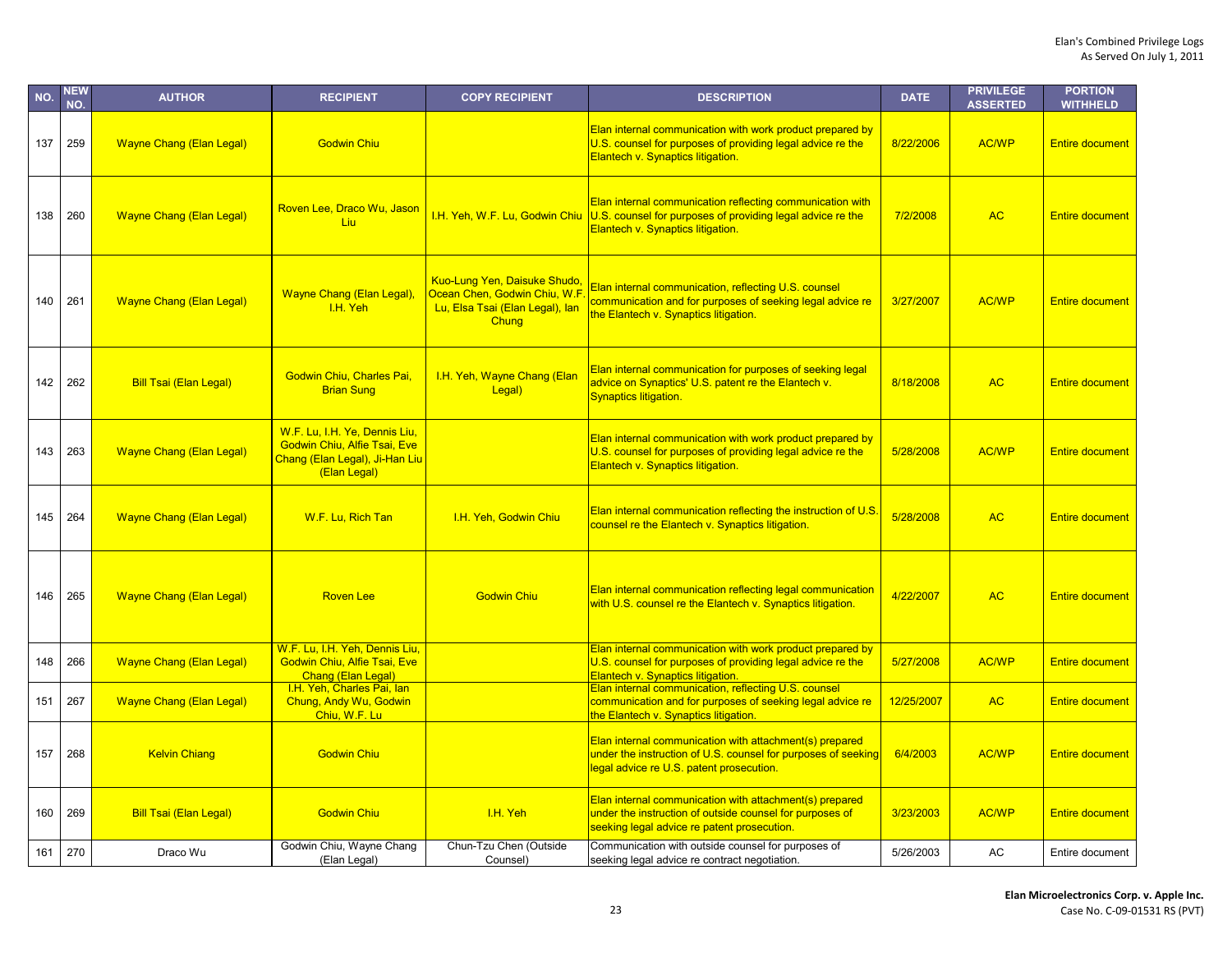| NO. | <b>NEW</b><br>NO. | <b>AUTHOR</b>                   | <b>RECIPIENT</b>                                                                                                       | <b>COPY RECIPIENT</b>                                                                                          | <b>DESCRIPTION</b>                                                                                                                                                   | <b>DATE</b> | <b>PRIVILEGE</b><br><b>ASSERTED</b> | <b>PORTION</b><br><b>WITHHELD</b> |
|-----|-------------------|---------------------------------|------------------------------------------------------------------------------------------------------------------------|----------------------------------------------------------------------------------------------------------------|----------------------------------------------------------------------------------------------------------------------------------------------------------------------|-------------|-------------------------------------|-----------------------------------|
| 137 | 259               | <b>Wayne Chang (Elan Legal)</b> | <b>Godwin Chiu</b>                                                                                                     |                                                                                                                | Elan internal communication with work product prepared by<br>U.S. counsel for purposes of providing legal advice re the<br>Elantech v. Synaptics litigation.         | 8/22/2006   | <b>AC/WP</b>                        | <b>Entire document</b>            |
| 138 | 260               | <b>Wayne Chang (Elan Legal)</b> | Roven Lee, Draco Wu, Jason<br>Liu                                                                                      | I.H. Yeh, W.F. Lu, Godwin Chiu                                                                                 | Elan internal communication reflecting communication with<br>U.S. counsel for purposes of providing legal advice re the<br>Elantech v. Synaptics litigation.         | 7/2/2008    | <b>AC</b>                           | <b>Entire document</b>            |
| 140 | 261               | <b>Wayne Chang (Elan Legal)</b> | <b>Wayne Chang (Elan Legal),</b><br>I.H. Yeh                                                                           | <b>Kuo-Lung Yen, Daisuke Shudo</b><br>Ocean Chen, Godwin Chiu, W.F<br>Lu, Elsa Tsai (Elan Legal), lan<br>Chung | Elan internal communication, reflecting U.S. counsel<br>communication and for purposes of seeking legal advice re<br>the Elantech v. Synaptics litigation.           | 3/27/2007   | <b>AC/WP</b>                        | <b>Entire document</b>            |
| 142 | 262               | <b>Bill Tsai (Elan Legal)</b>   | Godwin Chiu, Charles Pai,<br><b>Brian Sung</b>                                                                         | I.H. Yeh, Wayne Chang (Elan<br>Legal)                                                                          | Elan internal communication for purposes of seeking legal<br>advice on Synaptics' U.S. patent re the Elantech v.<br><b>Synaptics litigation.</b>                     | 8/18/2008   | <b>AC</b>                           | <b>Entire document</b>            |
| 143 | 263               | <b>Wayne Chang (Elan Legal)</b> | W.F. Lu, I.H. Ye, Dennis Liu,<br><b>Godwin Chiu, Alfie Tsai, Eve</b><br>Chang (Elan Legal), Ji-Han Liu<br>(Elan Legal) |                                                                                                                | Elan internal communication with work product prepared by<br>U.S. counsel for purposes of providing legal advice re the<br>Elantech v. Synaptics litigation.         | 5/28/2008   | <b>AC/WP</b>                        | <b>Entire document</b>            |
| 145 | 264               | <b>Wayne Chang (Elan Legal)</b> | W.F. Lu, Rich Tan                                                                                                      | I.H. Yeh, Godwin Chiu                                                                                          | Elan internal communication reflecting the instruction of U.S.<br>counsel re the Elantech v. Synaptics litigation.                                                   | 5/28/2008   | <b>AC</b>                           | <b>Entire document</b>            |
| 146 | 265               | <b>Wayne Chang (Elan Legal)</b> | <b>Roven Lee</b>                                                                                                       | <b>Godwin Chiu</b>                                                                                             | Elan internal communication reflecting legal communication<br>with U.S. counsel re the Elantech v. Synaptics litigation.                                             | 4/22/2007   | <b>AC</b>                           | <b>Entire document</b>            |
| 148 | 266               | <b>Wayne Chang (Elan Legal)</b> | W.F. Lu, I.H. Yeh, Dennis Liu,<br><b>Godwin Chiu, Alfie Tsai, Eve</b><br>Chang (Elan Legal)                            |                                                                                                                | Elan internal communication with work product prepared by<br>U.S. counsel for purposes of providing legal advice re the<br><b>Elantech v. Synaptics litigation.</b>  | 5/27/2008   | <b>AC/WP</b>                        | <b>Entire document</b>            |
| 151 | 267               | <b>Wayne Chang (Elan Legal)</b> | I.H. Yeh, Charles Pai, lan<br>Chung, Andy Wu, Godwin<br>Chiu, W.F. Lu                                                  |                                                                                                                | Elan internal communication, reflecting U.S. counsel<br>communication and for purposes of seeking legal advice re<br>the Elantech v. Synaptics litigation.           | 12/25/2007  | <b>AC</b>                           | <b>Entire document</b>            |
| 157 | 268               | <b>Kelvin Chiang</b>            | <b>Godwin Chiu</b>                                                                                                     |                                                                                                                | Elan internal communication with attachment(s) prepared<br>under the instruction of U.S. counsel for purposes of seeking<br>legal advice re U.S. patent prosecution. | 6/4/2003    | <b>AC/WP</b>                        | <b>Entire document</b>            |
| 160 | 269               | <b>Bill Tsai (Elan Legal)</b>   | <b>Godwin Chiu</b>                                                                                                     | I.H. Yeh                                                                                                       | Elan internal communication with attachment(s) prepared<br>under the instruction of outside counsel for purposes of<br>seeking legal advice re patent prosecution.   | 3/23/2003   | <b>AC/WP</b>                        | <b>Entire document</b>            |
| 161 | 270               | Draco Wu                        | Godwin Chiu, Wayne Chang<br>(Elan Legal)                                                                               | Chun-Tzu Chen (Outside<br>Counsel)                                                                             | Communication with outside counsel for purposes of<br>seeking legal advice re contract negotiation.                                                                  | 5/26/2003   | AC                                  | Entire document                   |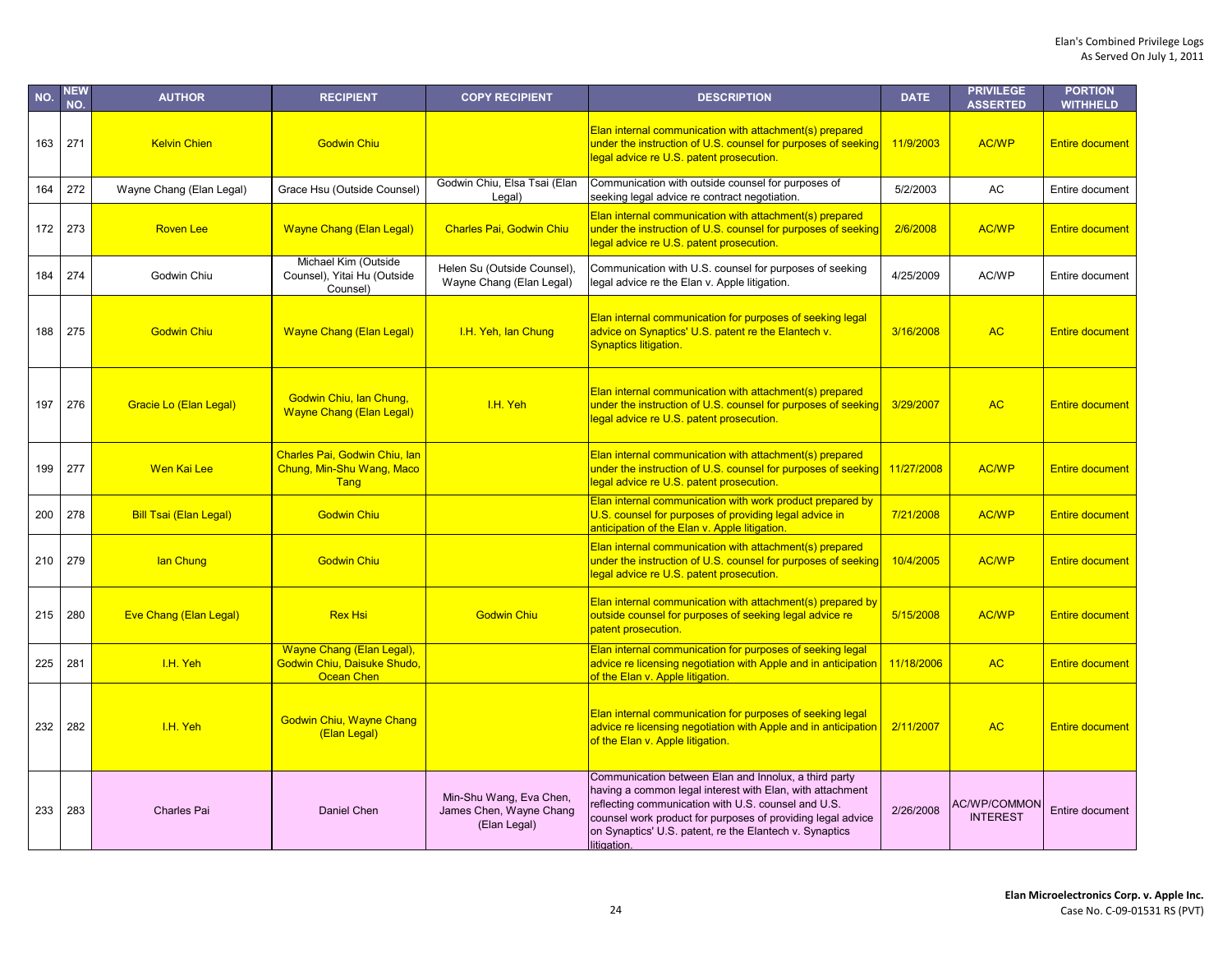| NO. | <b>NEW</b><br>NO. | <b>AUTHOR</b>                 | <b>RECIPIENT</b>                                                              | <b>COPY RECIPIENT</b>                                              | <b>DESCRIPTION</b>                                                                                                                                                                                                                                                                                                 | <b>DATE</b> | <b>PRIVILEGE</b><br><b>ASSERTED</b>    | <b>PORTION</b><br><b>WITHHELD</b> |
|-----|-------------------|-------------------------------|-------------------------------------------------------------------------------|--------------------------------------------------------------------|--------------------------------------------------------------------------------------------------------------------------------------------------------------------------------------------------------------------------------------------------------------------------------------------------------------------|-------------|----------------------------------------|-----------------------------------|
| 163 | 271               | <b>Kelvin Chien</b>           | <b>Godwin Chiu</b>                                                            |                                                                    | Elan internal communication with attachment(s) prepared<br>under the instruction of U.S. counsel for purposes of seeking<br>legal advice re U.S. patent prosecution.                                                                                                                                               | 11/9/2003   | AC/WP                                  | <b>Entire document</b>            |
| 164 | 272               | Wayne Chang (Elan Legal)      | Grace Hsu (Outside Counsel)                                                   | Godwin Chiu, Elsa Tsai (Elan<br>Legal)                             | Communication with outside counsel for purposes of<br>seeking legal advice re contract negotiation.                                                                                                                                                                                                                | 5/2/2003    | AC                                     | Entire document                   |
| 172 | 273               | <b>Roven Lee</b>              | <b>Wayne Chang (Elan Legal)</b>                                               | <b>Charles Pai, Godwin Chiu</b>                                    | Elan internal communication with attachment(s) prepared<br>under the instruction of U.S. counsel for purposes of seeking<br>legal advice re U.S. patent prosecution.                                                                                                                                               | 2/6/2008    | <b>AC/WP</b>                           | <b>Entire document</b>            |
| 184 | 274               | Godwin Chiu                   | Michael Kim (Outside<br>Counsel), Yitai Hu (Outside<br>Counsel)               | Helen Su (Outside Counsel),<br>Wayne Chang (Elan Legal)            | Communication with U.S. counsel for purposes of seeking<br>legal advice re the Elan v. Apple litigation.                                                                                                                                                                                                           | 4/25/2009   | AC/WP                                  | Entire document                   |
| 188 | 275               | <b>Godwin Chiu</b>            | <b>Wayne Chang (Elan Legal)</b>                                               | I.H. Yeh, lan Chung                                                | Elan internal communication for purposes of seeking legal<br>advice on Synaptics' U.S. patent re the Elantech v.<br><b>Synaptics litigation.</b>                                                                                                                                                                   | 3/16/2008   | <b>AC</b>                              | <b>Entire document</b>            |
| 197 | 276               | Gracie Lo (Elan Legal)        | Godwin Chiu, Ian Chung,<br><b>Wayne Chang (Elan Legal)</b>                    | I.H. Yeh                                                           | Elan internal communication with attachment(s) prepared<br>under the instruction of U.S. counsel for purposes of seeking<br>legal advice re U.S. patent prosecution.                                                                                                                                               | 3/29/2007   | <b>AC</b>                              | <b>Entire document</b>            |
| 199 | 277               | Wen Kai Lee                   | <b>Charles Pai, Godwin Chiu, Ian</b><br>Chung, Min-Shu Wang, Maco<br>Tang     |                                                                    | Elan internal communication with attachment(s) prepared<br>under the instruction of U.S. counsel for purposes of seeking<br>legal advice re U.S. patent prosecution.                                                                                                                                               | 11/27/2008  | <b>AC/WP</b>                           | <b>Entire document</b>            |
| 200 | 278               | <b>Bill Tsai (Elan Legal)</b> | <b>Godwin Chiu</b>                                                            |                                                                    | Elan internal communication with work product prepared by<br>U.S. counsel for purposes of providing legal advice in<br>anticipation of the Elan v. Apple litigation.                                                                                                                                               | 7/21/2008   | <b>AC/WP</b>                           | <b>Entire document</b>            |
| 210 | 279               | lan Chung                     | <b>Godwin Chiu</b>                                                            |                                                                    | Elan internal communication with attachment(s) prepared<br>under the instruction of U.S. counsel for purposes of seeking<br>legal advice re U.S. patent prosecution.                                                                                                                                               | 10/4/2005   | <b>AC/WP</b>                           | <b>Entire document</b>            |
| 215 | 280               | <b>Eve Chang (Elan Legal)</b> | <b>Rex Hsi</b>                                                                | <b>Godwin Chiu</b>                                                 | Elan internal communication with attachment(s) prepared by<br>outside counsel for purposes of seeking legal advice re<br>patent prosecution.                                                                                                                                                                       | 5/15/2008   | <b>AC/WP</b>                           | <b>Entire document</b>            |
| 225 | 281               | I.H. Yeh                      | <b>Wayne Chang (Elan Legal),</b><br>Godwin Chiu, Daisuke Shudo,<br>Ocean Chen |                                                                    | Elan internal communication for purposes of seeking legal<br>advice re licensing negotiation with Apple and in anticipation<br>of the Elan v. Apple litigation.                                                                                                                                                    | 11/18/2006  | <b>AC</b>                              | <b>Entire document</b>            |
| 232 | 282               | I.H. Yeh                      | <b>Godwin Chiu, Wayne Chang</b><br>(Elan Legal)                               |                                                                    | Elan internal communication for purposes of seeking legal<br>advice re licensing negotiation with Apple and in anticipation<br>of the Elan v. Apple litigation.                                                                                                                                                    | 2/11/2007   | <b>AC</b>                              | <b>Entire document</b>            |
| 233 | 283               | <b>Charles Pai</b>            | Daniel Chen                                                                   | Min-Shu Wang, Eva Chen,<br>James Chen, Wayne Chang<br>(Elan Legal) | Communication between Elan and Innolux, a third party<br>having a common legal interest with Elan, with attachment<br>reflecting communication with U.S. counsel and U.S.<br>counsel work product for purposes of providing legal advice<br>on Synaptics' U.S. patent, re the Elantech v. Synaptics<br>litigation. | 2/26/2008   | <b>AC/WP/COMMON</b><br><b>INTEREST</b> | Entire document                   |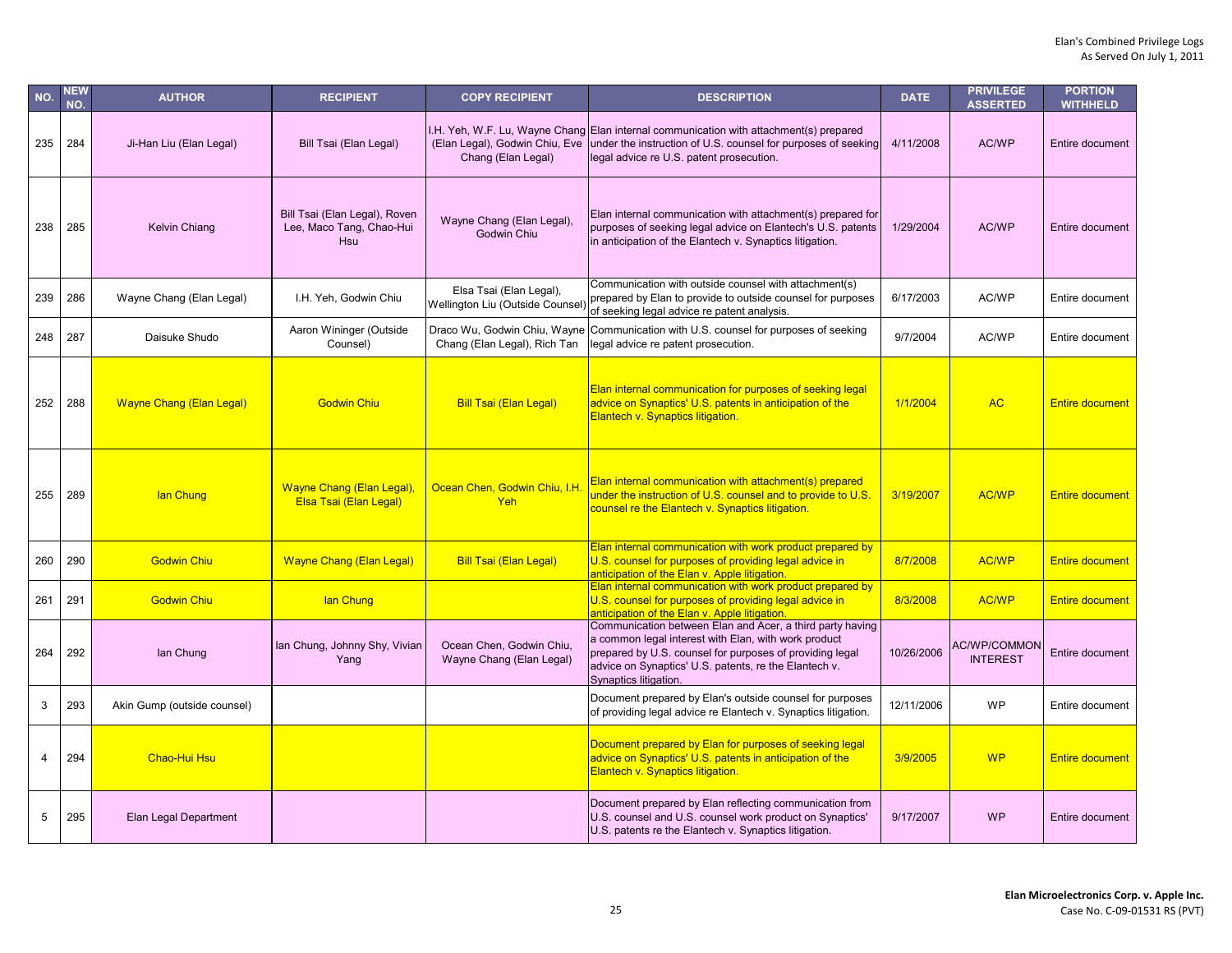| NO.            | NEW<br>NO. | <b>AUTHOR</b>                   | <b>RECIPIENT</b>                                                 | <b>COPY RECIPIENT</b>                                        | <b>DESCRIPTION</b>                                                                                                                                                                                                                                              | <b>DATE</b> | <b>PRIVILEGE</b><br><b>ASSERTED</b>    | <b>PORTION</b><br><b>WITHHELD</b> |
|----------------|------------|---------------------------------|------------------------------------------------------------------|--------------------------------------------------------------|-----------------------------------------------------------------------------------------------------------------------------------------------------------------------------------------------------------------------------------------------------------------|-------------|----------------------------------------|-----------------------------------|
| 235            | 284        | Ji-Han Liu (Elan Legal)         | Bill Tsai (Elan Legal)                                           | (Elan Legal), Godwin Chiu, Eve<br>Chang (Elan Legal)         | I.H. Yeh, W.F. Lu, Wayne Chang Elan internal communication with attachment(s) prepared<br>under the instruction of U.S. counsel for purposes of seeking<br>legal advice re U.S. patent prosecution.                                                             | 4/11/2008   | AC/WP                                  | Entire document                   |
| 238            | 285        | <b>Kelvin Chiang</b>            | Bill Tsai (Elan Legal), Roven<br>Lee, Maco Tang, Chao-Hui<br>Hsu | Wayne Chang (Elan Legal),<br>Godwin Chiu                     | Elan internal communication with attachment(s) prepared for<br>purposes of seeking legal advice on Elantech's U.S. patents<br>in anticipation of the Elantech v. Synaptics litigation.                                                                          | 1/29/2004   | AC/WP                                  | Entire document                   |
| 239            | 286        | Wayne Chang (Elan Legal)        | I.H. Yeh, Godwin Chiu                                            | Elsa Tsai (Elan Legal),<br>Wellington Liu (Outside Counsel   | Communication with outside counsel with attachment(s)<br>prepared by Elan to provide to outside counsel for purposes<br>of seeking legal advice re patent analysis.                                                                                             | 6/17/2003   | AC/WP                                  | Entire document                   |
| 248            | 287        | Daisuke Shudo                   | Aaron Wininger (Outside<br>Counsel)                              | Draco Wu, Godwin Chiu, Wayne<br>Chang (Elan Legal), Rich Tan | Communication with U.S. counsel for purposes of seeking<br>legal advice re patent prosecution.                                                                                                                                                                  | 9/7/2004    | AC/WP                                  | Entire document                   |
| 252            | 288        | <b>Wayne Chang (Elan Legal)</b> | <b>Godwin Chiu</b>                                               | <b>Bill Tsai (Elan Legal)</b>                                | Elan internal communication for purposes of seeking legal<br>advice on Synaptics' U.S. patents in anticipation of the<br>Elantech v. Synaptics litigation.                                                                                                      | 1/1/2004    | <b>AC</b>                              | <b>Entire document</b>            |
| 255            | 289        | lan Chung                       | <b>Wayne Chang (Elan Legal)</b><br>Elsa Tsai (Elan Legal)        | Ocean Chen, Godwin Chiu, I.H<br>Yeh                          | Elan internal communication with attachment(s) prepared<br>under the instruction of U.S. counsel and to provide to U.S.<br>counsel re the Elantech v. Synaptics litigation.                                                                                     | 3/19/2007   | <b>AC/WP</b>                           | <b>Entire document</b>            |
| 260            | 290        | <b>Godwin Chiu</b>              | <b>Wayne Chang (Elan Legal)</b>                                  | <b>Bill Tsai (Elan Legal)</b>                                | Elan internal communication with work product prepared by<br>U.S. counsel for purposes of providing legal advice in<br>anticipation of the Elan v. Apple litigation.                                                                                            | 8/7/2008    | <b>AC/WP</b>                           | <b>Entire document</b>            |
| 261            | 291        | <b>Godwin Chiu</b>              | lan Chung                                                        |                                                              | Elan internal communication with work product prepared by<br>U.S. counsel for purposes of providing legal advice in<br>anticipation of the Elan v. Apple litigation.                                                                                            | 8/3/2008    | <b>AC/WP</b>                           | <b>Entire document</b>            |
| 264            | 292        | lan Chung                       | lan Chung, Johnny Shy, Vivian<br>Yang                            | Ocean Chen, Godwin Chiu,<br>Wayne Chang (Elan Legal)         | Communication between Elan and Acer, a third party having<br>a common legal interest with Elan, with work product<br>prepared by U.S. counsel for purposes of providing legal<br>advice on Synaptics' U.S. patents, re the Elantech v.<br>Synaptics litigation. | 10/26/2006  | <b>AC/WP/COMMON</b><br><b>INTEREST</b> | Entire document                   |
| 3              | 293        | Akin Gump (outside counsel)     |                                                                  |                                                              | Document prepared by Elan's outside counsel for purposes<br>of providing legal advice re Elantech v. Synaptics litigation.                                                                                                                                      | 12/11/2006  | <b>WP</b>                              | Entire document                   |
| $\overline{4}$ | 294        | Chao-Hui Hsu                    |                                                                  |                                                              | Document prepared by Elan for purposes of seeking legal<br>advice on Synaptics' U.S. patents in anticipation of the<br>Elantech v. Synaptics litigation.                                                                                                        | 3/9/2005    | <b>WP</b>                              | <b>Entire document</b>            |
| 5              | 295        | Elan Legal Department           |                                                                  |                                                              | Document prepared by Elan reflecting communication from<br>U.S. counsel and U.S. counsel work product on Synaptics'<br>U.S. patents re the Elantech v. Synaptics litigation.                                                                                    | 9/17/2007   | <b>WP</b>                              | Entire document                   |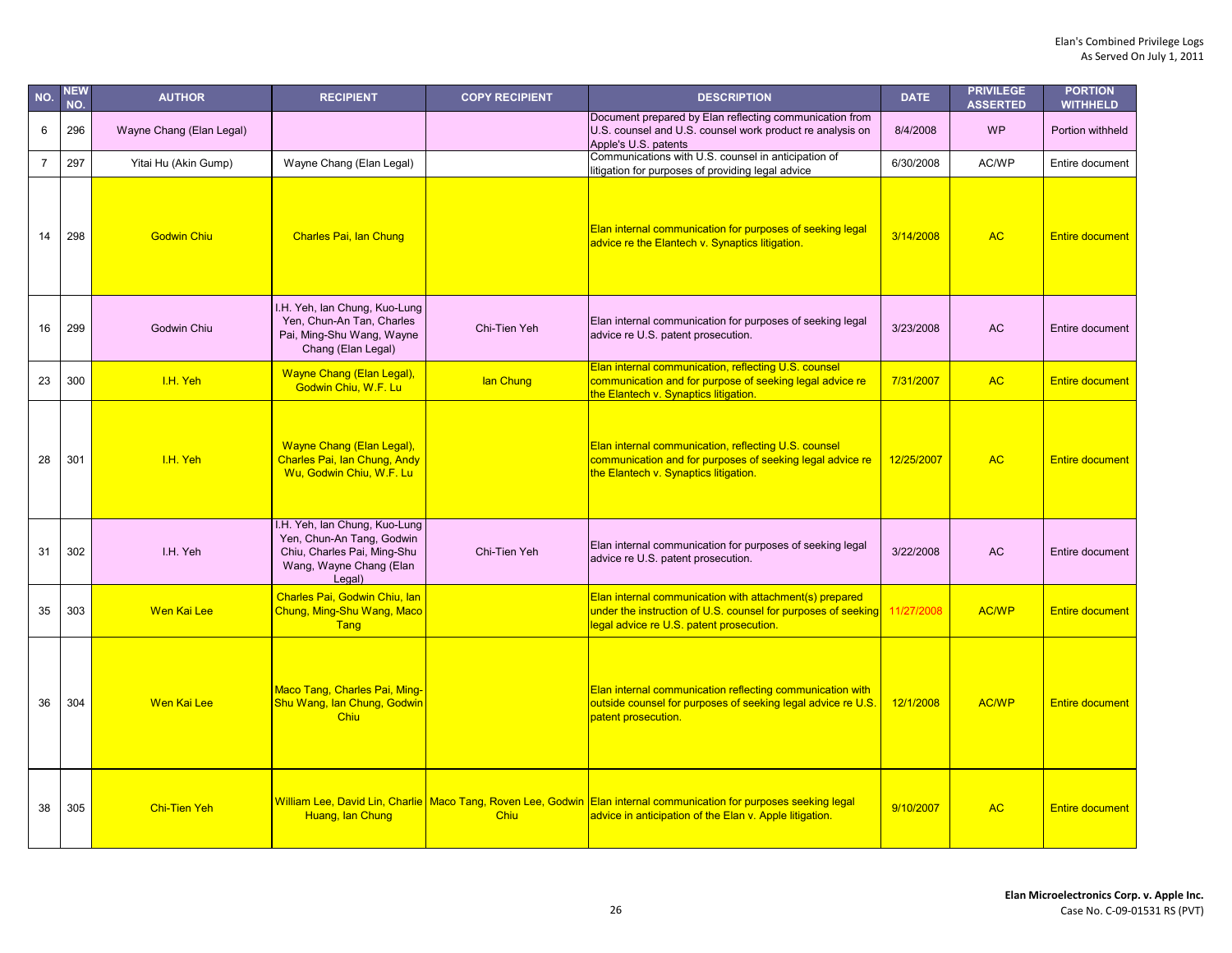| NO.            | <b>NEW</b><br>NO. | <b>AUTHOR</b>            | <b>RECIPIENT</b>                                                                                                               | <b>COPY RECIPIENT</b> | <b>DESCRIPTION</b>                                                                                                                                                              | <b>DATE</b> | <b>PRIVILEGE</b><br><b>ASSERTED</b> | <b>PORTION</b><br><b>WITHHELD</b> |
|----------------|-------------------|--------------------------|--------------------------------------------------------------------------------------------------------------------------------|-----------------------|---------------------------------------------------------------------------------------------------------------------------------------------------------------------------------|-------------|-------------------------------------|-----------------------------------|
| 6              | 296               | Wayne Chang (Elan Legal) |                                                                                                                                |                       | Document prepared by Elan reflecting communication from<br>U.S. counsel and U.S. counsel work product re analysis on<br>Apple's U.S. patents                                    | 8/4/2008    | <b>WP</b>                           | Portion withheld                  |
| $\overline{7}$ | 297               | Yitai Hu (Akin Gump)     | Wayne Chang (Elan Legal)                                                                                                       |                       | Communications with U.S. counsel in anticipation of<br>litigation for purposes of providing legal advice                                                                        | 6/30/2008   | AC/WP                               | Entire document                   |
| 14             | 298               | <b>Godwin Chiu</b>       | <b>Charles Pai, Ian Chung</b>                                                                                                  |                       | Elan internal communication for purposes of seeking legal<br>advice re the Elantech v. Synaptics litigation.                                                                    | 3/14/2008   | <b>AC</b>                           | <b>Entire document</b>            |
| 16             | 299               | Godwin Chiu              | I.H. Yeh, lan Chung, Kuo-Lung<br>Yen, Chun-An Tan, Charles<br>Pai, Ming-Shu Wang, Wayne<br>Chang (Elan Legal)                  | Chi-Tien Yeh          | Elan internal communication for purposes of seeking legal<br>advice re U.S. patent prosecution.                                                                                 | 3/23/2008   | AC                                  | Entire document                   |
| 23             | 300               | I.H. Yeh                 | Wayne Chang (Elan Legal),<br>Godwin Chiu, W.F. Lu                                                                              | lan Chung             | Elan internal communication, reflecting U.S. counsel<br>communication and for purpose of seeking legal advice re<br>the Elantech v. Synaptics litigation.                       | 7/31/2007   | <b>AC</b>                           | <b>Entire document</b>            |
| 28             | 301               | I.H. Yeh                 | Wayne Chang (Elan Legal),<br>Charles Pai, Ian Chung, Andy<br>Wu, Godwin Chiu, W.F. Lu                                          |                       | Elan internal communication, reflecting U.S. counsel<br>communication and for purposes of seeking legal advice re<br>the Elantech v. Synaptics litigation.                      | 12/25/2007  | <b>AC</b>                           | <b>Entire document</b>            |
| 31             | 302               | I.H. Yeh                 | I.H. Yeh, lan Chung, Kuo-Lung<br>Yen, Chun-An Tang, Godwin<br>Chiu, Charles Pai, Ming-Shu<br>Wang, Wayne Chang (Elan<br>Legal) | Chi-Tien Yeh          | Elan internal communication for purposes of seeking legal<br>advice re U.S. patent prosecution.                                                                                 | 3/22/2008   | <b>AC</b>                           | Entire document                   |
| 35             | 303               | Wen Kai Lee              | Charles Pai, Godwin Chiu, Ian<br>Chung, Ming-Shu Wang, Maco<br>Tang                                                            |                       | Elan internal communication with attachment(s) prepared<br>under the instruction of U.S. counsel for purposes of seeking 11/27/2008<br>legal advice re U.S. patent prosecution. |             | <b>AC/WP</b>                        | <b>Entire document</b>            |
| 36             | 304               | <b>Wen Kai Lee</b>       | <b>Maco Tang, Charles Pai, Ming-</b><br>Shu Wang, Ian Chung, Godwin<br><b>Chiu</b>                                             |                       | Elan internal communication reflecting communication with<br>outside counsel for purposes of seeking legal advice re U.S.<br>patent prosecution.                                | 12/1/2008   | <b>AC/WP</b>                        | <b>Entire document</b>            |
| 38             | 305               | <b>Chi-Tien Yeh</b>      | Huang, lan Chung                                                                                                               | Chiu                  | William Lee, David Lin, Charlie Maco Tang, Roven Lee, Godwin Elan internal communication for purposes seeking legal<br>advice in anticipation of the Elan v. Apple litigation.  | 9/10/2007   | <b>AC</b>                           | <b>Entire document</b>            |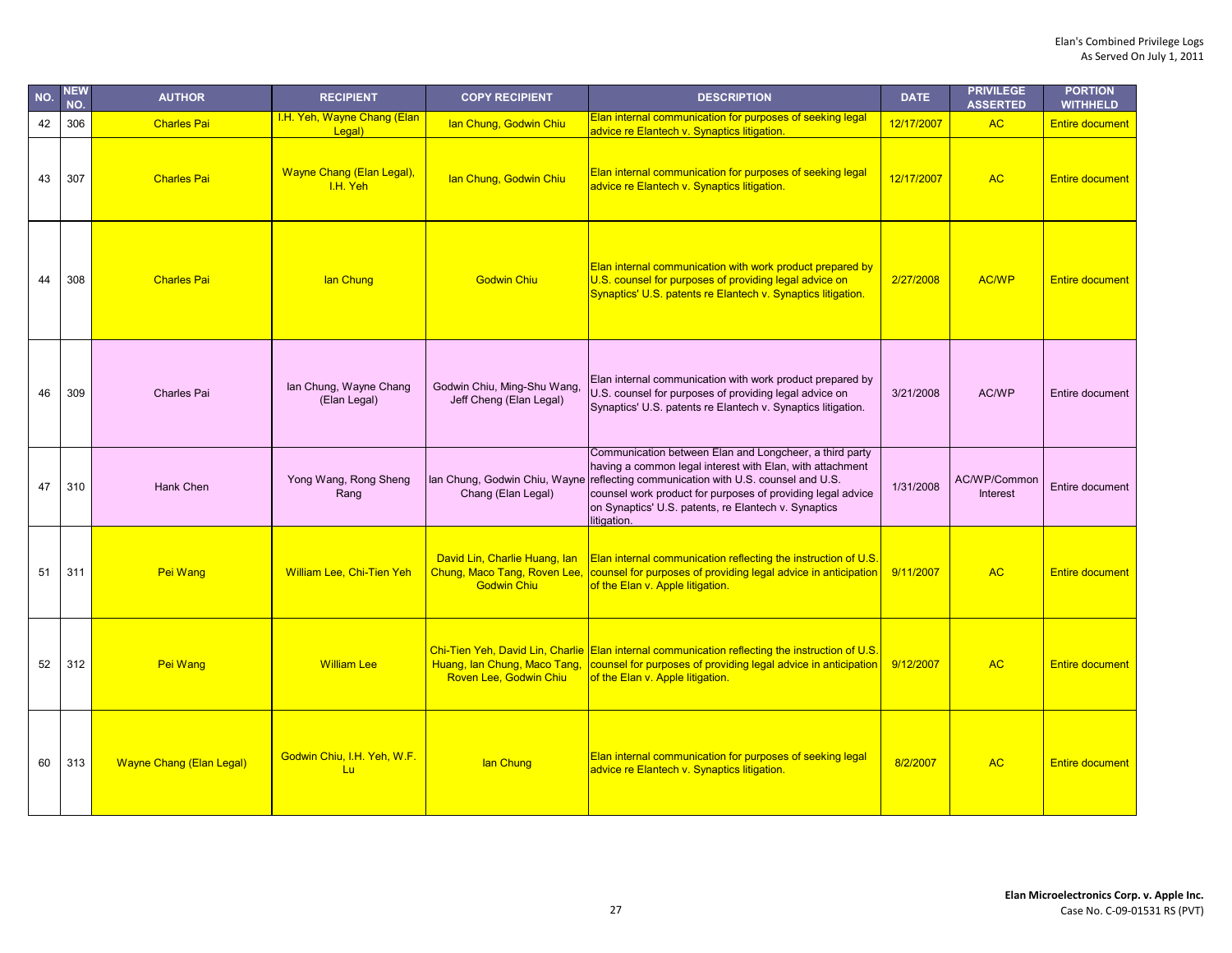| NO. | <b>NEW</b><br>NO. | <b>AUTHOR</b>                   | <b>RECIPIENT</b>                       | <b>COPY RECIPIENT</b>                                                               | <b>DESCRIPTION</b>                                                                                                                                                                                                                                                                                                | <b>DATE</b> | <b>PRIVILEGE</b><br><b>ASSERTED</b> | <b>PORTION</b><br><b>WITHHELD</b> |
|-----|-------------------|---------------------------------|----------------------------------------|-------------------------------------------------------------------------------------|-------------------------------------------------------------------------------------------------------------------------------------------------------------------------------------------------------------------------------------------------------------------------------------------------------------------|-------------|-------------------------------------|-----------------------------------|
| 42  | 306               | <b>Charles Pai</b>              | I.H. Yeh, Wayne Chang (Elan<br>Legal)  | Ian Chung, Godwin Chiu                                                              | Elan internal communication for purposes of seeking legal<br>advice re Elantech v. Synaptics litigation.                                                                                                                                                                                                          | 12/17/2007  | <b>AC</b>                           | <b>Entire document</b>            |
| 43  | 307               | <b>Charles Pai</b>              | Wayne Chang (Elan Legal),<br>I.H. Yeh  | Ian Chung, Godwin Chiu                                                              | Elan internal communication for purposes of seeking legal<br>advice re Elantech v. Synaptics litigation.                                                                                                                                                                                                          | 12/17/2007  | <b>AC</b>                           | <b>Entire document</b>            |
| 44  | 308               | <b>Charles Pai</b>              | lan Chung                              | <b>Godwin Chiu</b>                                                                  | Elan internal communication with work product prepared by<br>U.S. counsel for purposes of providing legal advice on<br>Synaptics' U.S. patents re Elantech v. Synaptics litigation.                                                                                                                               | 2/27/2008   | <b>AC/WP</b>                        | <b>Entire document</b>            |
| 46  | 309               | Charles Pai                     | lan Chung, Wayne Chang<br>(Elan Legal) | Godwin Chiu, Ming-Shu Wang<br>Jeff Cheng (Elan Legal)                               | Elan internal communication with work product prepared by<br>U.S. counsel for purposes of providing legal advice on<br>Synaptics' U.S. patents re Elantech v. Synaptics litigation.                                                                                                                               | 3/21/2008   | AC/WP                               | Entire document                   |
| 47  | 310               | Hank Chen                       | Yong Wang, Rong Sheng<br>Rang          | lan Chung, Godwin Chiu, Wayne<br>Chang (Elan Legal)                                 | Communication between Elan and Longcheer, a third party<br>having a common legal interest with Elan, with attachment<br>reflecting communication with U.S. counsel and U.S.<br>counsel work product for purposes of providing legal advice<br>on Synaptics' U.S. patents, re Elantech v. Synaptics<br>litigation. | 1/31/2008   | AC/WP/Common<br>Interest            | Entire document                   |
| 51  | 311               | Pei Wang                        | <b>William Lee, Chi-Tien Yeh</b>       | David Lin, Charlie Huang, lan<br>Chung, Maco Tang, Roven Lee,<br><b>Godwin Chiu</b> | Elan internal communication reflecting the instruction of U.S.<br>counsel for purposes of providing legal advice in anticipation<br>of the Elan v. Apple litigation.                                                                                                                                              | 9/11/2007   | <b>AC</b>                           | <b>Entire document</b>            |
| 52  | 312               | <b>Pei Wang</b>                 | <b>William Lee</b>                     | Huang, lan Chung, Maco Tang,<br>Roven Lee, Godwin Chiu                              | Chi-Tien Yeh, David Lin, Charlie Elan internal communication reflecting the instruction of U.S.<br>counsel for purposes of providing legal advice in anticipation<br>of the Elan v. Apple litigation.                                                                                                             | 9/12/2007   | <b>AC</b>                           | <b>Entire document</b>            |
| 60  | 313               | <b>Wayne Chang (Elan Legal)</b> | Godwin Chiu, I.H. Yeh, W.F.<br>Lu      | lan Chung                                                                           | Elan internal communication for purposes of seeking legal<br>advice re Elantech v. Synaptics litigation.                                                                                                                                                                                                          | 8/2/2007    | <b>AC</b>                           | <b>Entire document</b>            |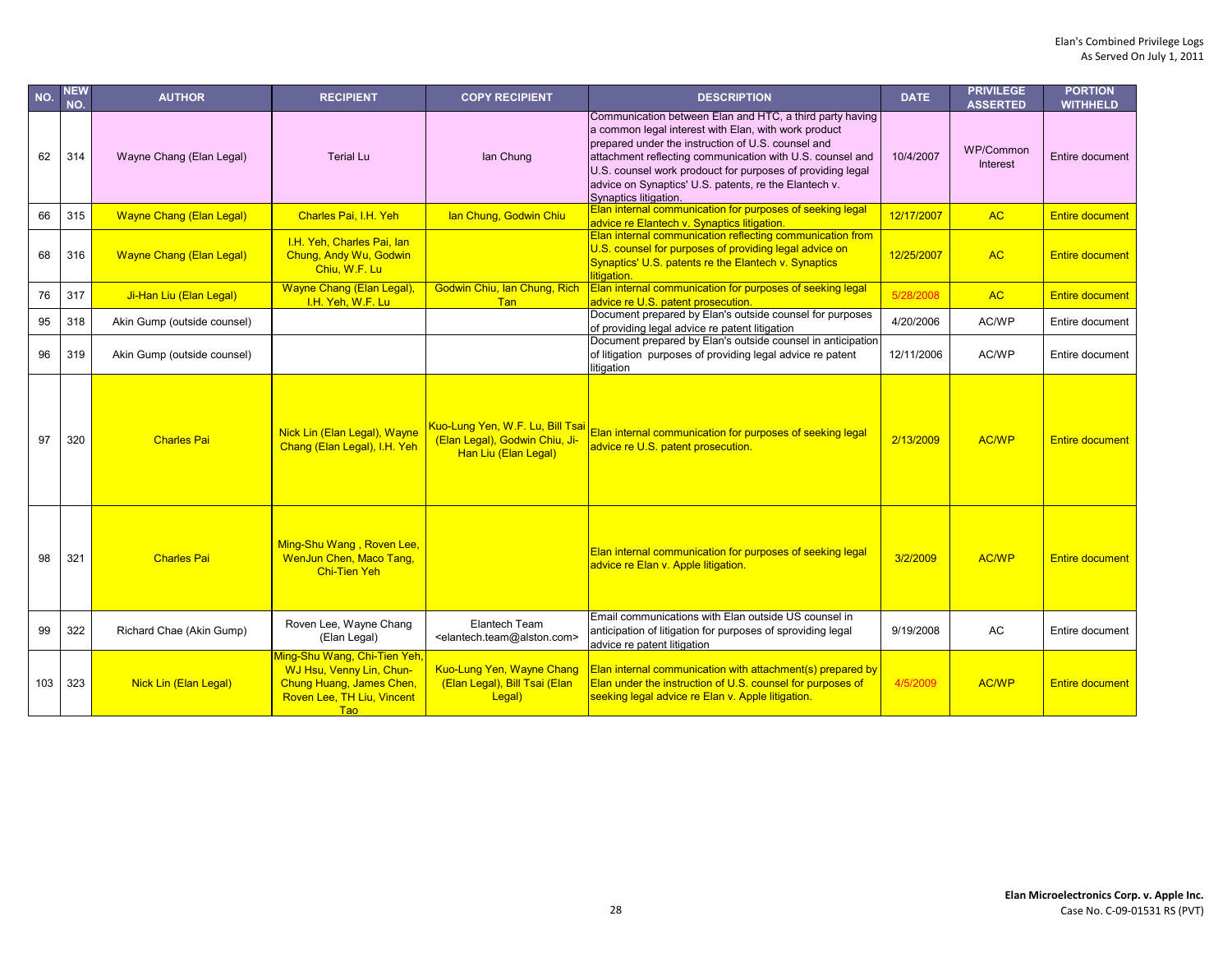| NO. | <b>NEW</b><br>NO. | <b>AUTHOR</b>                   | <b>RECIPIENT</b>                                                                                                                 | <b>COPY RECIPIENT</b>                                                                      | <b>DESCRIPTION</b>                                                                                                                                                                                                                                                                                                                                                                  | <b>DATE</b> | <b>PRIVILEGE</b><br><b>ASSERTED</b> | <b>PORTION</b><br><b>WITHHELD</b> |
|-----|-------------------|---------------------------------|----------------------------------------------------------------------------------------------------------------------------------|--------------------------------------------------------------------------------------------|-------------------------------------------------------------------------------------------------------------------------------------------------------------------------------------------------------------------------------------------------------------------------------------------------------------------------------------------------------------------------------------|-------------|-------------------------------------|-----------------------------------|
| 62  | 314               | Wayne Chang (Elan Legal)        | <b>Terial Lu</b>                                                                                                                 | lan Chung                                                                                  | Communication between Elan and HTC, a third party having<br>a common legal interest with Elan, with work product<br>prepared under the instruction of U.S. counsel and<br>attachment reflecting communication with U.S. counsel and<br>U.S. counsel work prodouct for purposes of providing legal<br>advice on Synaptics' U.S. patents, re the Elantech v.<br>Synaptics litigation. | 10/4/2007   | WP/Common<br><b>Interest</b>        | Entire document                   |
| 66  | 315               | <b>Wayne Chang (Elan Legal)</b> | Charles Pai. I.H. Yeh                                                                                                            | lan Chung, Godwin Chiu                                                                     | Elan internal communication for purposes of seeking legal<br>advice re Elantech v. Synaptics litigation.                                                                                                                                                                                                                                                                            | 12/17/2007  | <b>AC</b>                           | <b>Entire document</b>            |
| 68  | 316               | <b>Wayne Chang (Elan Legal)</b> | I.H. Yeh, Charles Pai, lan<br>Chung, Andy Wu, Godwin<br>Chiu, W.F. Lu                                                            |                                                                                            | Elan internal communication reflecting communication from<br>U.S. counsel for purposes of providing legal advice on<br>Synaptics' U.S. patents re the Elantech v. Synaptics<br>litigation.                                                                                                                                                                                          | 12/25/2007  | <b>AC</b>                           | <b>Entire document</b>            |
| 76  | 317               | Ji-Han Liu (Elan Legal)         | Wayne Chang (Elan Legal),<br>I.H. Yeh, W.F. Lu                                                                                   | Godwin Chiu, Ian Chung, Rich<br><b>Tan</b>                                                 | Elan internal communication for purposes of seeking legal<br>advice re U.S. patent prosecution.                                                                                                                                                                                                                                                                                     | 5/28/2008   | <b>AC</b>                           | <b>Entire document</b>            |
| 95  | 318               | Akin Gump (outside counsel)     |                                                                                                                                  |                                                                                            | Document prepared by Elan's outside counsel for purposes<br>of providing legal advice re patent litigation                                                                                                                                                                                                                                                                          | 4/20/2006   | AC/WP                               | Entire document                   |
| 96  | 319               | Akin Gump (outside counsel)     |                                                                                                                                  |                                                                                            | Document prepared by Elan's outside counsel in anticipation<br>of litigation purposes of providing legal advice re patent<br>litigation                                                                                                                                                                                                                                             | 12/11/2006  | AC/WP                               | Entire document                   |
| 97  | 320               | <b>Charles Pai</b>              | Nick Lin (Elan Legal), Wayne<br>Chang (Elan Legal), I.H. Yeh                                                                     | Kuo-Lung Yen, W.F. Lu, Bill Tsai<br>(Elan Legal), Godwin Chiu, Ji-<br>Han Liu (Elan Legal) | Elan internal communication for purposes of seeking legal<br>advice re U.S. patent prosecution.                                                                                                                                                                                                                                                                                     | 2/13/2009   | AC/WP                               | <b>Entire document</b>            |
| 98  | 321               | <b>Charles Pai</b>              | Ming-Shu Wang, Roven Lee,<br>WenJun Chen, Maco Tang,<br><b>Chi-Tien Yeh</b>                                                      |                                                                                            | Elan internal communication for purposes of seeking legal<br>advice re Elan v. Apple litigation.                                                                                                                                                                                                                                                                                    | 3/2/2009    | <b>AC/WP</b>                        | <b>Entire document</b>            |
| 99  | 322               | Richard Chae (Akin Gump)        | Roven Lee, Wayne Chang<br>(Elan Legal)                                                                                           | Elantech Team<br><elantech.team@alston.com></elantech.team@alston.com>                     | Email communications with Elan outside US counsel in<br>anticipation of litigation for purposes of sproviding legal<br>advice re patent litigation                                                                                                                                                                                                                                  | 9/19/2008   | <b>AC</b>                           | Entire document                   |
| 103 | 323               | Nick Lin (Elan Legal)           | Ming-Shu Wang, Chi-Tien Yeh,<br>WJ Hsu, Venny Lin, Chun-<br>Chung Huang, James Chen,<br>Roven Lee, TH Liu, Vincent<br><b>Tao</b> | <b>Kuo-Lung Yen, Wayne Chang</b><br>(Elan Legal), Bill Tsai (Elan<br>Legal)                | Elan internal communication with attachment(s) prepared by<br>Elan under the instruction of U.S. counsel for purposes of<br>seeking legal advice re Elan v. Apple litigation.                                                                                                                                                                                                       | 4/5/2009    | <b>AC/WP</b>                        | <b>Entire document</b>            |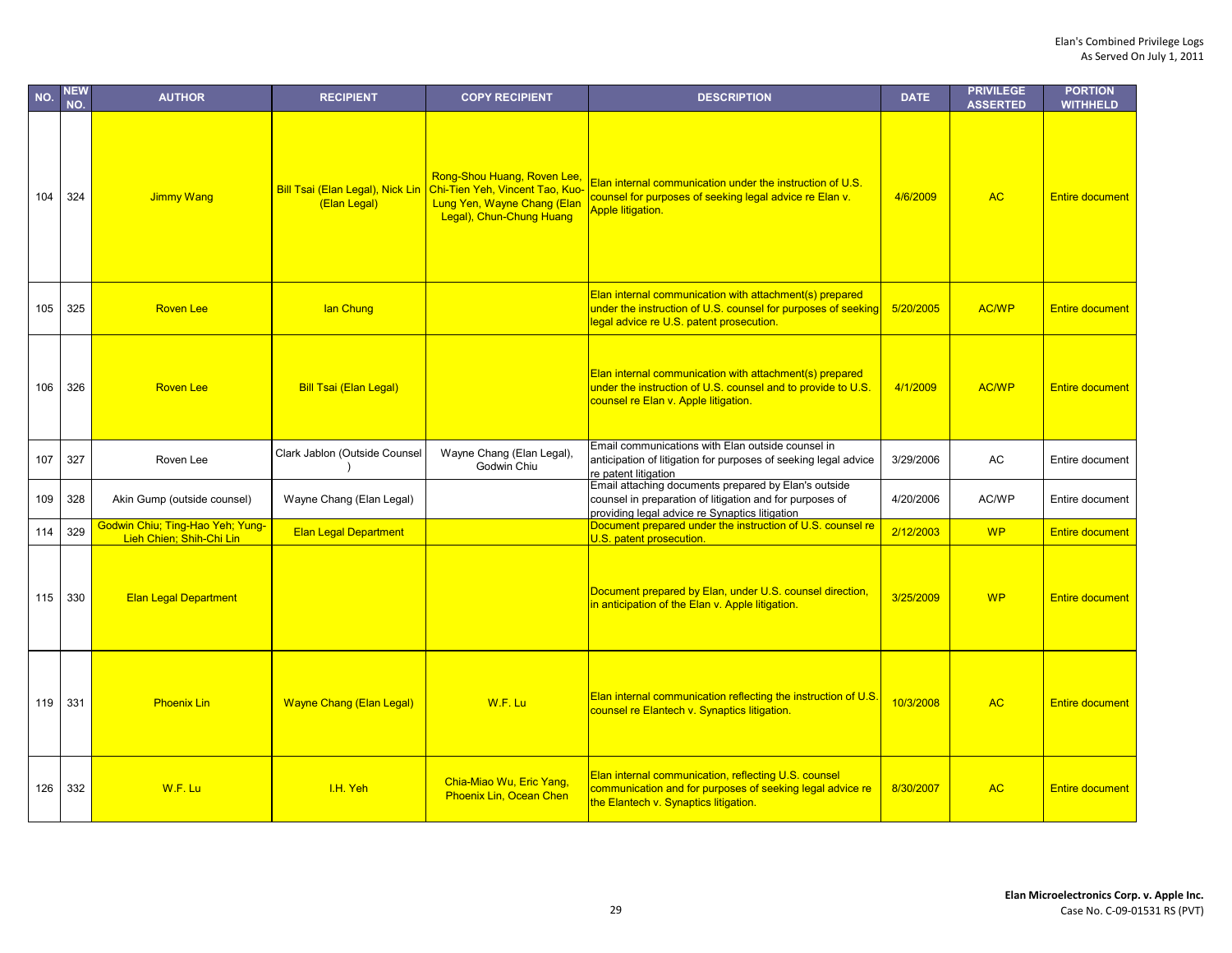| NO. | <b>NEW</b><br>NO. | <b>AUTHOR</b>                                                | <b>RECIPIENT</b>                                 | <b>COPY RECIPIENT</b>                                                                                                     | <b>DESCRIPTION</b>                                                                                                                                                   | <b>DATE</b> | <b>PRIVILEGE</b><br><b>ASSERTED</b> | <b>PORTION</b><br><b>WITHHELD</b> |
|-----|-------------------|--------------------------------------------------------------|--------------------------------------------------|---------------------------------------------------------------------------------------------------------------------------|----------------------------------------------------------------------------------------------------------------------------------------------------------------------|-------------|-------------------------------------|-----------------------------------|
| 104 | 324               | Jimmy Wang                                                   | Bill Tsai (Elan Legal), Nick Lin<br>(Elan Legal) | Rong-Shou Huang, Roven Lee,<br>Chi-Tien Yeh, Vincent Tao, Kuo-<br>Lung Yen, Wayne Chang (Elan<br>Legal), Chun-Chung Huang | Elan internal communication under the instruction of U.S.<br>counsel for purposes of seeking legal advice re Elan v.<br><b>Apple litigation.</b>                     | 4/6/2009    | <b>AC</b>                           | <b>Entire document</b>            |
| 105 | 325               | <b>Roven Lee</b>                                             | lan Chung                                        |                                                                                                                           | Elan internal communication with attachment(s) prepared<br>under the instruction of U.S. counsel for purposes of seeking<br>legal advice re U.S. patent prosecution. | 5/20/2005   | <b>AC/WP</b>                        | <b>Entire document</b>            |
| 106 | 326               | <b>Roven Lee</b>                                             | <b>Bill Tsai (Elan Legal)</b>                    |                                                                                                                           | Elan internal communication with attachment(s) prepared<br>under the instruction of U.S. counsel and to provide to U.S.<br>counsel re Elan v. Apple litigation.      | 4/1/2009    | <b>AC/WP</b>                        | <b>Entire document</b>            |
| 107 | 327               | Roven Lee                                                    | Clark Jablon (Outside Counsel                    | Wayne Chang (Elan Legal),<br>Godwin Chiu                                                                                  | Email communications with Elan outside counsel in<br>anticipation of litigation for purposes of seeking legal advice<br>re patent litigation                         | 3/29/2006   | AC                                  | Entire document                   |
| 109 | 328               | Akin Gump (outside counsel)                                  | Wayne Chang (Elan Legal)                         |                                                                                                                           | Email attaching documents prepared by Elan's outside<br>counsel in preparation of litigation and for purposes of<br>providing legal advice re Synaptics litigation   | 4/20/2006   | AC/WP                               | Entire document                   |
| 114 | 329               | Godwin Chiu; Ting-Hao Yeh; Yung-<br>Lieh Chien; Shih-Chi Lin | <b>Elan Legal Department</b>                     |                                                                                                                           | Document prepared under the instruction of U.S. counsel re<br>U.S. patent prosecution.                                                                               | 2/12/2003   | <b>WP</b>                           | <b>Entire document</b>            |
| 115 | 330               | <b>Elan Legal Department</b>                                 |                                                  |                                                                                                                           | Document prepared by Elan, under U.S. counsel direction,<br>in anticipation of the Elan v. Apple litigation.                                                         | 3/25/2009   | <b>WP</b>                           | <b>Entire document</b>            |
| 119 | 331               | <b>Phoenix Lin</b>                                           | <b>Wayne Chang (Elan Legal)</b>                  | W.F. Lu                                                                                                                   | Elan internal communication reflecting the instruction of U.S.<br>counsel re Elantech v. Synaptics litigation.                                                       | 10/3/2008   | <b>AC</b>                           | <b>Entire document</b>            |
| 126 | 332               | W.F. Lu                                                      | I.H. Yeh                                         | Chia-Miao Wu, Eric Yang,<br><b>Phoenix Lin, Ocean Chen</b>                                                                | Elan internal communication, reflecting U.S. counsel<br>communication and for purposes of seeking legal advice re<br>the Elantech v. Synaptics litigation.           | 8/30/2007   | <b>AC</b>                           | <b>Entire document</b>            |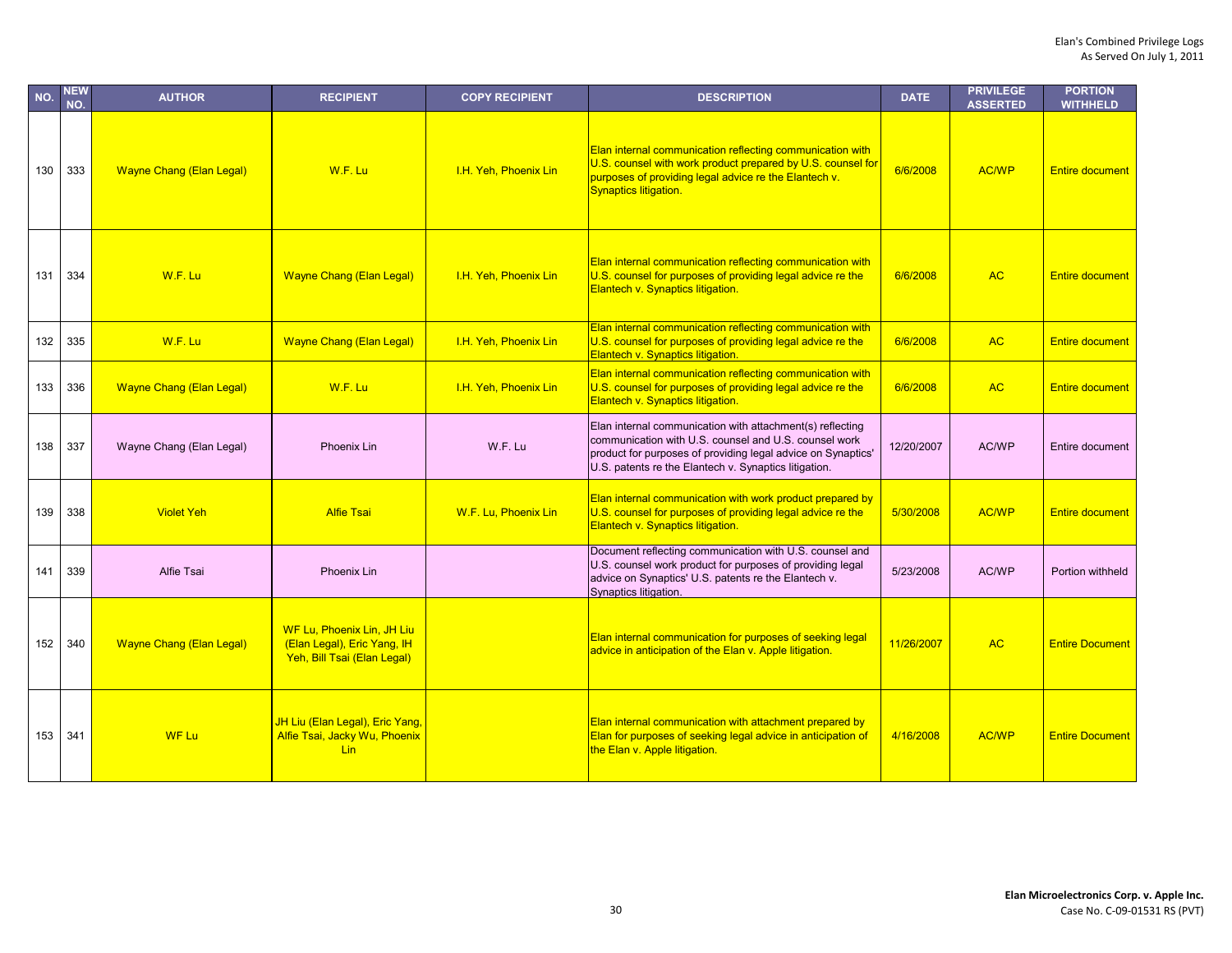| NO. | <b>NEW</b><br>NO. | <b>AUTHOR</b>                   | <b>RECIPIENT</b>                                                                         | <b>COPY RECIPIENT</b> | <b>DESCRIPTION</b>                                                                                                                                                                                                                          | <b>DATE</b> | <b>PRIVILEGE</b><br><b>ASSERTED</b> | <b>PORTION</b><br><b>WITHHELD</b> |
|-----|-------------------|---------------------------------|------------------------------------------------------------------------------------------|-----------------------|---------------------------------------------------------------------------------------------------------------------------------------------------------------------------------------------------------------------------------------------|-------------|-------------------------------------|-----------------------------------|
| 130 | 333               | <b>Wayne Chang (Elan Legal)</b> | W.F. Lu                                                                                  | I.H. Yeh, Phoenix Lin | Elan internal communication reflecting communication with<br>U.S. counsel with work product prepared by U.S. counsel for<br>purposes of providing legal advice re the Elantech v.<br>Synaptics litigation.                                  | 6/6/2008    | <b>AC/WP</b>                        | <b>Entire document</b>            |
| 131 | 334               | W.F. Lu                         | <b>Wayne Chang (Elan Legal)</b>                                                          | I.H. Yeh, Phoenix Lin | Elan internal communication reflecting communication with<br>U.S. counsel for purposes of providing legal advice re the<br>Elantech v. Synaptics litigation.                                                                                | 6/6/2008    | <b>AC</b>                           | <b>Entire document</b>            |
| 132 | 335               | W.F. Lu                         | <b>Wayne Chang (Elan Legal)</b>                                                          | I.H. Yeh, Phoenix Lin | Elan internal communication reflecting communication with<br>U.S. counsel for purposes of providing legal advice re the<br>Elantech v. Synaptics litigation.                                                                                | 6/6/2008    | <b>AC</b>                           | <b>Entire document</b>            |
| 133 | 336               | <b>Wayne Chang (Elan Legal)</b> | W.F. Lu                                                                                  | I.H. Yeh, Phoenix Lin | Elan internal communication reflecting communication with<br>U.S. counsel for purposes of providing legal advice re the<br>Elantech v. Synaptics litigation.                                                                                | 6/6/2008    | <b>AC</b>                           | <b>Entire document</b>            |
| 138 | 337               | Wayne Chang (Elan Legal)        | Phoenix Lin                                                                              | W.F. Lu               | Elan internal communication with attachment(s) reflecting<br>communication with U.S. counsel and U.S. counsel work<br>product for purposes of providing legal advice on Synaptics'<br>U.S. patents re the Elantech v. Synaptics litigation. | 12/20/2007  | AC/WP                               | Entire document                   |
| 139 | 338               | <b>Violet Yeh</b>               | <b>Alfie Tsai</b>                                                                        | W.F. Lu, Phoenix Lin  | Elan internal communication with work product prepared by<br>U.S. counsel for purposes of providing legal advice re the<br>Elantech v. Synaptics litigation.                                                                                | 5/30/2008   | <b>AC/WP</b>                        | <b>Entire document</b>            |
| 141 | 339               | <b>Alfie Tsai</b>               | Phoenix Lin                                                                              |                       | Document reflecting communication with U.S. counsel and<br>U.S. counsel work product for purposes of providing legal<br>advice on Synaptics' U.S. patents re the Elantech v.<br>Synaptics litigation.                                       | 5/23/2008   | AC/WP                               | Portion withheld                  |
| 152 | 340               | <b>Wayne Chang (Elan Legal)</b> | WF Lu, Phoenix Lin, JH Liu<br>(Elan Legal), Eric Yang, IH<br>Yeh, Bill Tsai (Elan Legal) |                       | Elan internal communication for purposes of seeking legal<br>advice in anticipation of the Elan v. Apple litigation.                                                                                                                        | 11/26/2007  | <b>AC</b>                           | <b>Entire Document</b>            |
| 153 | 341               | <b>WF Lu</b>                    | JH Liu (Elan Legal), Eric Yang,<br>Alfie Tsai, Jacky Wu, Phoenix<br><b>Lin</b>           |                       | Elan internal communication with attachment prepared by<br>Elan for purposes of seeking legal advice in anticipation of<br>the Elan v. Apple litigation.                                                                                    | 4/16/2008   | AC/WP                               | <b>Entire Document</b>            |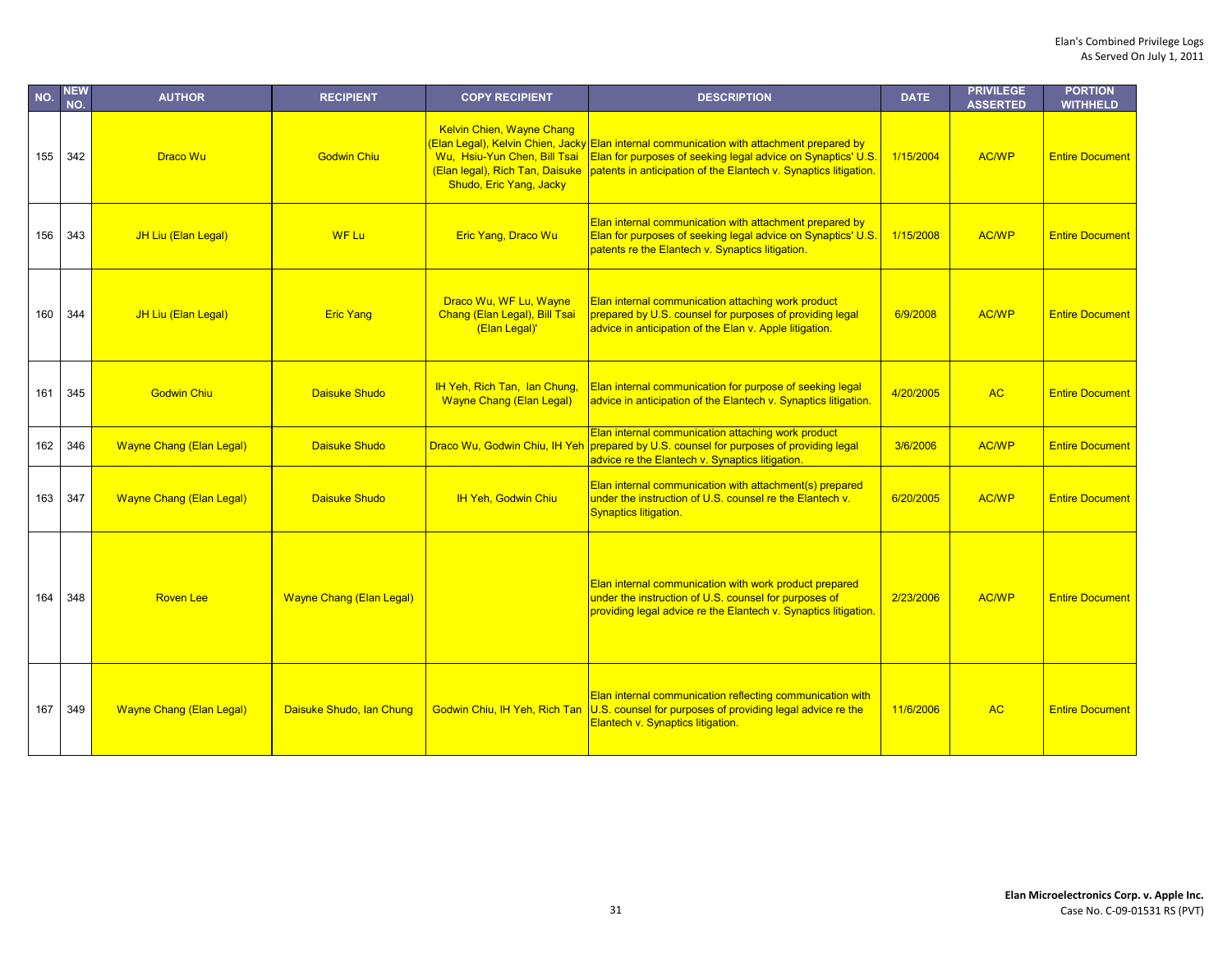| NO. | <b>NEW</b><br>NO. | <b>AUTHOR</b>                   | <b>RECIPIENT</b>                | <b>COPY RECIPIENT</b>                                                                                                          | <b>DESCRIPTION</b>                                                                                                                                                                                                            | <b>DATE</b> | <b>PRIVILEGE</b><br><b>ASSERTED</b> | <b>PORTION</b><br><b>WITHHELD</b> |
|-----|-------------------|---------------------------------|---------------------------------|--------------------------------------------------------------------------------------------------------------------------------|-------------------------------------------------------------------------------------------------------------------------------------------------------------------------------------------------------------------------------|-------------|-------------------------------------|-----------------------------------|
| 155 | 342               | <b>Draco Wu</b>                 | <b>Godwin Chiu</b>              | <b>Kelvin Chien, Wayne Chang</b><br>Wu, Hsiu-Yun Chen, Bill Tsai<br>(Elan legal), Rich Tan, Daisuke<br>Shudo, Eric Yang, Jacky | (Elan Legal), Kelvin Chien, Jacky Elan internal communication with attachment prepared by<br>Elan for purposes of seeking legal advice on Synaptics' U.S.<br>patents in anticipation of the Elantech v. Synaptics litigation. | 1/15/2004   | <b>AC/WP</b>                        | <b>Entire Document</b>            |
| 156 | 343               | JH Liu (Elan Legal)             | <b>WF Lu</b>                    | Eric Yang, Draco Wu                                                                                                            | Elan internal communication with attachment prepared by<br>Elan for purposes of seeking legal advice on Synaptics' U.S.<br>patents re the Elantech v. Synaptics litigation.                                                   | 1/15/2008   | <b>AC/WP</b>                        | <b>Entire Document</b>            |
| 160 | 344               | JH Liu (Elan Legal)             | <b>Eric Yang</b>                | Draco Wu, WF Lu, Wayne<br>Chang (Elan Legal), Bill Tsai<br>(Elan Legal)'                                                       | Elan internal communication attaching work product<br>prepared by U.S. counsel for purposes of providing legal<br>advice in anticipation of the Elan v. Apple litigation.                                                     | 6/9/2008    | <b>AC/WP</b>                        | <b>Entire Document</b>            |
| 161 | 345               | <b>Godwin Chiu</b>              | <b>Daisuke Shudo</b>            | IH Yeh, Rich Tan, Ian Chung,<br><b>Wayne Chang (Elan Legal)</b>                                                                | Elan internal communication for purpose of seeking legal<br>advice in anticipation of the Elantech v. Synaptics litigation.                                                                                                   | 4/20/2005   | <b>AC</b>                           | <b>Entire Document</b>            |
| 162 | 346               | <b>Wayne Chang (Elan Legal)</b> | <b>Daisuke Shudo</b>            | Draco Wu, Godwin Chiu, IH Yeh                                                                                                  | Elan internal communication attaching work product<br>prepared by U.S. counsel for purposes of providing legal<br>advice re the Elantech v. Synaptics litigation.                                                             | 3/6/2006    | <b>AC/WP</b>                        | <b>Entire Document</b>            |
| 163 | 347               | <b>Wayne Chang (Elan Legal)</b> | <b>Daisuke Shudo</b>            | <b>IH Yeh, Godwin Chiu</b>                                                                                                     | Elan internal communication with attachment(s) prepared<br>under the instruction of U.S. counsel re the Elantech v.<br>Synaptics litigation.                                                                                  | 6/20/2005   | <b>AC/WP</b>                        | <b>Entire Document</b>            |
| 164 | 348               | <b>Roven Lee</b>                | <b>Wayne Chang (Elan Legal)</b> |                                                                                                                                | Elan internal communication with work product prepared<br>under the instruction of U.S. counsel for purposes of<br>providing legal advice re the Elantech v. Synaptics litigation.                                            | 2/23/2006   | <b>AC/WP</b>                        | <b>Entire Document</b>            |
| 167 | 349               | <b>Wayne Chang (Elan Legal)</b> | Daisuke Shudo, Ian Chung        | Godwin Chiu. IH Yeh. Rich Tan                                                                                                  | Elan internal communication reflecting communication with<br>U.S. counsel for purposes of providing legal advice re the<br>Elantech v. Synaptics litigation.                                                                  | 11/6/2006   | <b>AC</b>                           | <b>Entire Document</b>            |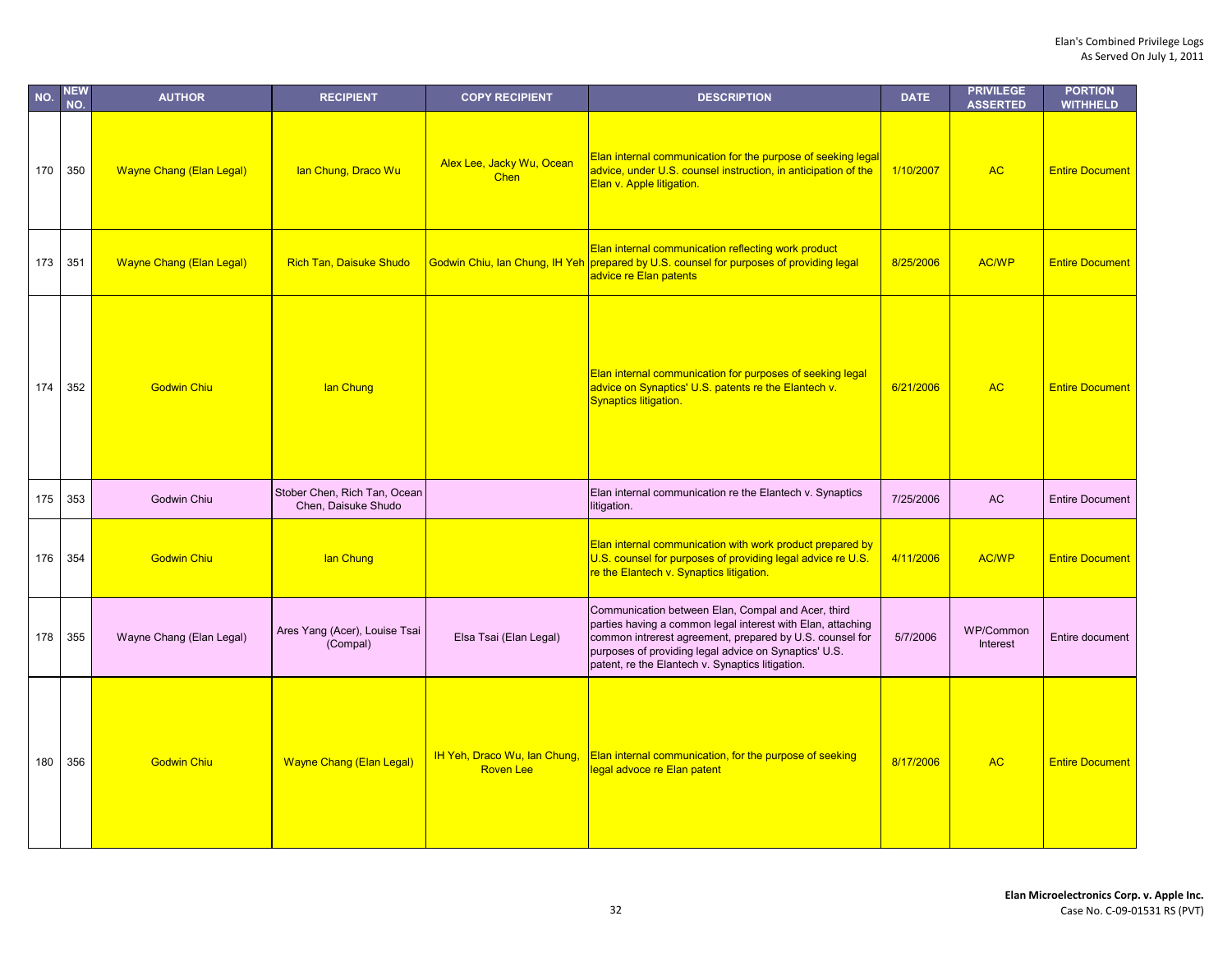| NO. | <b>NEW</b><br>NO. | <b>AUTHOR</b>                   | <b>RECIPIENT</b>                                    | <b>COPY RECIPIENT</b>                            | <b>DESCRIPTION</b>                                                                                                                                                                                                                                                                         | <b>DATE</b> | <b>PRIVILEGE</b><br><b>ASSERTED</b> | <b>PORTION</b><br><b>WITHHELD</b> |
|-----|-------------------|---------------------------------|-----------------------------------------------------|--------------------------------------------------|--------------------------------------------------------------------------------------------------------------------------------------------------------------------------------------------------------------------------------------------------------------------------------------------|-------------|-------------------------------------|-----------------------------------|
| 170 | 350               | <b>Wayne Chang (Elan Legal)</b> | lan Chung, Draco Wu                                 | Alex Lee, Jacky Wu, Ocean<br>Chen                | Elan internal communication for the purpose of seeking legal<br>advice, under U.S. counsel instruction, in anticipation of the<br>Elan v. Apple litigation.                                                                                                                                | 1/10/2007   | <b>AC</b>                           | <b>Entire Document</b>            |
| 173 | 351               | <b>Wayne Chang (Elan Legal)</b> | <b>Rich Tan, Daisuke Shudo</b>                      |                                                  | Elan internal communication reflecting work product<br>Godwin Chiu, Ian Chung, IH Yeh prepared by U.S. counsel for purposes of providing legal<br>advice re Elan patents                                                                                                                   | 8/25/2006   | <b>AC/WP</b>                        | <b>Entire Document</b>            |
| 174 | 352               | <b>Godwin Chiu</b>              | lan Chung                                           |                                                  | Elan internal communication for purposes of seeking legal<br>advice on Synaptics' U.S. patents re the Elantech v.<br><b>Synaptics litigation.</b>                                                                                                                                          | 6/21/2006   | <b>AC</b>                           | <b>Entire Document</b>            |
| 175 | 353               | <b>Godwin Chiu</b>              | Stober Chen, Rich Tan, Ocean<br>Chen, Daisuke Shudo |                                                  | Elan internal communication re the Elantech v. Synaptics<br>litigation.                                                                                                                                                                                                                    | 7/25/2006   | <b>AC</b>                           | <b>Entire Document</b>            |
| 176 | 354               | <b>Godwin Chiu</b>              | lan Chung                                           |                                                  | Elan internal communication with work product prepared by<br>U.S. counsel for purposes of providing legal advice re U.S.<br>re the Elantech v. Synaptics litigation.                                                                                                                       | 4/11/2006   | <b>AC/WP</b>                        | <b>Entire Document</b>            |
| 178 | 355               | Wayne Chang (Elan Legal)        | Ares Yang (Acer), Louise Tsai<br>(Compal)           | Elsa Tsai (Elan Legal)                           | Communication between Elan, Compal and Acer, third<br>parties having a common legal interest with Elan, attaching<br>common intrerest agreement, prepared by U.S. counsel for<br>purposes of providing legal advice on Synaptics' U.S.<br>patent, re the Elantech v. Synaptics litigation. | 5/7/2006    | WP/Common<br>Interest               | Entire document                   |
| 180 | 356               | <b>Godwin Chiu</b>              | <b>Wayne Chang (Elan Legal)</b>                     | IH Yeh, Draco Wu, Ian Chung,<br><b>Roven Lee</b> | Elan internal communication, for the purpose of seeking<br>legal advoce re Elan patent                                                                                                                                                                                                     | 8/17/2006   | <b>AC</b>                           | <b>Entire Document</b>            |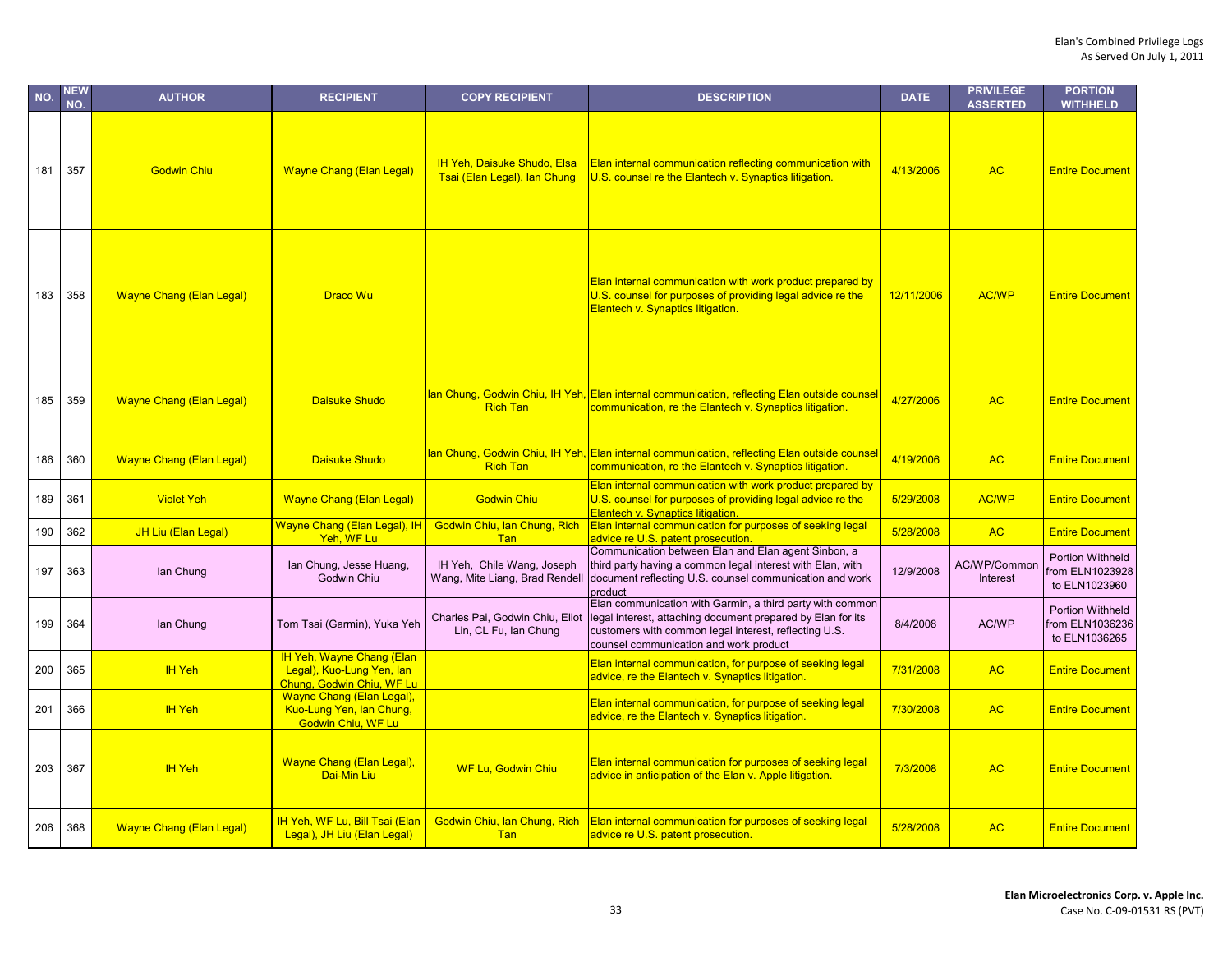| NO. | <b>NEW</b><br>NO. | <b>AUTHOR</b>                   | <b>RECIPIENT</b>                                                                    | <b>COPY RECIPIENT</b>                                              | <b>DESCRIPTION</b>                                                                                                                                                                                                          | <b>DATE</b> | <b>PRIVILEGE</b><br><b>ASSERTED</b> | <b>PORTION</b><br><b>WITHHELD</b>                           |
|-----|-------------------|---------------------------------|-------------------------------------------------------------------------------------|--------------------------------------------------------------------|-----------------------------------------------------------------------------------------------------------------------------------------------------------------------------------------------------------------------------|-------------|-------------------------------------|-------------------------------------------------------------|
| 181 | 357               | <b>Godwin Chiu</b>              | <b>Wayne Chang (Elan Legal)</b>                                                     | <b>IH Yeh, Daisuke Shudo, Elsa</b><br>Tsai (Elan Legal), lan Chung | Elan internal communication reflecting communication with<br>U.S. counsel re the Elantech v. Synaptics litigation.                                                                                                          | 4/13/2006   | <b>AC</b>                           | <b>Entire Document</b>                                      |
| 183 | 358               | <b>Wayne Chang (Elan Legal)</b> | Draco Wu                                                                            |                                                                    | Elan internal communication with work product prepared by<br>U.S. counsel for purposes of providing legal advice re the<br>Elantech v. Synaptics litigation.                                                                | 12/11/2006  | <b>AC/WP</b>                        | <b>Entire Document</b>                                      |
| 185 | 359               | <b>Wayne Chang (Elan Legal)</b> | <b>Daisuke Shudo</b>                                                                | <b>Rich Tan</b>                                                    | Ian Chung, Godwin Chiu, IH Yeh, Elan internal communication, reflecting Elan outside counsel<br>communication, re the Elantech v. Synaptics litigation.                                                                     | 4/27/2006   | <b>AC</b>                           | <b>Entire Document</b>                                      |
| 186 | 360               | <b>Wayne Chang (Elan Legal)</b> | <b>Daisuke Shudo</b>                                                                | <b>Rich Tan</b>                                                    | Ian Chung, Godwin Chiu, IH Yeh, Elan internal communication, reflecting Elan outside counse<br>communication, re the Elantech v. Synaptics litigation.                                                                      | 4/19/2006   | <b>AC</b>                           | <b>Entire Document</b>                                      |
| 189 | 361               | <b>Violet Yeh</b>               | <b>Wayne Chang (Elan Legal)</b>                                                     | <b>Godwin Chiu</b>                                                 | Elan internal communication with work product prepared by<br>U.S. counsel for purposes of providing legal advice re the<br>Elantech v. Synaptics litigation.                                                                | 5/29/2008   | <b>AC/WP</b>                        | <b>Entire Document</b>                                      |
| 190 | 362               | JH Liu (Elan Legal)             | Wayne Chang (Elan Legal), IH<br>Yeh, WF Lu                                          | Godwin Chiu, Ian Chung, Rich<br><b>Tan</b>                         | Elan internal communication for purposes of seeking legal<br>advice re U.S. patent prosecution.                                                                                                                             | 5/28/2008   | <b>AC</b>                           | <b>Entire Document</b>                                      |
| 197 | 363               | lan Chung                       | lan Chung, Jesse Huang,<br><b>Godwin Chiu</b>                                       | IH Yeh, Chile Wang, Joseph<br>Wang, Mite Liang, Brad Rendell       | Communication between Elan and Elan agent Sinbon, a<br>third party having a common legal interest with Elan, with<br>document reflecting U.S. counsel communication and work<br>product                                     | 12/9/2008   | AC/WP/Common<br><b>Interest</b>     | Portion Withheld<br>from ELN1023928<br>to ELN1023960        |
| 199 | 364               | lan Chung                       | Tom Tsai (Garmin), Yuka Yeh                                                         | Charles Pai, Godwin Chiu, Eliot<br>Lin, CL Fu, Ian Chung           | Elan communication with Garmin, a third party with common<br>legal interest, attaching document prepared by Elan for its<br>customers with common legal interest, reflecting U.S.<br>counsel communication and work product | 8/4/2008    | AC/WP                               | <b>Portion Withheld</b><br>from ELN1036236<br>to ELN1036265 |
| 200 | 365               | <b>IH Yeh</b>                   | IH Yeh, Wayne Chang (Elan<br>Legal), Kuo-Lung Yen, lan<br>Chung, Godwin Chiu, WF Lu |                                                                    | Elan internal communication, for purpose of seeking legal<br>advice, re the Elantech v. Synaptics litigation.                                                                                                               | 7/31/2008   | <b>AC</b>                           | <b>Entire Document</b>                                      |
| 201 | 366               | <b>IH Yeh</b>                   | Wayne Chang (Elan Legal),<br>Kuo-Lung Yen, Ian Chung,<br><b>Godwin Chiu, WF Lu</b>  |                                                                    | Elan internal communication, for purpose of seeking legal<br>advice, re the Elantech v. Synaptics litigation.                                                                                                               | 7/30/2008   | <b>AC</b>                           | <b>Entire Document</b>                                      |
| 203 | 367               | <b>IH Yeh</b>                   | <b>Wayne Chang (Elan Legal),</b><br>Dai-Min Liu                                     | <b>WF Lu, Godwin Chiu</b>                                          | Elan internal communication for purposes of seeking legal<br>advice in anticipation of the Elan v. Apple litigation.                                                                                                        | 7/3/2008    | <b>AC</b>                           | <b>Entire Document</b>                                      |
| 206 | 368               | <b>Wayne Chang (Elan Legal)</b> | IH Yeh, WF Lu, Bill Tsai (Elan<br>Legal), JH Liu (Elan Legal)                       | Godwin Chiu, Ian Chung, Rich<br>Tan                                | <b>Elan internal communication for purposes of seeking legal</b><br>advice re U.S. patent prosecution.                                                                                                                      | 5/28/2008   | <b>AC</b>                           | <b>Entire Document</b>                                      |